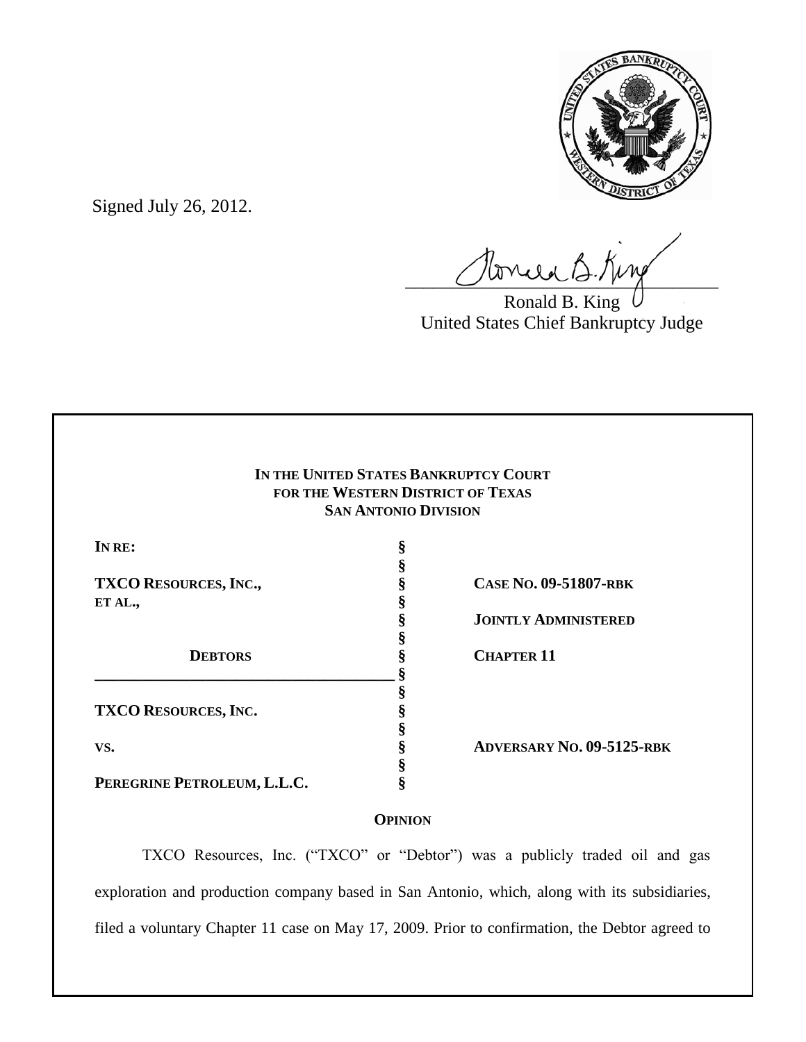

Signed July 26, 2012.

Tonie B. King

Ronald B. King United States Chief Bankruptcy Judge

| IN THE UNITED STATES BANKRUPTCY COURT<br>FOR THE WESTERN DISTRICT OF TEXAS<br><b>SAN ANTONIO DIVISION</b> |    |                                  |        |   |  |
|-----------------------------------------------------------------------------------------------------------|----|----------------------------------|--------|---|--|
|                                                                                                           |    |                                  | IN RE: | Š |  |
|                                                                                                           |    |                                  |        |   |  |
| <b>TXCO RESOURCES, INC.,</b>                                                                              |    | CASE NO. 09-51807-RBK            |        |   |  |
| ET AL.,                                                                                                   |    |                                  |        |   |  |
|                                                                                                           | \$ | <b>JOINTLY ADMINISTERED</b>      |        |   |  |
|                                                                                                           |    |                                  |        |   |  |
| <b>DEBTORS</b>                                                                                            |    | <b>CHAPTER 11</b>                |        |   |  |
|                                                                                                           |    |                                  |        |   |  |
|                                                                                                           | S  |                                  |        |   |  |
| <b>TXCO RESOURCES, INC.</b>                                                                               |    |                                  |        |   |  |
|                                                                                                           |    |                                  |        |   |  |
| VS.                                                                                                       |    | <b>ADVERSARY NO. 09-5125-RBK</b> |        |   |  |
|                                                                                                           |    |                                  |        |   |  |
| PEREGRINE PETROLEUM, L.L.C.                                                                               | 8  |                                  |        |   |  |

# **OPINION**

TXCO Resources, Inc. ("TXCO" or "Debtor") was a publicly traded oil and gas exploration and production company based in San Antonio, which, along with its subsidiaries, filed a voluntary Chapter 11 case on May 17, 2009. Prior to confirmation, the Debtor agreed to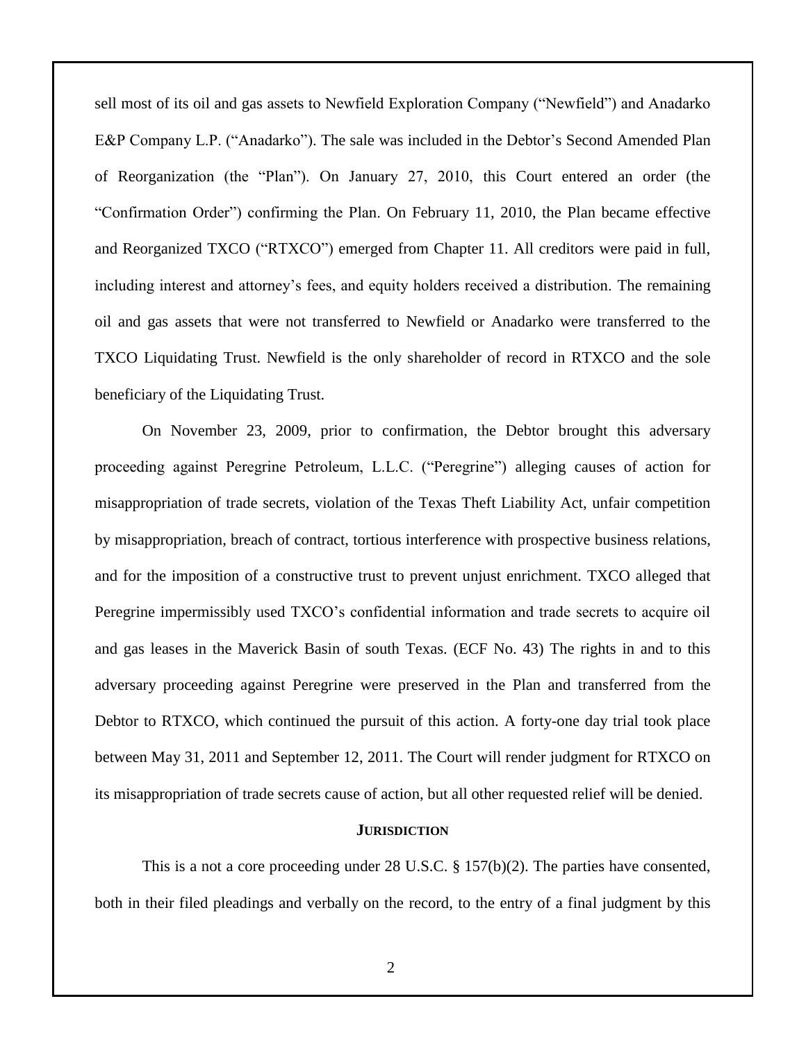sell most of its oil and gas assets to Newfield Exploration Company ("Newfield") and Anadarko E&P Company L.P. ("Anadarko"). The sale was included in the Debtor's Second Amended Plan of Reorganization (the "Plan"). On January 27, 2010, this Court entered an order (the "Confirmation Order") confirming the Plan. On February 11, 2010, the Plan became effective and Reorganized TXCO ("RTXCO") emerged from Chapter 11. All creditors were paid in full, including interest and attorney's fees, and equity holders received a distribution. The remaining oil and gas assets that were not transferred to Newfield or Anadarko were transferred to the TXCO Liquidating Trust. Newfield is the only shareholder of record in RTXCO and the sole beneficiary of the Liquidating Trust.

On November 23, 2009, prior to confirmation, the Debtor brought this adversary proceeding against Peregrine Petroleum, L.L.C. ("Peregrine") alleging causes of action for misappropriation of trade secrets, violation of the Texas Theft Liability Act, unfair competition by misappropriation, breach of contract, tortious interference with prospective business relations, and for the imposition of a constructive trust to prevent unjust enrichment. TXCO alleged that Peregrine impermissibly used TXCO's confidential information and trade secrets to acquire oil and gas leases in the Maverick Basin of south Texas. (ECF No. 43) The rights in and to this adversary proceeding against Peregrine were preserved in the Plan and transferred from the Debtor to RTXCO, which continued the pursuit of this action. A forty-one day trial took place between May 31, 2011 and September 12, 2011. The Court will render judgment for RTXCO on its misappropriation of trade secrets cause of action, but all other requested relief will be denied.

#### **JURISDICTION**

This is a not a core proceeding under 28 U.S.C.  $\S$  157(b)(2). The parties have consented, both in their filed pleadings and verbally on the record, to the entry of a final judgment by this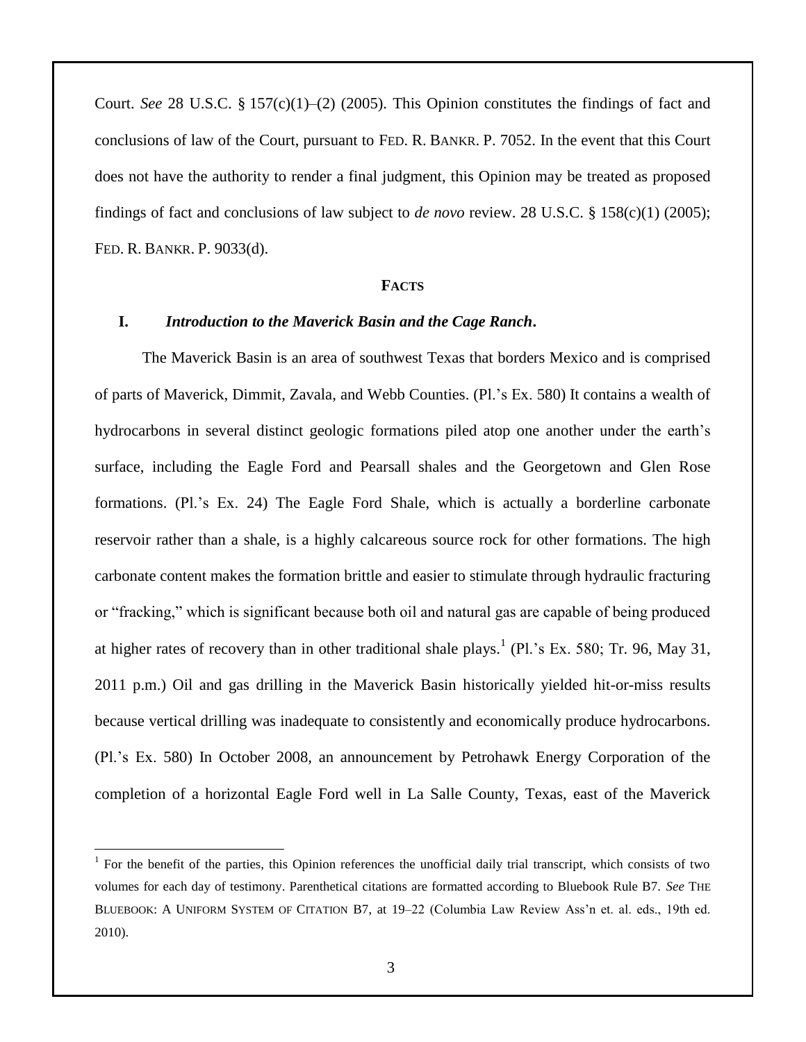Court. *See* 28 U.S.C. § 157(c)(1)–(2) (2005). This Opinion constitutes the findings of fact and conclusions of law of the Court, pursuant to FED. R. BANKR. P. 7052. In the event that this Court does not have the authority to render a final judgment, this Opinion may be treated as proposed findings of fact and conclusions of law subject to *de novo* review. 28 U.S.C. § 158(c)(1) (2005); FED. R. BANKR. P. 9033(d).

#### **FACTS**

### **I.** *Introduction to the Maverick Basin and the Cage Ranch***.**

The Maverick Basin is an area of southwest Texas that borders Mexico and is comprised of parts of Maverick, Dimmit, Zavala, and Webb Counties. (Pl.'s Ex. 580) It contains a wealth of hydrocarbons in several distinct geologic formations piled atop one another under the earth's surface, including the Eagle Ford and Pearsall shales and the Georgetown and Glen Rose formations. (Pl.'s Ex. 24) The Eagle Ford Shale, which is actually a borderline carbonate reservoir rather than a shale, is a highly calcareous source rock for other formations. The high carbonate content makes the formation brittle and easier to stimulate through hydraulic fracturing or "fracking," which is significant because both oil and natural gas are capable of being produced at higher rates of recovery than in other traditional shale plays.<sup>1</sup> (Pl.'s Ex. 580; Tr. 96, May 31, 2011 p.m.) Oil and gas drilling in the Maverick Basin historically yielded hit-or-miss results because vertical drilling was inadequate to consistently and economically produce hydrocarbons. (Pl.'s Ex. 580) In October 2008, an announcement by Petrohawk Energy Corporation of the completion of a horizontal Eagle Ford well in La Salle County, Texas, east of the Maverick

 $\overline{a}$ 

<sup>&</sup>lt;sup>1</sup> For the benefit of the parties, this Opinion references the unofficial daily trial transcript, which consists of two volumes for each day of testimony. Parenthetical citations are formatted according to Bluebook Rule B7. *See* THE BLUEBOOK: A UNIFORM SYSTEM OF CITATION B7, at 19–22 (Columbia Law Review Ass'n et. al. eds., 19th ed. 2010).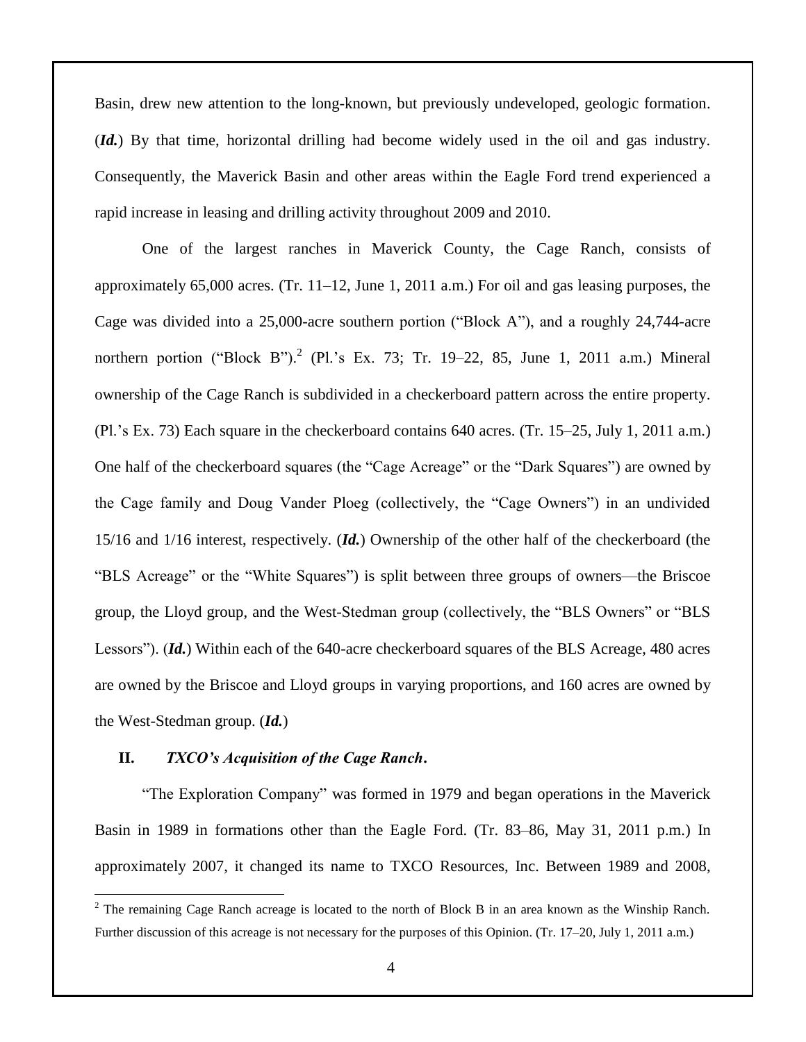Basin, drew new attention to the long-known, but previously undeveloped, geologic formation. (*Id.*) By that time, horizontal drilling had become widely used in the oil and gas industry. Consequently, the Maverick Basin and other areas within the Eagle Ford trend experienced a rapid increase in leasing and drilling activity throughout 2009 and 2010.

One of the largest ranches in Maverick County, the Cage Ranch, consists of approximately 65,000 acres. (Tr. 11–12, June 1, 2011 a.m.) For oil and gas leasing purposes, the Cage was divided into a 25,000-acre southern portion ("Block A"), and a roughly 24,744-acre northern portion ("Block B").<sup>2</sup> (Pl.'s Ex. 73; Tr. 19–22, 85, June 1, 2011 a.m.) Mineral ownership of the Cage Ranch is subdivided in a checkerboard pattern across the entire property. (Pl.'s Ex. 73) Each square in the checkerboard contains 640 acres. (Tr. 15–25, July 1, 2011 a.m.) One half of the checkerboard squares (the "Cage Acreage" or the "Dark Squares") are owned by the Cage family and Doug Vander Ploeg (collectively, the "Cage Owners") in an undivided 15/16 and 1/16 interest, respectively. (*Id.*) Ownership of the other half of the checkerboard (the "BLS Acreage" or the "White Squares") is split between three groups of owners—the Briscoe group, the Lloyd group, and the West-Stedman group (collectively, the "BLS Owners" or "BLS Lessors"). (*Id.*) Within each of the 640-acre checkerboard squares of the BLS Acreage, 480 acres are owned by the Briscoe and Lloyd groups in varying proportions, and 160 acres are owned by the West-Stedman group. (*Id.*)

#### **II.** *TXCO's Acquisition of the Cage Ranch***.**

 $\overline{a}$ 

"The Exploration Company" was formed in 1979 and began operations in the Maverick Basin in 1989 in formations other than the Eagle Ford. (Tr. 83–86, May 31, 2011 p.m.) In approximately 2007, it changed its name to TXCO Resources, Inc. Between 1989 and 2008,

<sup>&</sup>lt;sup>2</sup> The remaining Cage Ranch acreage is located to the north of Block B in an area known as the Winship Ranch. Further discussion of this acreage is not necessary for the purposes of this Opinion. (Tr. 17–20, July 1, 2011 a.m.)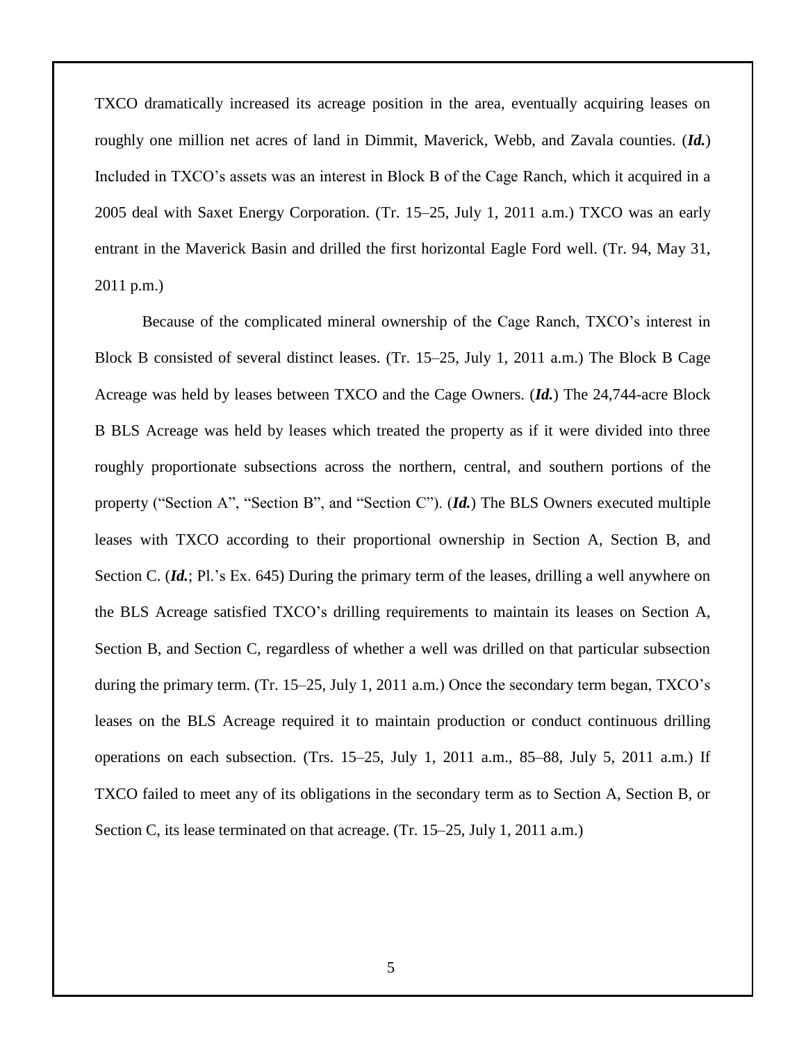TXCO dramatically increased its acreage position in the area, eventually acquiring leases on roughly one million net acres of land in Dimmit, Maverick, Webb, and Zavala counties. (*Id.*) Included in TXCO's assets was an interest in Block B of the Cage Ranch, which it acquired in a 2005 deal with Saxet Energy Corporation. (Tr. 15–25, July 1, 2011 a.m.) TXCO was an early entrant in the Maverick Basin and drilled the first horizontal Eagle Ford well. (Tr. 94, May 31, 2011 p.m.)

Because of the complicated mineral ownership of the Cage Ranch, TXCO's interest in Block B consisted of several distinct leases. (Tr. 15–25, July 1, 2011 a.m.) The Block B Cage Acreage was held by leases between TXCO and the Cage Owners. (*Id.*) The 24,744-acre Block B BLS Acreage was held by leases which treated the property as if it were divided into three roughly proportionate subsections across the northern, central, and southern portions of the property ("Section A", "Section B", and "Section C"). (*Id.*) The BLS Owners executed multiple leases with TXCO according to their proportional ownership in Section A, Section B, and Section C. (*Id.*; Pl.'s Ex. 645) During the primary term of the leases, drilling a well anywhere on the BLS Acreage satisfied TXCO's drilling requirements to maintain its leases on Section A, Section B, and Section C, regardless of whether a well was drilled on that particular subsection during the primary term. (Tr. 15–25, July 1, 2011 a.m.) Once the secondary term began, TXCO's leases on the BLS Acreage required it to maintain production or conduct continuous drilling operations on each subsection. (Trs. 15–25, July 1, 2011 a.m., 85–88, July 5, 2011 a.m.) If TXCO failed to meet any of its obligations in the secondary term as to Section A, Section B, or Section C, its lease terminated on that acreage. (Tr. 15–25, July 1, 2011 a.m.)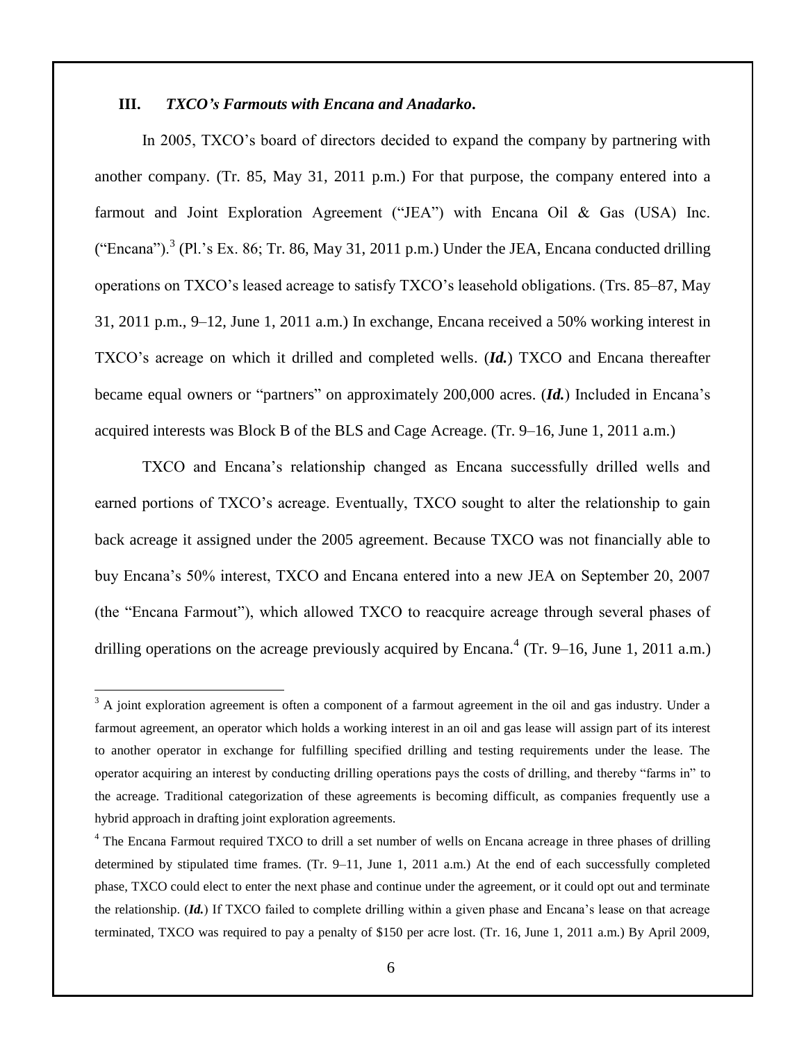## **III.** *TXCO's Farmouts with Encana and Anadarko***.**

 $\overline{a}$ 

In 2005, TXCO's board of directors decided to expand the company by partnering with another company. (Tr. 85, May 31, 2011 p.m.) For that purpose, the company entered into a farmout and Joint Exploration Agreement ("JEA") with Encana Oil & Gas (USA) Inc. ("Encana").<sup>3</sup> (Pl.'s Ex. 86; Tr. 86, May 31, 2011 p.m.) Under the JEA, Encana conducted drilling operations on TXCO's leased acreage to satisfy TXCO's leasehold obligations. (Trs. 85–87, May 31, 2011 p.m., 9–12, June 1, 2011 a.m.) In exchange, Encana received a 50% working interest in TXCO's acreage on which it drilled and completed wells. (*Id.*) TXCO and Encana thereafter became equal owners or "partners" on approximately 200,000 acres. (*Id.*) Included in Encana's acquired interests was Block B of the BLS and Cage Acreage. (Tr. 9–16, June 1, 2011 a.m.)

TXCO and Encana's relationship changed as Encana successfully drilled wells and earned portions of TXCO's acreage. Eventually, TXCO sought to alter the relationship to gain back acreage it assigned under the 2005 agreement. Because TXCO was not financially able to buy Encana's 50% interest, TXCO and Encana entered into a new JEA on September 20, 2007 (the "Encana Farmout"), which allowed TXCO to reacquire acreage through several phases of drilling operations on the acreage previously acquired by Encana.<sup>4</sup> (Tr. 9–16, June 1, 2011 a.m.)

 $3$  A joint exploration agreement is often a component of a farmout agreement in the oil and gas industry. Under a farmout agreement, an operator which holds a working interest in an oil and gas lease will assign part of its interest to another operator in exchange for fulfilling specified drilling and testing requirements under the lease. The operator acquiring an interest by conducting drilling operations pays the costs of drilling, and thereby "farms in" to the acreage. Traditional categorization of these agreements is becoming difficult, as companies frequently use a hybrid approach in drafting joint exploration agreements.

<sup>&</sup>lt;sup>4</sup> The Encana Farmout required TXCO to drill a set number of wells on Encana acreage in three phases of drilling determined by stipulated time frames. (Tr. 9–11, June 1, 2011 a.m.) At the end of each successfully completed phase, TXCO could elect to enter the next phase and continue under the agreement, or it could opt out and terminate the relationship. (*Id.*) If TXCO failed to complete drilling within a given phase and Encana's lease on that acreage terminated, TXCO was required to pay a penalty of \$150 per acre lost. (Tr. 16, June 1, 2011 a.m.) By April 2009,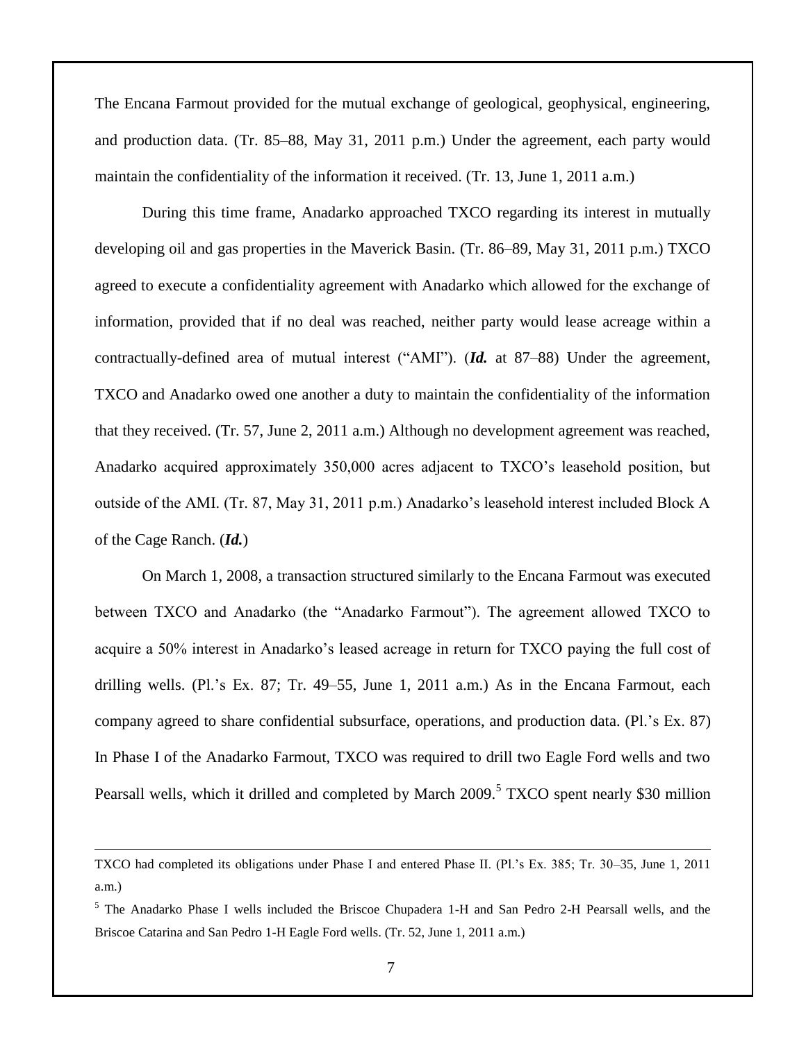The Encana Farmout provided for the mutual exchange of geological, geophysical, engineering, and production data. (Tr. 85–88, May 31, 2011 p.m.) Under the agreement, each party would maintain the confidentiality of the information it received. (Tr. 13, June 1, 2011 a.m.)

During this time frame, Anadarko approached TXCO regarding its interest in mutually developing oil and gas properties in the Maverick Basin. (Tr. 86–89, May 31, 2011 p.m.) TXCO agreed to execute a confidentiality agreement with Anadarko which allowed for the exchange of information, provided that if no deal was reached, neither party would lease acreage within a contractually-defined area of mutual interest ("AMI"). (*Id.* at 87–88) Under the agreement, TXCO and Anadarko owed one another a duty to maintain the confidentiality of the information that they received. (Tr. 57, June 2, 2011 a.m.) Although no development agreement was reached, Anadarko acquired approximately 350,000 acres adjacent to TXCO's leasehold position, but outside of the AMI. (Tr. 87, May 31, 2011 p.m.) Anadarko's leasehold interest included Block A of the Cage Ranch. (*Id.*)

On March 1, 2008, a transaction structured similarly to the Encana Farmout was executed between TXCO and Anadarko (the "Anadarko Farmout"). The agreement allowed TXCO to acquire a 50% interest in Anadarko's leased acreage in return for TXCO paying the full cost of drilling wells. (Pl.'s Ex. 87; Tr. 49–55, June 1, 2011 a.m.) As in the Encana Farmout, each company agreed to share confidential subsurface, operations, and production data. (Pl.'s Ex. 87) In Phase I of the Anadarko Farmout, TXCO was required to drill two Eagle Ford wells and two Pearsall wells, which it drilled and completed by March 2009.<sup>5</sup> TXCO spent nearly \$30 million

 $\overline{a}$ 

TXCO had completed its obligations under Phase I and entered Phase II. (Pl.'s Ex. 385; Tr. 30–35, June 1, 2011 a.m.)

<sup>5</sup> The Anadarko Phase I wells included the Briscoe Chupadera 1-H and San Pedro 2-H Pearsall wells, and the Briscoe Catarina and San Pedro 1-H Eagle Ford wells. (Tr. 52, June 1, 2011 a.m.)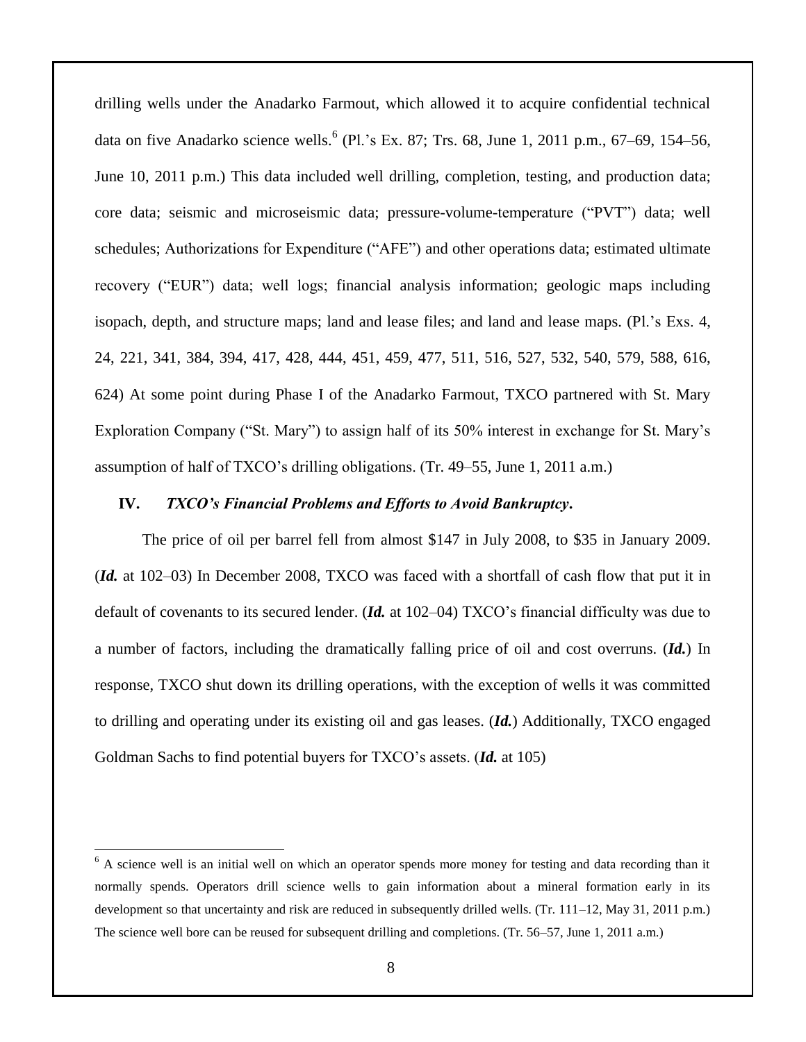drilling wells under the Anadarko Farmout, which allowed it to acquire confidential technical data on five Anadarko science wells. 6 (Pl.'s Ex. 87; Trs. 68, June 1, 2011 p.m., 67–69, 154–56, June 10, 2011 p.m.) This data included well drilling, completion, testing, and production data; core data; seismic and microseismic data; pressure-volume-temperature ("PVT") data; well schedules; Authorizations for Expenditure ("AFE") and other operations data; estimated ultimate recovery ("EUR") data; well logs; financial analysis information; geologic maps including isopach, depth, and structure maps; land and lease files; and land and lease maps. (Pl.'s Exs. 4, 24, 221, 341, 384, 394, 417, 428, 444, 451, 459, 477, 511, 516, 527, 532, 540, 579, 588, 616, 624) At some point during Phase I of the Anadarko Farmout, TXCO partnered with St. Mary Exploration Company ("St. Mary") to assign half of its 50% interest in exchange for St. Mary's assumption of half of TXCO's drilling obligations. (Tr. 49–55, June 1, 2011 a.m.)

#### **IV.** *TXCO's Financial Problems and Efforts to Avoid Bankruptcy***.**

The price of oil per barrel fell from almost \$147 in July 2008, to \$35 in January 2009. (*Id.* at 102–03) In December 2008, TXCO was faced with a shortfall of cash flow that put it in default of covenants to its secured lender. (*Id.* at 102–04) TXCO's financial difficulty was due to a number of factors, including the dramatically falling price of oil and cost overruns. (*Id.*) In response, TXCO shut down its drilling operations, with the exception of wells it was committed to drilling and operating under its existing oil and gas leases. (*Id.*) Additionally, TXCO engaged Goldman Sachs to find potential buyers for TXCO's assets. (*Id.* at 105)

 $\overline{a}$ 

 $6$  A science well is an initial well on which an operator spends more money for testing and data recording than it normally spends. Operators drill science wells to gain information about a mineral formation early in its development so that uncertainty and risk are reduced in subsequently drilled wells. (Tr. 111–12, May 31, 2011 p.m.) The science well bore can be reused for subsequent drilling and completions. (Tr. 56–57, June 1, 2011 a.m.)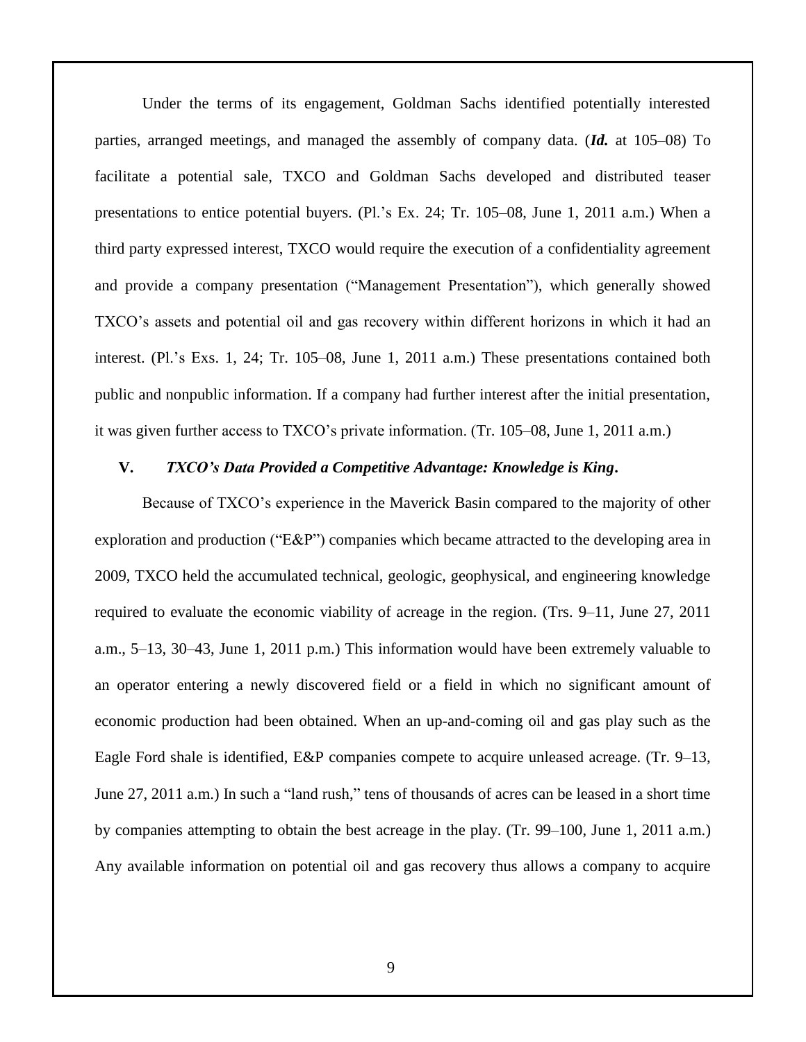Under the terms of its engagement, Goldman Sachs identified potentially interested parties, arranged meetings, and managed the assembly of company data. (*Id.* at 105–08) To facilitate a potential sale, TXCO and Goldman Sachs developed and distributed teaser presentations to entice potential buyers. (Pl.'s Ex. 24; Tr. 105–08, June 1, 2011 a.m.) When a third party expressed interest, TXCO would require the execution of a confidentiality agreement and provide a company presentation ("Management Presentation"), which generally showed TXCO's assets and potential oil and gas recovery within different horizons in which it had an interest. (Pl.'s Exs. 1, 24; Tr. 105–08, June 1, 2011 a.m.) These presentations contained both public and nonpublic information. If a company had further interest after the initial presentation, it was given further access to TXCO's private information. (Tr. 105–08, June 1, 2011 a.m.)

#### **V.** *TXCO's Data Provided a Competitive Advantage: Knowledge is King***.**

Because of TXCO's experience in the Maverick Basin compared to the majority of other exploration and production ("E&P") companies which became attracted to the developing area in 2009, TXCO held the accumulated technical, geologic, geophysical, and engineering knowledge required to evaluate the economic viability of acreage in the region. (Trs. 9–11, June 27, 2011 a.m., 5–13, 30–43, June 1, 2011 p.m.) This information would have been extremely valuable to an operator entering a newly discovered field or a field in which no significant amount of economic production had been obtained. When an up-and-coming oil and gas play such as the Eagle Ford shale is identified, E&P companies compete to acquire unleased acreage. (Tr. 9–13, June 27, 2011 a.m.) In such a "land rush," tens of thousands of acres can be leased in a short time by companies attempting to obtain the best acreage in the play. (Tr. 99–100, June 1, 2011 a.m.) Any available information on potential oil and gas recovery thus allows a company to acquire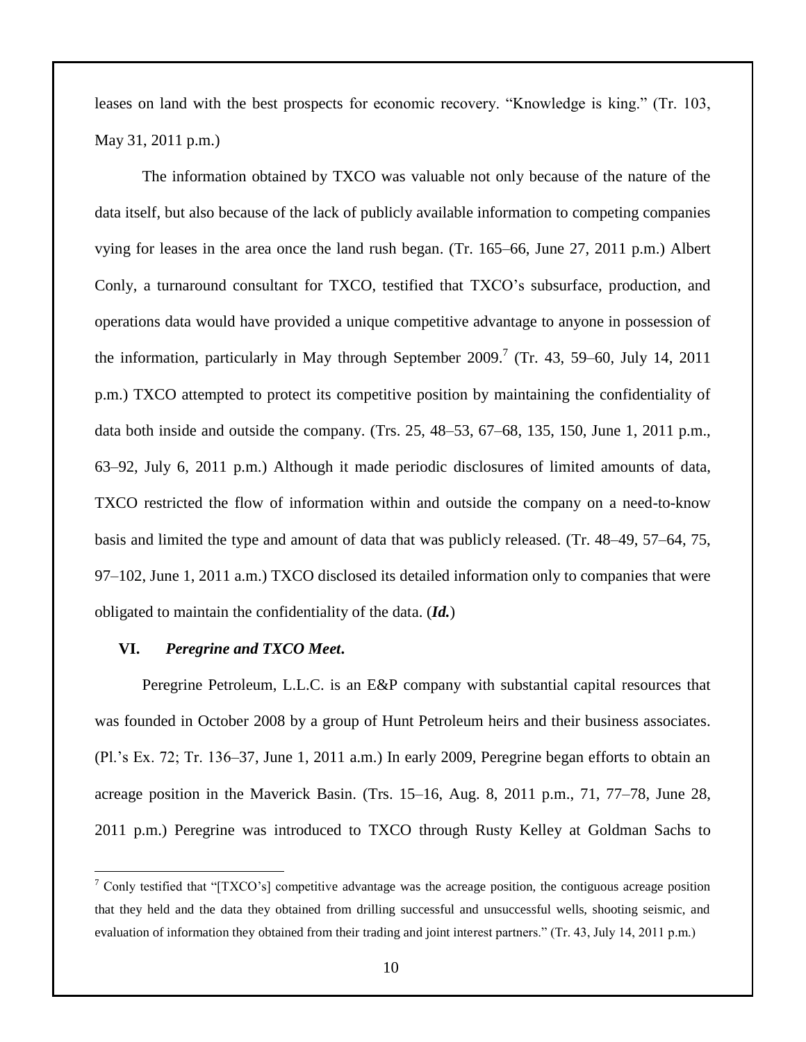leases on land with the best prospects for economic recovery. "Knowledge is king." (Tr. 103, May 31, 2011 p.m.)

The information obtained by TXCO was valuable not only because of the nature of the data itself, but also because of the lack of publicly available information to competing companies vying for leases in the area once the land rush began. (Tr. 165–66, June 27, 2011 p.m.) Albert Conly, a turnaround consultant for TXCO, testified that TXCO's subsurface, production, and operations data would have provided a unique competitive advantage to anyone in possession of the information, particularly in May through September  $2009$ .<sup>7</sup> (Tr. 43, 59–60, July 14, 2011 p.m.) TXCO attempted to protect its competitive position by maintaining the confidentiality of data both inside and outside the company. (Trs. 25, 48–53, 67–68, 135, 150, June 1, 2011 p.m., 63–92, July 6, 2011 p.m.) Although it made periodic disclosures of limited amounts of data, TXCO restricted the flow of information within and outside the company on a need-to-know basis and limited the type and amount of data that was publicly released. (Tr. 48–49, 57–64, 75, 97–102, June 1, 2011 a.m.) TXCO disclosed its detailed information only to companies that were obligated to maintain the confidentiality of the data. (*Id.*)

#### **VI.** *Peregrine and TXCO Meet***.**

 $\overline{a}$ 

Peregrine Petroleum, L.L.C. is an E&P company with substantial capital resources that was founded in October 2008 by a group of Hunt Petroleum heirs and their business associates. (Pl.'s Ex. 72; Tr. 136–37, June 1, 2011 a.m.) In early 2009, Peregrine began efforts to obtain an acreage position in the Maverick Basin. (Trs. 15–16, Aug. 8, 2011 p.m., 71, 77–78, June 28, 2011 p.m.) Peregrine was introduced to TXCO through Rusty Kelley at Goldman Sachs to

<sup>&</sup>lt;sup>7</sup> Conly testified that "[TXCO's] competitive advantage was the acreage position, the contiguous acreage position that they held and the data they obtained from drilling successful and unsuccessful wells, shooting seismic, and evaluation of information they obtained from their trading and joint interest partners." (Tr. 43, July 14, 2011 p.m.)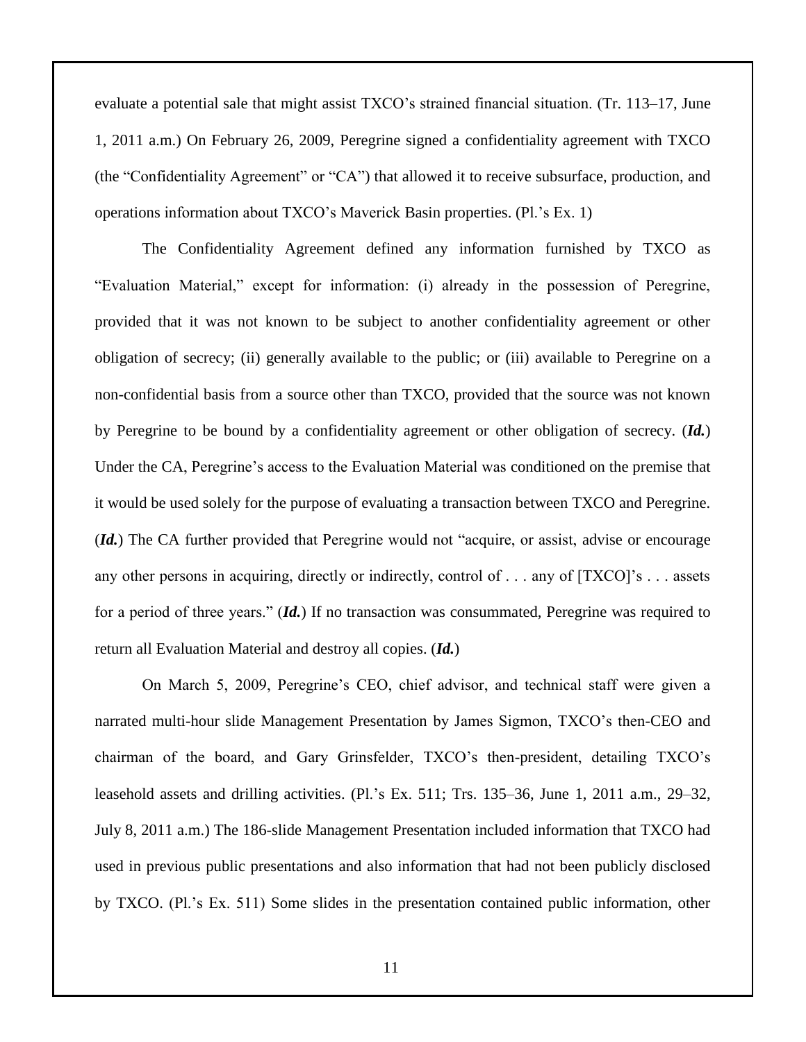evaluate a potential sale that might assist TXCO's strained financial situation. (Tr. 113–17, June 1, 2011 a.m.) On February 26, 2009, Peregrine signed a confidentiality agreement with TXCO (the "Confidentiality Agreement" or "CA") that allowed it to receive subsurface, production, and operations information about TXCO's Maverick Basin properties. (Pl.'s Ex. 1)

The Confidentiality Agreement defined any information furnished by TXCO as "Evaluation Material," except for information: (i) already in the possession of Peregrine, provided that it was not known to be subject to another confidentiality agreement or other obligation of secrecy; (ii) generally available to the public; or (iii) available to Peregrine on a non-confidential basis from a source other than TXCO, provided that the source was not known by Peregrine to be bound by a confidentiality agreement or other obligation of secrecy. (*Id.*) Under the CA, Peregrine's access to the Evaluation Material was conditioned on the premise that it would be used solely for the purpose of evaluating a transaction between TXCO and Peregrine. (*Id.*) The CA further provided that Peregrine would not "acquire, or assist, advise or encourage any other persons in acquiring, directly or indirectly, control of . . . any of [TXCO]'s . . . assets for a period of three years." (*Id.*) If no transaction was consummated, Peregrine was required to return all Evaluation Material and destroy all copies. (*Id.*)

On March 5, 2009, Peregrine's CEO, chief advisor, and technical staff were given a narrated multi-hour slide Management Presentation by James Sigmon, TXCO's then-CEO and chairman of the board, and Gary Grinsfelder, TXCO's then-president, detailing TXCO's leasehold assets and drilling activities. (Pl.'s Ex. 511; Trs. 135–36, June 1, 2011 a.m., 29–32, July 8, 2011 a.m.) The 186-slide Management Presentation included information that TXCO had used in previous public presentations and also information that had not been publicly disclosed by TXCO. (Pl.'s Ex. 511) Some slides in the presentation contained public information, other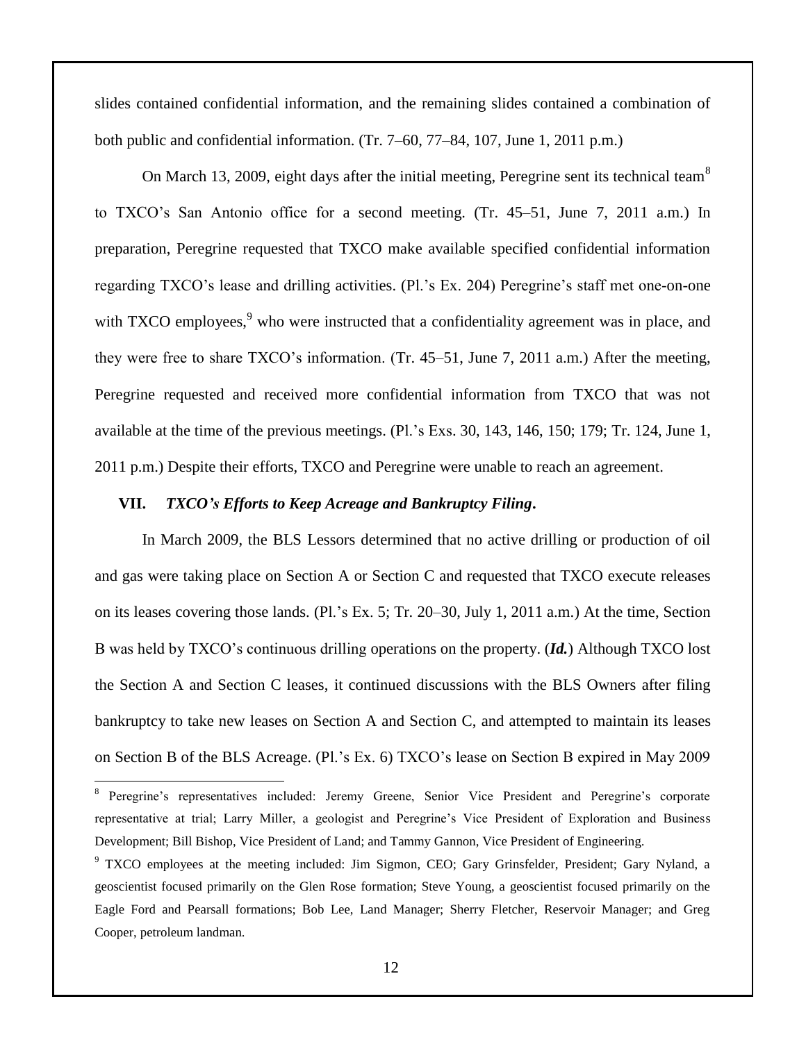slides contained confidential information, and the remaining slides contained a combination of both public and confidential information. (Tr. 7–60, 77–84, 107, June 1, 2011 p.m.)

On March 13, 2009, eight days after the initial meeting, Peregrine sent its technical team<sup>8</sup> to TXCO's San Antonio office for a second meeting. (Tr. 45–51, June 7, 2011 a.m.) In preparation, Peregrine requested that TXCO make available specified confidential information regarding TXCO's lease and drilling activities. (Pl.'s Ex. 204) Peregrine's staff met one-on-one with TXCO employees,<sup>9</sup> who were instructed that a confidentiality agreement was in place, and they were free to share TXCO's information. (Tr. 45–51, June 7, 2011 a.m.) After the meeting, Peregrine requested and received more confidential information from TXCO that was not available at the time of the previous meetings. (Pl.'s Exs. 30, 143, 146, 150; 179; Tr. 124, June 1, 2011 p.m.) Despite their efforts, TXCO and Peregrine were unable to reach an agreement.

### **VII.** *TXCO's Efforts to Keep Acreage and Bankruptcy Filing***.**

 $\overline{a}$ 

In March 2009, the BLS Lessors determined that no active drilling or production of oil and gas were taking place on Section A or Section C and requested that TXCO execute releases on its leases covering those lands. (Pl.'s Ex. 5; Tr. 20–30, July 1, 2011 a.m.) At the time, Section B was held by TXCO's continuous drilling operations on the property. (*Id.*) Although TXCO lost the Section A and Section C leases, it continued discussions with the BLS Owners after filing bankruptcy to take new leases on Section A and Section C, and attempted to maintain its leases on Section B of the BLS Acreage. (Pl.'s Ex. 6) TXCO's lease on Section B expired in May 2009

<sup>&</sup>lt;sup>8</sup> Peregrine's representatives included: Jeremy Greene, Senior Vice President and Peregrine's corporate representative at trial; Larry Miller, a geologist and Peregrine's Vice President of Exploration and Business Development; Bill Bishop, Vice President of Land; and Tammy Gannon, Vice President of Engineering.

<sup>&</sup>lt;sup>9</sup> TXCO employees at the meeting included: Jim Sigmon, CEO; Gary Grinsfelder, President; Gary Nyland, a geoscientist focused primarily on the Glen Rose formation; Steve Young, a geoscientist focused primarily on the Eagle Ford and Pearsall formations; Bob Lee, Land Manager; Sherry Fletcher, Reservoir Manager; and Greg Cooper, petroleum landman.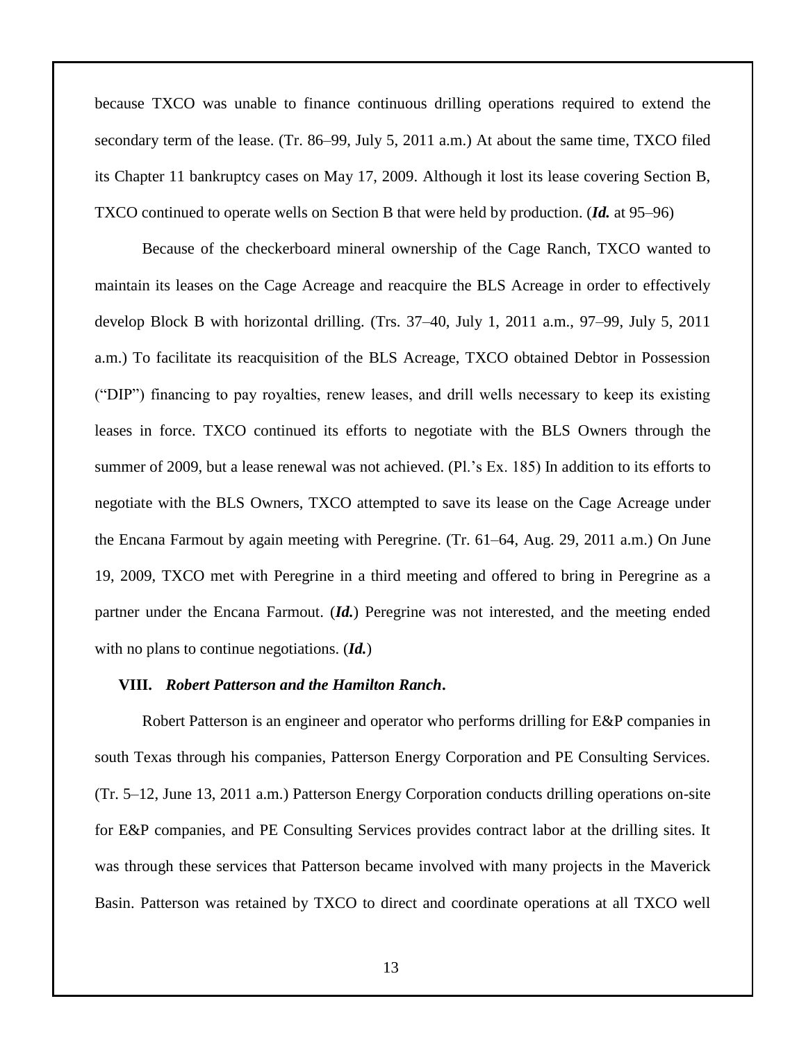because TXCO was unable to finance continuous drilling operations required to extend the secondary term of the lease. (Tr. 86–99, July 5, 2011 a.m.) At about the same time, TXCO filed its Chapter 11 bankruptcy cases on May 17, 2009. Although it lost its lease covering Section B, TXCO continued to operate wells on Section B that were held by production. (*Id.* at 95–96)

Because of the checkerboard mineral ownership of the Cage Ranch, TXCO wanted to maintain its leases on the Cage Acreage and reacquire the BLS Acreage in order to effectively develop Block B with horizontal drilling. (Trs. 37–40, July 1, 2011 a.m., 97–99, July 5, 2011 a.m.) To facilitate its reacquisition of the BLS Acreage, TXCO obtained Debtor in Possession ("DIP") financing to pay royalties, renew leases, and drill wells necessary to keep its existing leases in force. TXCO continued its efforts to negotiate with the BLS Owners through the summer of 2009, but a lease renewal was not achieved. (Pl.'s Ex. 185) In addition to its efforts to negotiate with the BLS Owners, TXCO attempted to save its lease on the Cage Acreage under the Encana Farmout by again meeting with Peregrine. (Tr. 61–64, Aug. 29, 2011 a.m.) On June 19, 2009, TXCO met with Peregrine in a third meeting and offered to bring in Peregrine as a partner under the Encana Farmout. (*Id.*) Peregrine was not interested, and the meeting ended with no plans to continue negotiations. (*Id.*)

#### **VIII.** *Robert Patterson and the Hamilton Ranch***.**

Robert Patterson is an engineer and operator who performs drilling for E&P companies in south Texas through his companies, Patterson Energy Corporation and PE Consulting Services. (Tr. 5–12, June 13, 2011 a.m.) Patterson Energy Corporation conducts drilling operations on-site for E&P companies, and PE Consulting Services provides contract labor at the drilling sites. It was through these services that Patterson became involved with many projects in the Maverick Basin. Patterson was retained by TXCO to direct and coordinate operations at all TXCO well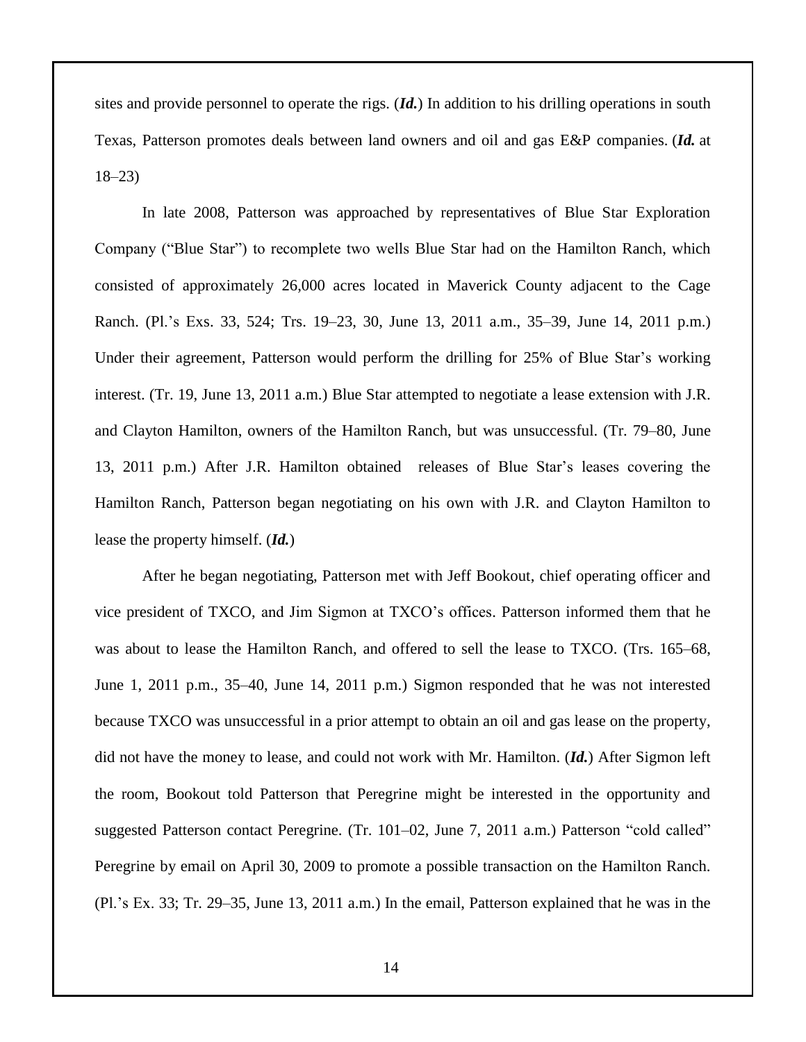sites and provide personnel to operate the rigs. (*Id.*) In addition to his drilling operations in south Texas, Patterson promotes deals between land owners and oil and gas E&P companies. (*Id.* at 18–23)

In late 2008, Patterson was approached by representatives of Blue Star Exploration Company ("Blue Star") to recomplete two wells Blue Star had on the Hamilton Ranch, which consisted of approximately 26,000 acres located in Maverick County adjacent to the Cage Ranch. (Pl.'s Exs. 33, 524; Trs. 19–23, 30, June 13, 2011 a.m., 35–39, June 14, 2011 p.m.) Under their agreement, Patterson would perform the drilling for 25% of Blue Star's working interest. (Tr. 19, June 13, 2011 a.m.) Blue Star attempted to negotiate a lease extension with J.R. and Clayton Hamilton, owners of the Hamilton Ranch, but was unsuccessful. (Tr. 79–80, June 13, 2011 p.m.) After J.R. Hamilton obtained releases of Blue Star's leases covering the Hamilton Ranch, Patterson began negotiating on his own with J.R. and Clayton Hamilton to lease the property himself. (*Id.*)

After he began negotiating, Patterson met with Jeff Bookout, chief operating officer and vice president of TXCO, and Jim Sigmon at TXCO's offices. Patterson informed them that he was about to lease the Hamilton Ranch, and offered to sell the lease to TXCO. (Trs. 165–68, June 1, 2011 p.m., 35–40, June 14, 2011 p.m.) Sigmon responded that he was not interested because TXCO was unsuccessful in a prior attempt to obtain an oil and gas lease on the property, did not have the money to lease, and could not work with Mr. Hamilton. (*Id.*) After Sigmon left the room, Bookout told Patterson that Peregrine might be interested in the opportunity and suggested Patterson contact Peregrine. (Tr. 101–02, June 7, 2011 a.m.) Patterson "cold called" Peregrine by email on April 30, 2009 to promote a possible transaction on the Hamilton Ranch. (Pl.'s Ex. 33; Tr. 29–35, June 13, 2011 a.m.) In the email, Patterson explained that he was in the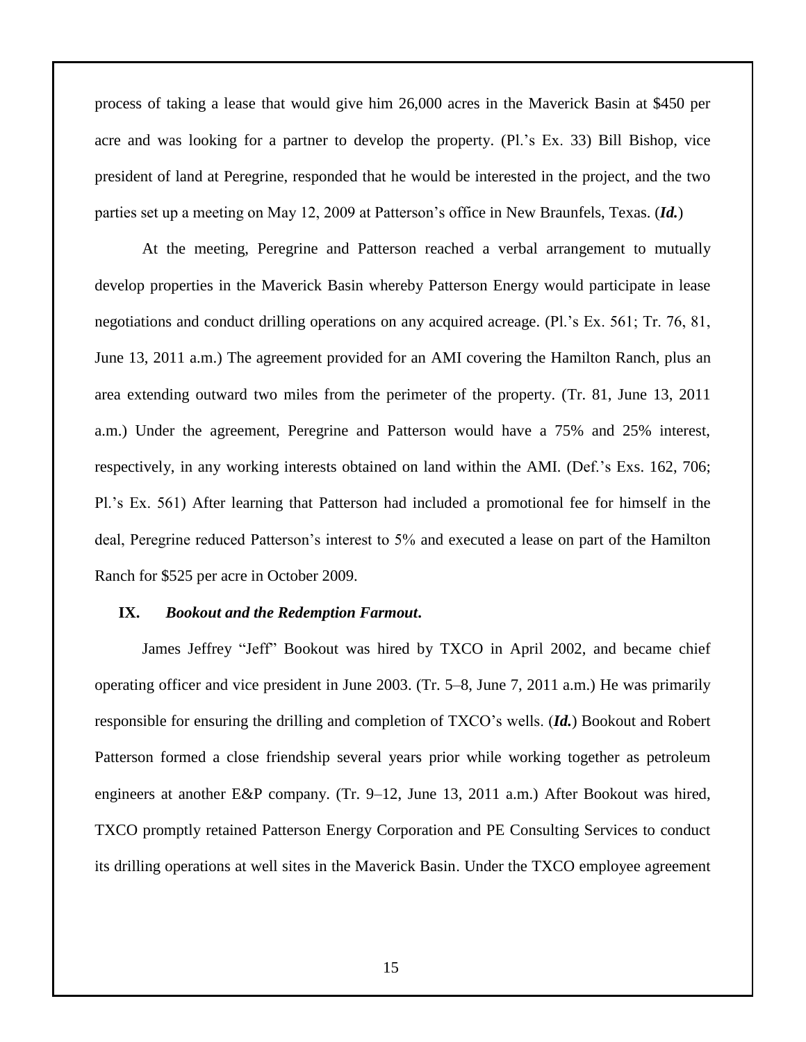process of taking a lease that would give him 26,000 acres in the Maverick Basin at \$450 per acre and was looking for a partner to develop the property. (Pl.'s Ex. 33) Bill Bishop, vice president of land at Peregrine, responded that he would be interested in the project, and the two parties set up a meeting on May 12, 2009 at Patterson's office in New Braunfels, Texas. (*Id.*)

At the meeting, Peregrine and Patterson reached a verbal arrangement to mutually develop properties in the Maverick Basin whereby Patterson Energy would participate in lease negotiations and conduct drilling operations on any acquired acreage. (Pl.'s Ex. 561; Tr. 76, 81, June 13, 2011 a.m.) The agreement provided for an AMI covering the Hamilton Ranch, plus an area extending outward two miles from the perimeter of the property. (Tr. 81, June 13, 2011 a.m.) Under the agreement, Peregrine and Patterson would have a 75% and 25% interest, respectively, in any working interests obtained on land within the AMI. (Def.'s Exs. 162, 706; Pl.'s Ex. 561) After learning that Patterson had included a promotional fee for himself in the deal, Peregrine reduced Patterson's interest to 5% and executed a lease on part of the Hamilton Ranch for \$525 per acre in October 2009.

#### **IX.** *Bookout and the Redemption Farmout***.**

James Jeffrey "Jeff" Bookout was hired by TXCO in April 2002, and became chief operating officer and vice president in June 2003. (Tr. 5–8, June 7, 2011 a.m.) He was primarily responsible for ensuring the drilling and completion of TXCO's wells. (*Id.*) Bookout and Robert Patterson formed a close friendship several years prior while working together as petroleum engineers at another E&P company. (Tr. 9–12, June 13, 2011 a.m.) After Bookout was hired, TXCO promptly retained Patterson Energy Corporation and PE Consulting Services to conduct its drilling operations at well sites in the Maverick Basin. Under the TXCO employee agreement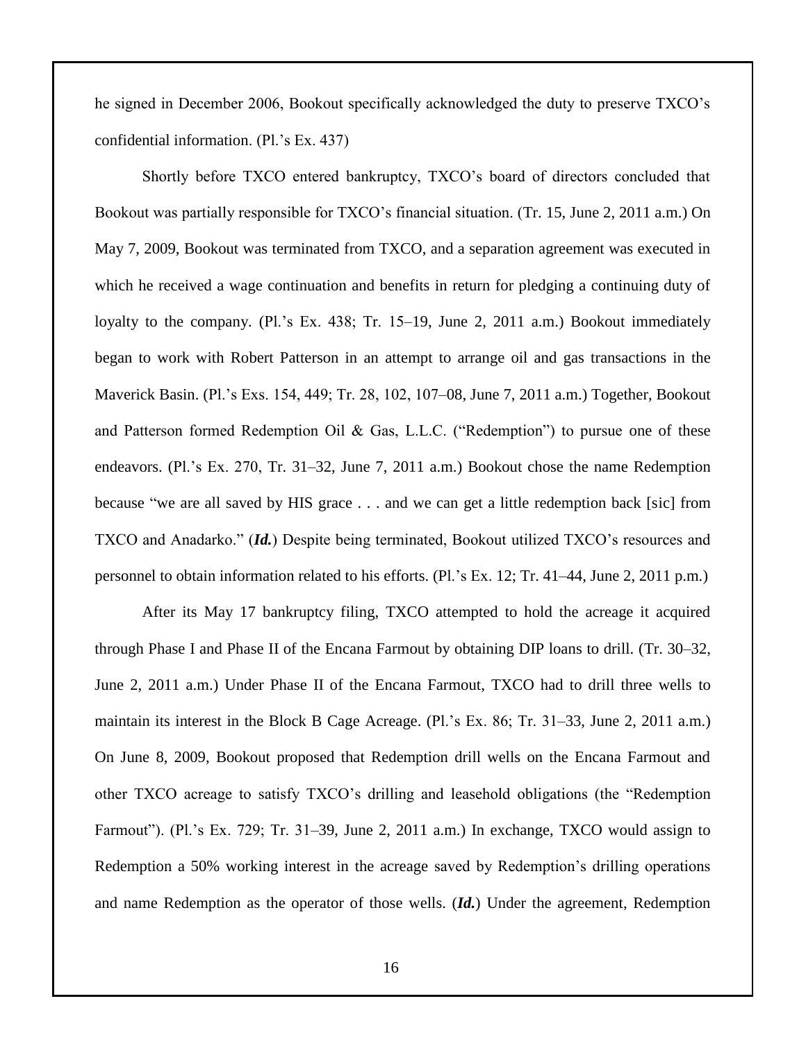he signed in December 2006, Bookout specifically acknowledged the duty to preserve TXCO's confidential information. (Pl.'s Ex. 437)

Shortly before TXCO entered bankruptcy, TXCO's board of directors concluded that Bookout was partially responsible for TXCO's financial situation. (Tr. 15, June 2, 2011 a.m.) On May 7, 2009, Bookout was terminated from TXCO, and a separation agreement was executed in which he received a wage continuation and benefits in return for pledging a continuing duty of loyalty to the company. (Pl.'s Ex. 438; Tr. 15–19, June 2, 2011 a.m.) Bookout immediately began to work with Robert Patterson in an attempt to arrange oil and gas transactions in the Maverick Basin. (Pl.'s Exs. 154, 449; Tr. 28, 102, 107–08, June 7, 2011 a.m.) Together, Bookout and Patterson formed Redemption Oil & Gas, L.L.C. ("Redemption") to pursue one of these endeavors. (Pl.'s Ex. 270, Tr. 31–32, June 7, 2011 a.m.) Bookout chose the name Redemption because "we are all saved by HIS grace . . . and we can get a little redemption back [sic] from TXCO and Anadarko." (*Id.*) Despite being terminated, Bookout utilized TXCO's resources and personnel to obtain information related to his efforts. (Pl.'s Ex. 12; Tr. 41–44, June 2, 2011 p.m.)

After its May 17 bankruptcy filing, TXCO attempted to hold the acreage it acquired through Phase I and Phase II of the Encana Farmout by obtaining DIP loans to drill. (Tr. 30–32, June 2, 2011 a.m.) Under Phase II of the Encana Farmout, TXCO had to drill three wells to maintain its interest in the Block B Cage Acreage. (Pl.'s Ex. 86; Tr. 31–33, June 2, 2011 a.m.) On June 8, 2009, Bookout proposed that Redemption drill wells on the Encana Farmout and other TXCO acreage to satisfy TXCO's drilling and leasehold obligations (the "Redemption Farmout"). (Pl.'s Ex. 729; Tr. 31–39, June 2, 2011 a.m.) In exchange, TXCO would assign to Redemption a 50% working interest in the acreage saved by Redemption's drilling operations and name Redemption as the operator of those wells. (*Id.*) Under the agreement, Redemption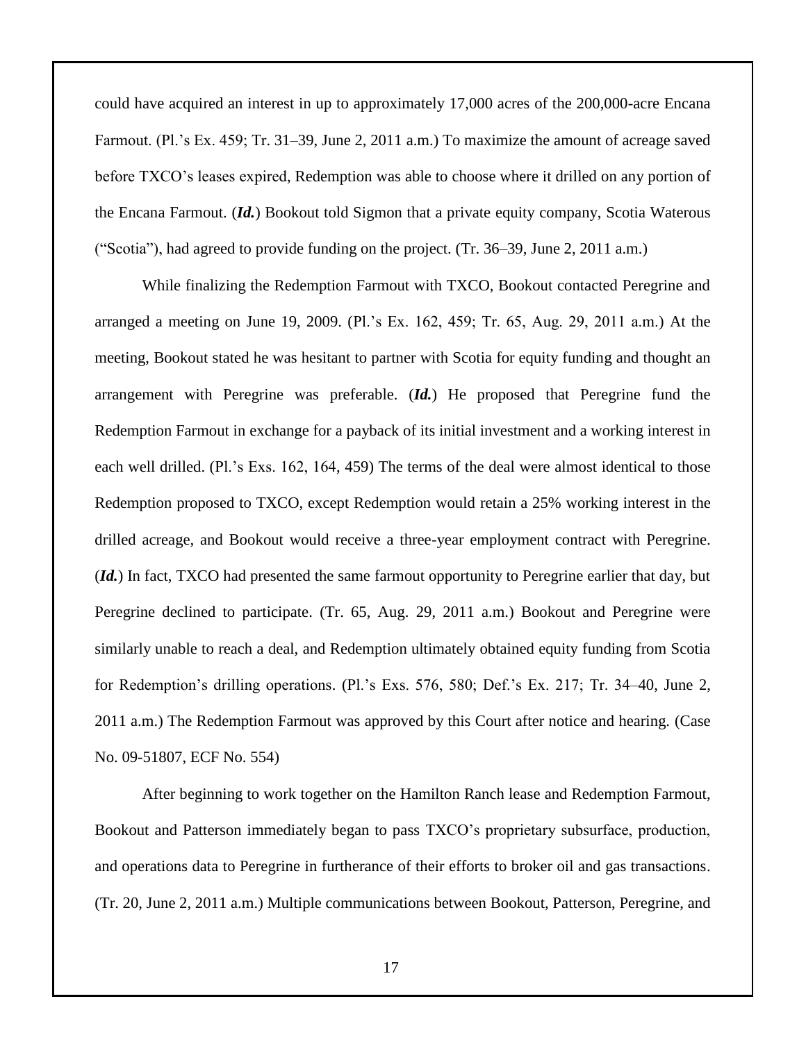could have acquired an interest in up to approximately 17,000 acres of the 200,000-acre Encana Farmout. (Pl.'s Ex. 459; Tr. 31–39, June 2, 2011 a.m.) To maximize the amount of acreage saved before TXCO's leases expired, Redemption was able to choose where it drilled on any portion of the Encana Farmout. (*Id.*) Bookout told Sigmon that a private equity company, Scotia Waterous ("Scotia"), had agreed to provide funding on the project. (Tr. 36–39, June 2, 2011 a.m.)

While finalizing the Redemption Farmout with TXCO, Bookout contacted Peregrine and arranged a meeting on June 19, 2009. (Pl.'s Ex. 162, 459; Tr. 65, Aug. 29, 2011 a.m.) At the meeting, Bookout stated he was hesitant to partner with Scotia for equity funding and thought an arrangement with Peregrine was preferable. (*Id.*) He proposed that Peregrine fund the Redemption Farmout in exchange for a payback of its initial investment and a working interest in each well drilled. (Pl.'s Exs. 162, 164, 459) The terms of the deal were almost identical to those Redemption proposed to TXCO, except Redemption would retain a 25% working interest in the drilled acreage, and Bookout would receive a three-year employment contract with Peregrine. (*Id.*) In fact, TXCO had presented the same farmout opportunity to Peregrine earlier that day, but Peregrine declined to participate. (Tr. 65, Aug. 29, 2011 a.m.) Bookout and Peregrine were similarly unable to reach a deal, and Redemption ultimately obtained equity funding from Scotia for Redemption's drilling operations. (Pl.'s Exs. 576, 580; Def.'s Ex. 217; Tr. 34–40, June 2, 2011 a.m.) The Redemption Farmout was approved by this Court after notice and hearing. (Case No. 09-51807, ECF No. 554)

After beginning to work together on the Hamilton Ranch lease and Redemption Farmout, Bookout and Patterson immediately began to pass TXCO's proprietary subsurface, production, and operations data to Peregrine in furtherance of their efforts to broker oil and gas transactions. (Tr. 20, June 2, 2011 a.m.) Multiple communications between Bookout, Patterson, Peregrine, and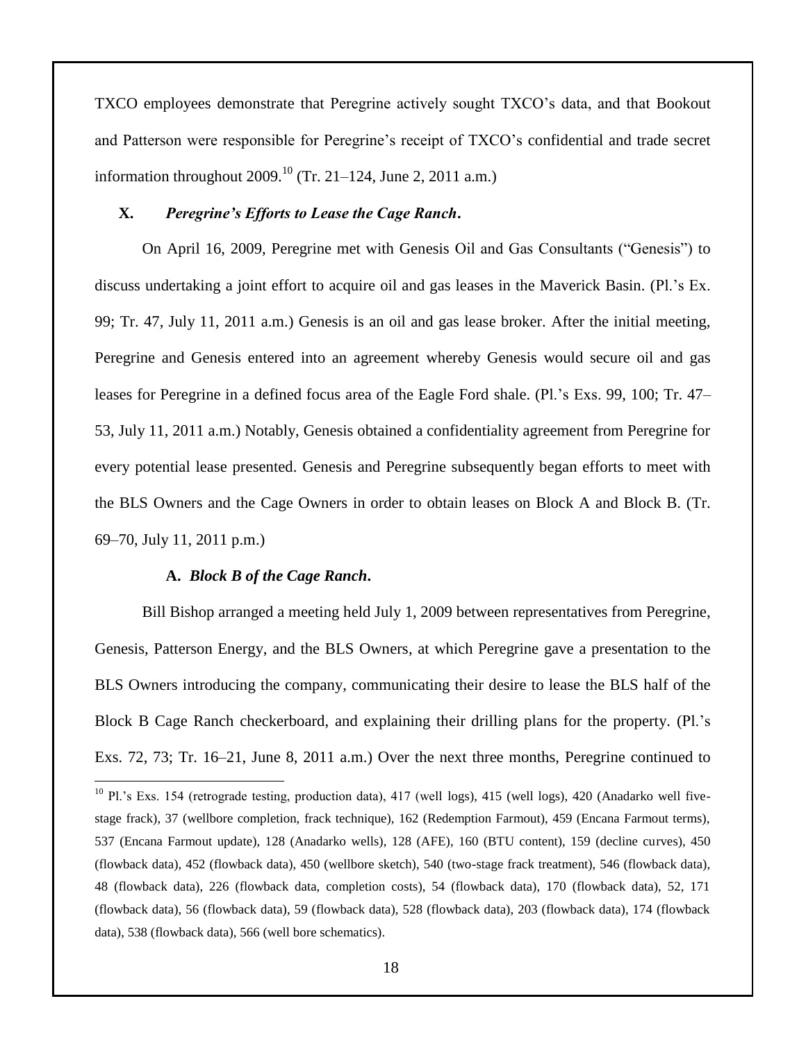TXCO employees demonstrate that Peregrine actively sought TXCO's data, and that Bookout and Patterson were responsible for Peregrine's receipt of TXCO's confidential and trade secret information throughout 2009.<sup>10</sup> (Tr. 21–124, June 2, 2011 a.m.)

### **X.** *Peregrine's Efforts to Lease the Cage Ranch***.**

On April 16, 2009, Peregrine met with Genesis Oil and Gas Consultants ("Genesis") to discuss undertaking a joint effort to acquire oil and gas leases in the Maverick Basin. (Pl.'s Ex. 99; Tr. 47, July 11, 2011 a.m.) Genesis is an oil and gas lease broker. After the initial meeting, Peregrine and Genesis entered into an agreement whereby Genesis would secure oil and gas leases for Peregrine in a defined focus area of the Eagle Ford shale. (Pl.'s Exs. 99, 100; Tr. 47– 53, July 11, 2011 a.m.) Notably, Genesis obtained a confidentiality agreement from Peregrine for every potential lease presented. Genesis and Peregrine subsequently began efforts to meet with the BLS Owners and the Cage Owners in order to obtain leases on Block A and Block B. (Tr. 69–70, July 11, 2011 p.m.)

#### **A.** *Block B of the Cage Ranch***.**

 $\overline{a}$ 

Bill Bishop arranged a meeting held July 1, 2009 between representatives from Peregrine, Genesis, Patterson Energy, and the BLS Owners, at which Peregrine gave a presentation to the BLS Owners introducing the company, communicating their desire to lease the BLS half of the Block B Cage Ranch checkerboard, and explaining their drilling plans for the property. (Pl.'s Exs. 72, 73; Tr. 16–21, June 8, 2011 a.m.) Over the next three months, Peregrine continued to

 $10$  Pl.'s Exs. 154 (retrograde testing, production data), 417 (well logs), 415 (well logs), 420 (Anadarko well fivestage frack), 37 (wellbore completion, frack technique), 162 (Redemption Farmout), 459 (Encana Farmout terms), 537 (Encana Farmout update), 128 (Anadarko wells), 128 (AFE), 160 (BTU content), 159 (decline curves), 450 (flowback data), 452 (flowback data), 450 (wellbore sketch), 540 (two-stage frack treatment), 546 (flowback data), 48 (flowback data), 226 (flowback data, completion costs), 54 (flowback data), 170 (flowback data), 52, 171 (flowback data), 56 (flowback data), 59 (flowback data), 528 (flowback data), 203 (flowback data), 174 (flowback data), 538 (flowback data), 566 (well bore schematics).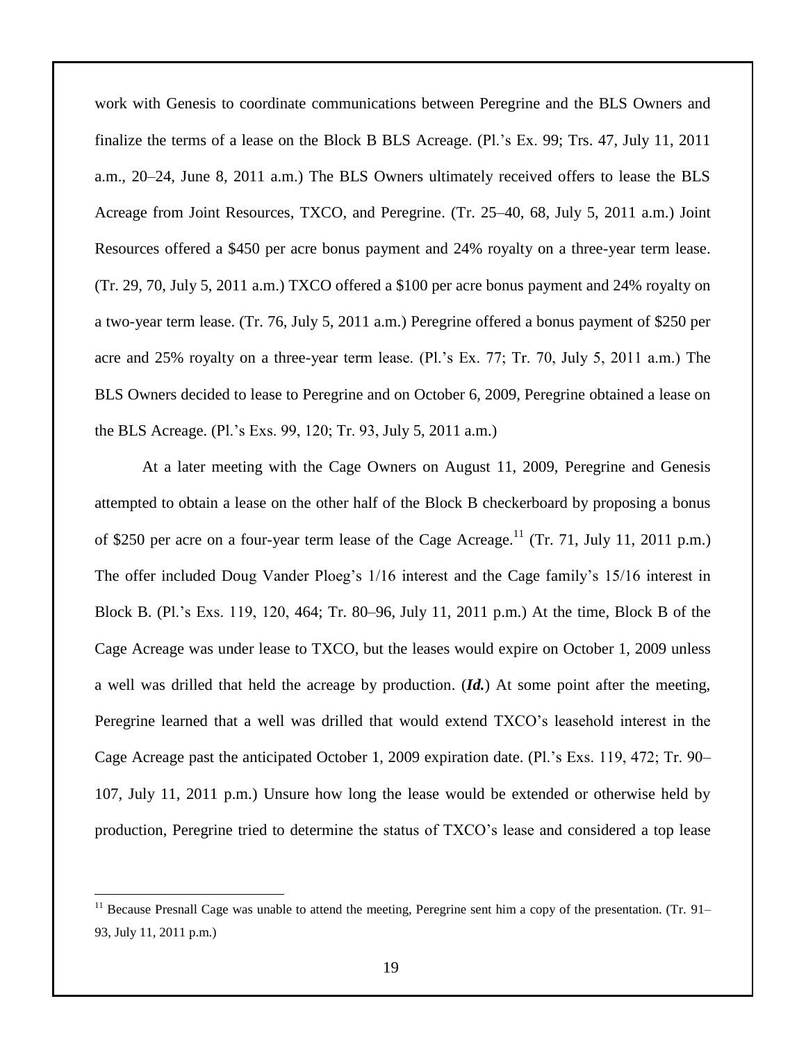work with Genesis to coordinate communications between Peregrine and the BLS Owners and finalize the terms of a lease on the Block B BLS Acreage. (Pl.'s Ex. 99; Trs. 47, July 11, 2011 a.m., 20–24, June 8, 2011 a.m.) The BLS Owners ultimately received offers to lease the BLS Acreage from Joint Resources, TXCO, and Peregrine. (Tr. 25–40, 68, July 5, 2011 a.m.) Joint Resources offered a \$450 per acre bonus payment and 24% royalty on a three-year term lease. (Tr. 29, 70, July 5, 2011 a.m.) TXCO offered a \$100 per acre bonus payment and 24% royalty on a two-year term lease. (Tr. 76, July 5, 2011 a.m.) Peregrine offered a bonus payment of \$250 per acre and 25% royalty on a three-year term lease. (Pl.'s Ex. 77; Tr. 70, July 5, 2011 a.m.) The BLS Owners decided to lease to Peregrine and on October 6, 2009, Peregrine obtained a lease on the BLS Acreage. (Pl.'s Exs. 99, 120; Tr. 93, July 5, 2011 a.m.)

At a later meeting with the Cage Owners on August 11, 2009, Peregrine and Genesis attempted to obtain a lease on the other half of the Block B checkerboard by proposing a bonus of \$250 per acre on a four-year term lease of the Cage Acreage.<sup>11</sup> (Tr. 71, July 11, 2011 p.m.) The offer included Doug Vander Ploeg's 1/16 interest and the Cage family's 15/16 interest in Block B. (Pl.'s Exs. 119, 120, 464; Tr. 80–96, July 11, 2011 p.m.) At the time, Block B of the Cage Acreage was under lease to TXCO, but the leases would expire on October 1, 2009 unless a well was drilled that held the acreage by production. (*Id.*) At some point after the meeting, Peregrine learned that a well was drilled that would extend TXCO's leasehold interest in the Cage Acreage past the anticipated October 1, 2009 expiration date. (Pl.'s Exs. 119, 472; Tr. 90– 107, July 11, 2011 p.m.) Unsure how long the lease would be extended or otherwise held by production, Peregrine tried to determine the status of TXCO's lease and considered a top lease

 $\overline{a}$ 

 $11$  Because Presnall Cage was unable to attend the meeting, Peregrine sent him a copy of the presentation. (Tr. 91– 93, July 11, 2011 p.m.)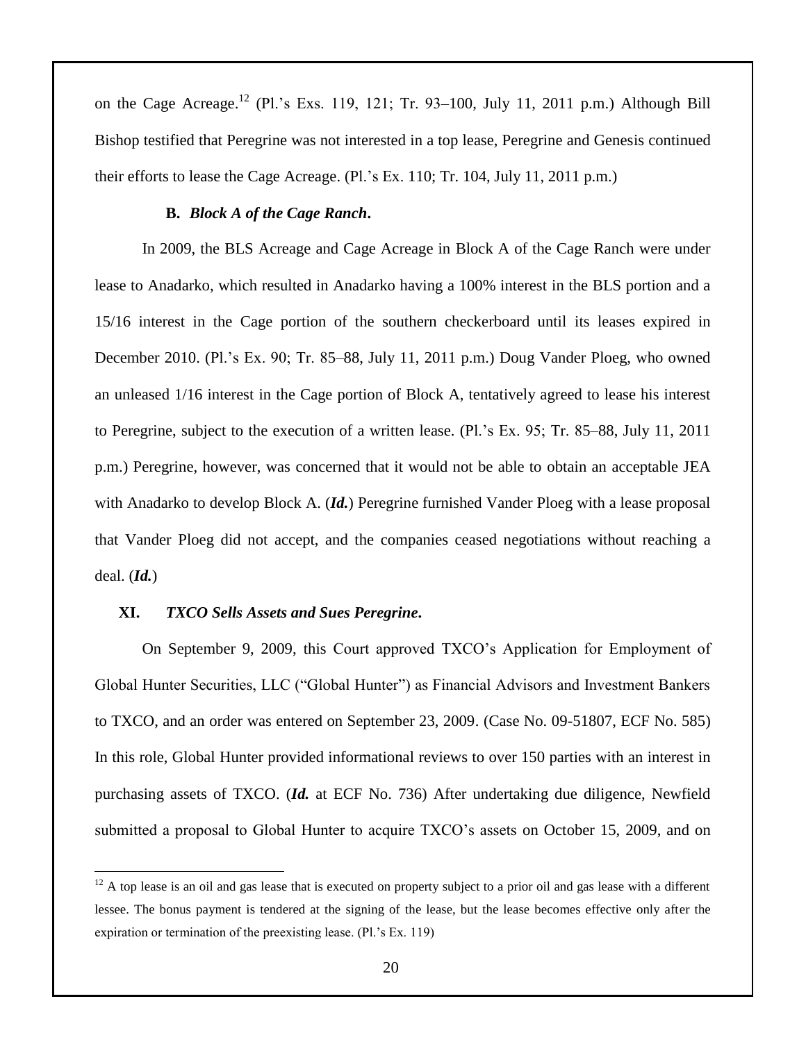on the Cage Acreage.<sup>12</sup> (Pl.'s Exs. 119, 121; Tr. 93–100, July 11, 2011 p.m.) Although Bill Bishop testified that Peregrine was not interested in a top lease, Peregrine and Genesis continued their efforts to lease the Cage Acreage. (Pl.'s Ex. 110; Tr. 104, July 11, 2011 p.m.)

### **B.** *Block A of the Cage Ranch***.**

In 2009, the BLS Acreage and Cage Acreage in Block A of the Cage Ranch were under lease to Anadarko, which resulted in Anadarko having a 100% interest in the BLS portion and a 15/16 interest in the Cage portion of the southern checkerboard until its leases expired in December 2010. (Pl.'s Ex. 90; Tr. 85–88, July 11, 2011 p.m.) Doug Vander Ploeg, who owned an unleased 1/16 interest in the Cage portion of Block A, tentatively agreed to lease his interest to Peregrine, subject to the execution of a written lease. (Pl.'s Ex. 95; Tr. 85–88, July 11, 2011 p.m.) Peregrine, however, was concerned that it would not be able to obtain an acceptable JEA with Anadarko to develop Block A. (*Id.*) Peregrine furnished Vander Ploeg with a lease proposal that Vander Ploeg did not accept, and the companies ceased negotiations without reaching a deal. (*Id.*)

#### **XI.** *TXCO Sells Assets and Sues Peregrine***.**

 $\overline{a}$ 

On September 9, 2009, this Court approved TXCO's Application for Employment of Global Hunter Securities, LLC ("Global Hunter") as Financial Advisors and Investment Bankers to TXCO, and an order was entered on September 23, 2009. (Case No. 09-51807, ECF No. 585) In this role, Global Hunter provided informational reviews to over 150 parties with an interest in purchasing assets of TXCO. (*Id.* at ECF No. 736) After undertaking due diligence, Newfield submitted a proposal to Global Hunter to acquire TXCO's assets on October 15, 2009, and on

 $12$  A top lease is an oil and gas lease that is executed on property subject to a prior oil and gas lease with a different lessee. The bonus payment is tendered at the signing of the lease, but the lease becomes effective only after the expiration or termination of the preexisting lease. (Pl.'s Ex. 119)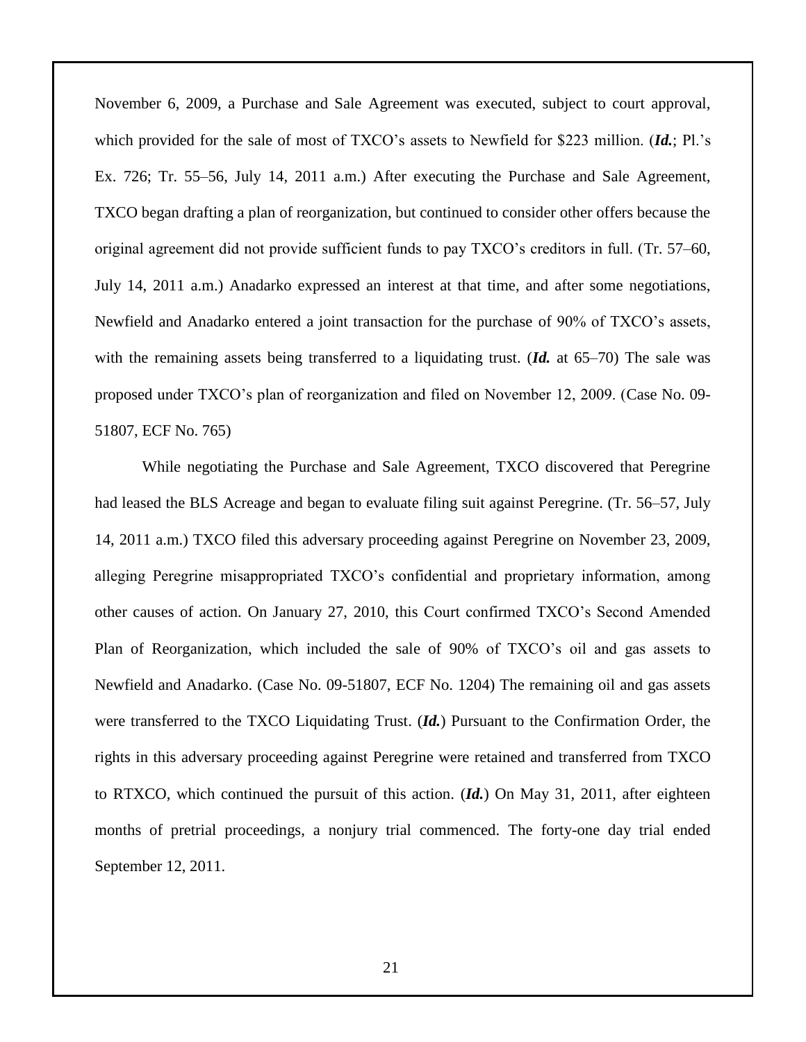November 6, 2009, a Purchase and Sale Agreement was executed, subject to court approval, which provided for the sale of most of TXCO's assets to Newfield for \$223 million. (*Id.*; Pl.'s Ex. 726; Tr. 55–56, July 14, 2011 a.m.) After executing the Purchase and Sale Agreement, TXCO began drafting a plan of reorganization, but continued to consider other offers because the original agreement did not provide sufficient funds to pay TXCO's creditors in full. (Tr. 57–60, July 14, 2011 a.m.) Anadarko expressed an interest at that time, and after some negotiations, Newfield and Anadarko entered a joint transaction for the purchase of 90% of TXCO's assets, with the remaining assets being transferred to a liquidating trust. (*Id.* at 65–70) The sale was proposed under TXCO's plan of reorganization and filed on November 12, 2009. (Case No. 09- 51807, ECF No. 765)

While negotiating the Purchase and Sale Agreement, TXCO discovered that Peregrine had leased the BLS Acreage and began to evaluate filing suit against Peregrine. (Tr. 56–57, July 14, 2011 a.m.) TXCO filed this adversary proceeding against Peregrine on November 23, 2009, alleging Peregrine misappropriated TXCO's confidential and proprietary information, among other causes of action. On January 27, 2010, this Court confirmed TXCO's Second Amended Plan of Reorganization, which included the sale of 90% of TXCO's oil and gas assets to Newfield and Anadarko. (Case No. 09-51807, ECF No. 1204) The remaining oil and gas assets were transferred to the TXCO Liquidating Trust. (*Id.*) Pursuant to the Confirmation Order, the rights in this adversary proceeding against Peregrine were retained and transferred from TXCO to RTXCO, which continued the pursuit of this action. (*Id.*) On May 31, 2011, after eighteen months of pretrial proceedings, a nonjury trial commenced. The forty-one day trial ended September 12, 2011.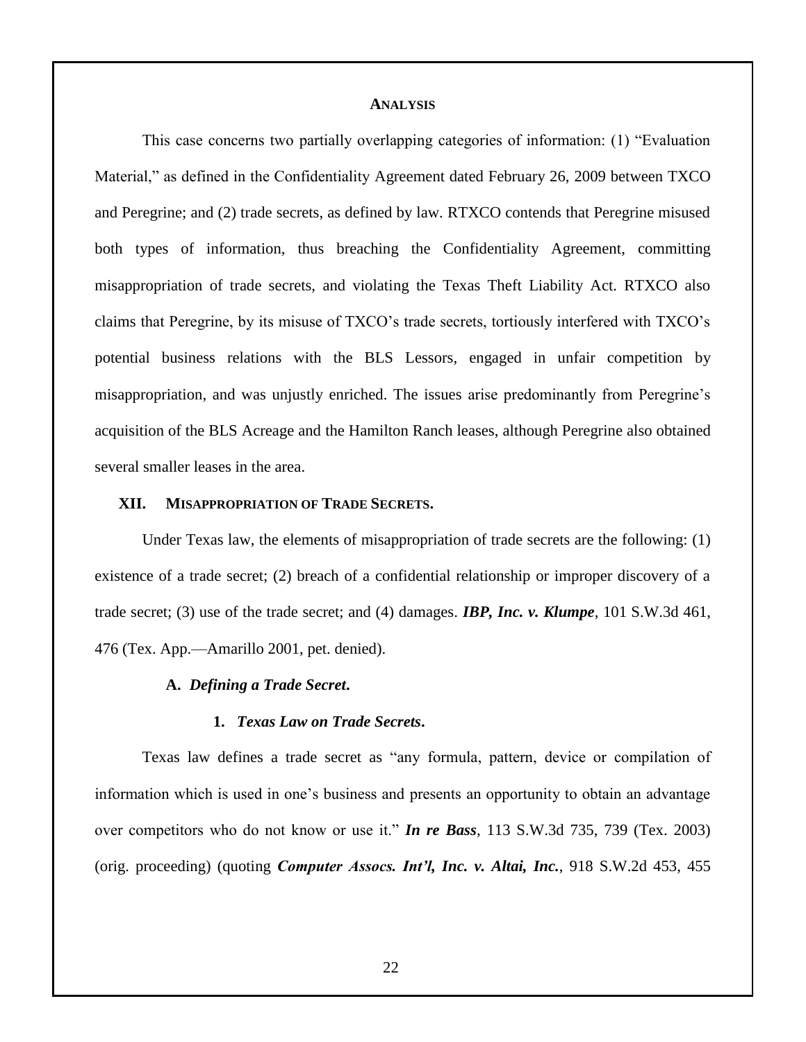#### **ANALYSIS**

This case concerns two partially overlapping categories of information: (1) "Evaluation Material," as defined in the Confidentiality Agreement dated February 26, 2009 between TXCO and Peregrine; and (2) trade secrets, as defined by law. RTXCO contends that Peregrine misused both types of information, thus breaching the Confidentiality Agreement, committing misappropriation of trade secrets, and violating the Texas Theft Liability Act. RTXCO also claims that Peregrine, by its misuse of TXCO's trade secrets, tortiously interfered with TXCO's potential business relations with the BLS Lessors, engaged in unfair competition by misappropriation, and was unjustly enriched. The issues arise predominantly from Peregrine's acquisition of the BLS Acreage and the Hamilton Ranch leases, although Peregrine also obtained several smaller leases in the area.

#### **XII. MISAPPROPRIATION OF TRADE SECRETS.**

Under Texas law, the elements of misappropriation of trade secrets are the following: (1) existence of a trade secret; (2) breach of a confidential relationship or improper discovery of a trade secret; (3) use of the trade secret; and (4) damages. *IBP, Inc. v. Klumpe*, 101 S.W.3d 461, 476 (Tex. App.—Amarillo 2001, pet. denied).

#### **A.** *Defining a Trade Secret***.**

#### **1.** *Texas Law on Trade Secrets***.**

Texas law defines a trade secret as "any formula, pattern, device or compilation of information which is used in one's business and presents an opportunity to obtain an advantage over competitors who do not know or use it." *In re Bass*, 113 S.W.3d 735, 739 (Tex. 2003) (orig. proceeding) (quoting *Computer Assocs. Int'l, Inc. v. Altai, Inc.*, 918 S.W.2d 453, 455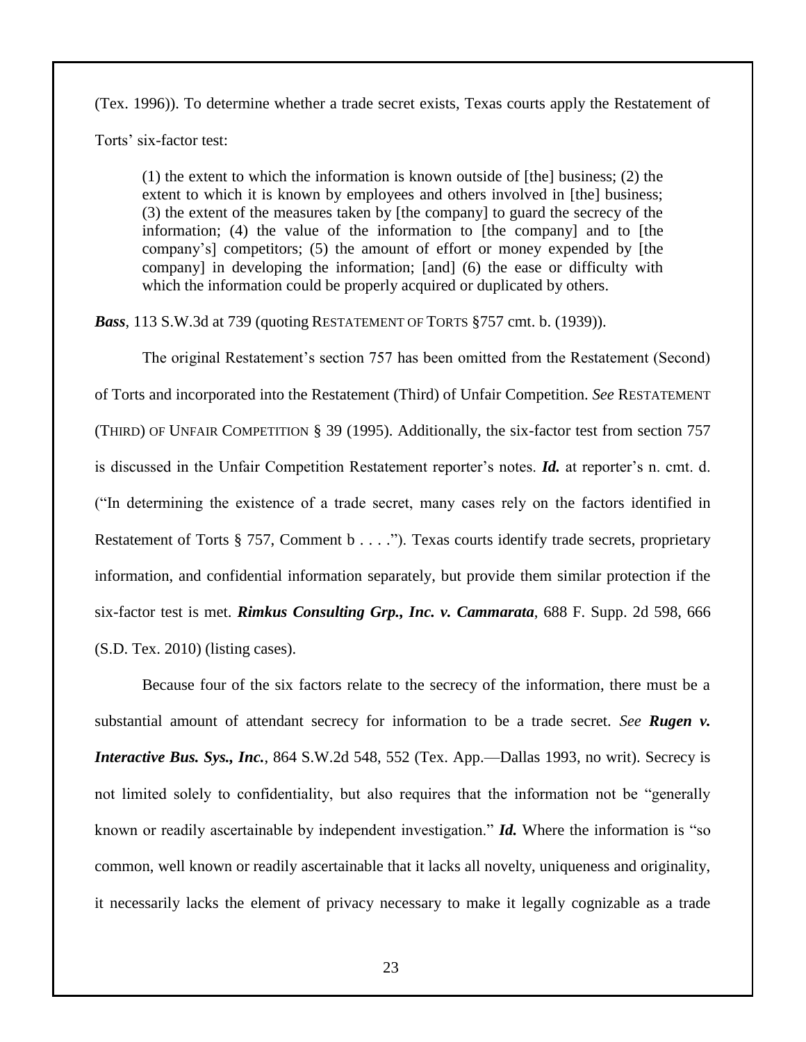(Tex. 1996)). To determine whether a trade secret exists, Texas courts apply the Restatement of Torts' six-factor test:

(1) the extent to which the information is known outside of [the] business; (2) the extent to which it is known by employees and others involved in [the] business; (3) the extent of the measures taken by [the company] to guard the secrecy of the information; (4) the value of the information to [the company] and to [the company's] competitors; (5) the amount of effort or money expended by [the company] in developing the information; [and] (6) the ease or difficulty with which the information could be properly acquired or duplicated by others.

*Bass*, 113 S.W.3d at 739 (quoting RESTATEMENT OF TORTS §757 cmt. b. (1939)).

The original Restatement's section 757 has been omitted from the Restatement (Second) of Torts and incorporated into the Restatement (Third) of Unfair Competition. *See* RESTATEMENT (THIRD) OF UNFAIR COMPETITION § 39 (1995). Additionally, the six-factor test from section 757 is discussed in the Unfair Competition Restatement reporter's notes. *Id.* at reporter's n. cmt. d. ("In determining the existence of a trade secret, many cases rely on the factors identified in Restatement of Torts § 757, Comment b . . . ."). Texas courts identify trade secrets, proprietary information, and confidential information separately, but provide them similar protection if the six-factor test is met. *Rimkus Consulting Grp., Inc. v. Cammarata*, 688 F. Supp. 2d 598, 666 (S.D. Tex. 2010) (listing cases).

Because four of the six factors relate to the secrecy of the information, there must be a substantial amount of attendant secrecy for information to be a trade secret. *See Rugen v. Interactive Bus. Sys., Inc.*, 864 S.W.2d 548, 552 (Tex. App.—Dallas 1993, no writ). Secrecy is not limited solely to confidentiality, but also requires that the information not be "generally known or readily ascertainable by independent investigation." *Id.* Where the information is "so common, well known or readily ascertainable that it lacks all novelty, uniqueness and originality, it necessarily lacks the element of privacy necessary to make it legally cognizable as a trade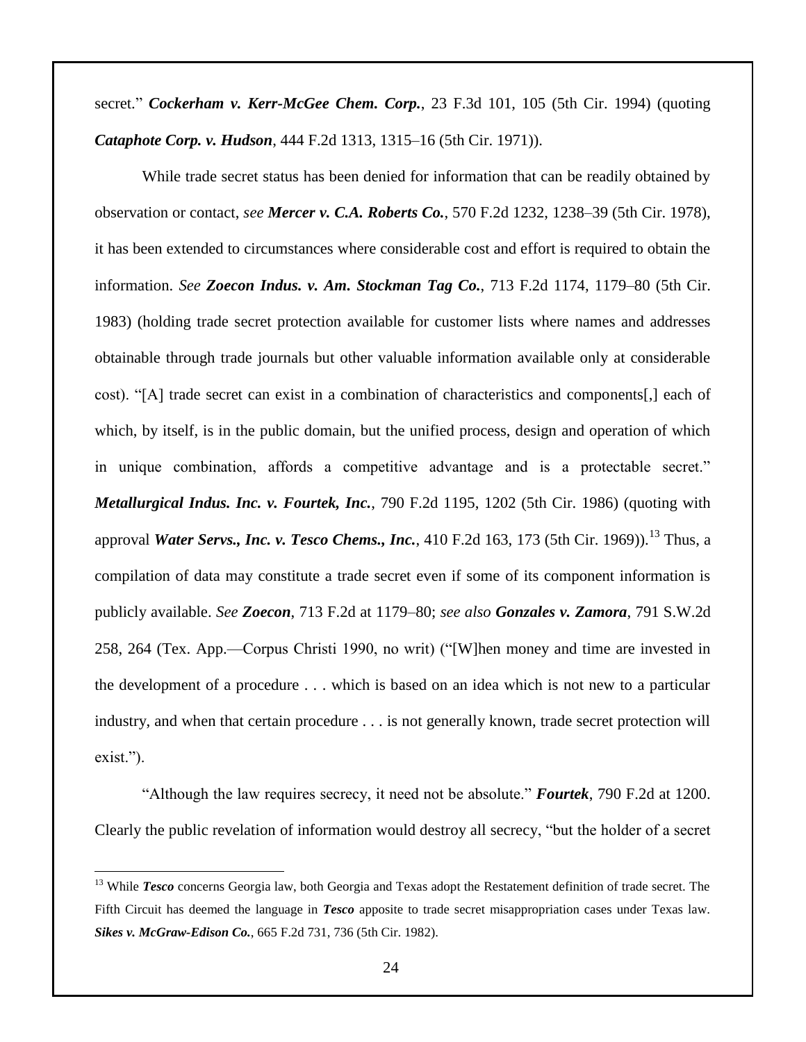secret." *Cockerham v. Kerr-McGee Chem. Corp.*, 23 F.3d 101, 105 (5th Cir. 1994) (quoting *Cataphote Corp. v. Hudson*, 444 F.2d 1313, 1315–16 (5th Cir. 1971)).

While trade secret status has been denied for information that can be readily obtained by observation or contact, *see Mercer v. C.A. Roberts Co.*, 570 F.2d 1232, 1238–39 (5th Cir. 1978), it has been extended to circumstances where considerable cost and effort is required to obtain the information. *See Zoecon Indus. v. Am. Stockman Tag Co.*, 713 F.2d 1174, 1179–80 (5th Cir. 1983) (holding trade secret protection available for customer lists where names and addresses obtainable through trade journals but other valuable information available only at considerable cost). "[A] trade secret can exist in a combination of characteristics and components[,] each of which, by itself, is in the public domain, but the unified process, design and operation of which in unique combination, affords a competitive advantage and is a protectable secret." *Metallurgical Indus. Inc. v. Fourtek, Inc.*, 790 F.2d 1195, 1202 (5th Cir. 1986) (quoting with approval *Water Servs., Inc. v. Tesco Chems., Inc.*, 410 F.2d 163, 173 (5th Cir. 1969)).<sup>13</sup> Thus, a compilation of data may constitute a trade secret even if some of its component information is publicly available. *See Zoecon*, 713 F.2d at 1179–80; *see also Gonzales v. Zamora*, 791 S.W.2d 258, 264 (Tex. App.—Corpus Christi 1990, no writ) ("[W]hen money and time are invested in the development of a procedure . . . which is based on an idea which is not new to a particular industry, and when that certain procedure . . . is not generally known, trade secret protection will exist.").

"Although the law requires secrecy, it need not be absolute." *Fourtek*, 790 F.2d at 1200. Clearly the public revelation of information would destroy all secrecy, "but the holder of a secret

 $\overline{a}$ 

<sup>&</sup>lt;sup>13</sup> While *Tesco* concerns Georgia law, both Georgia and Texas adopt the Restatement definition of trade secret. The Fifth Circuit has deemed the language in *Tesco* apposite to trade secret misappropriation cases under Texas law. *Sikes v. McGraw-Edison Co.*, 665 F.2d 731, 736 (5th Cir. 1982).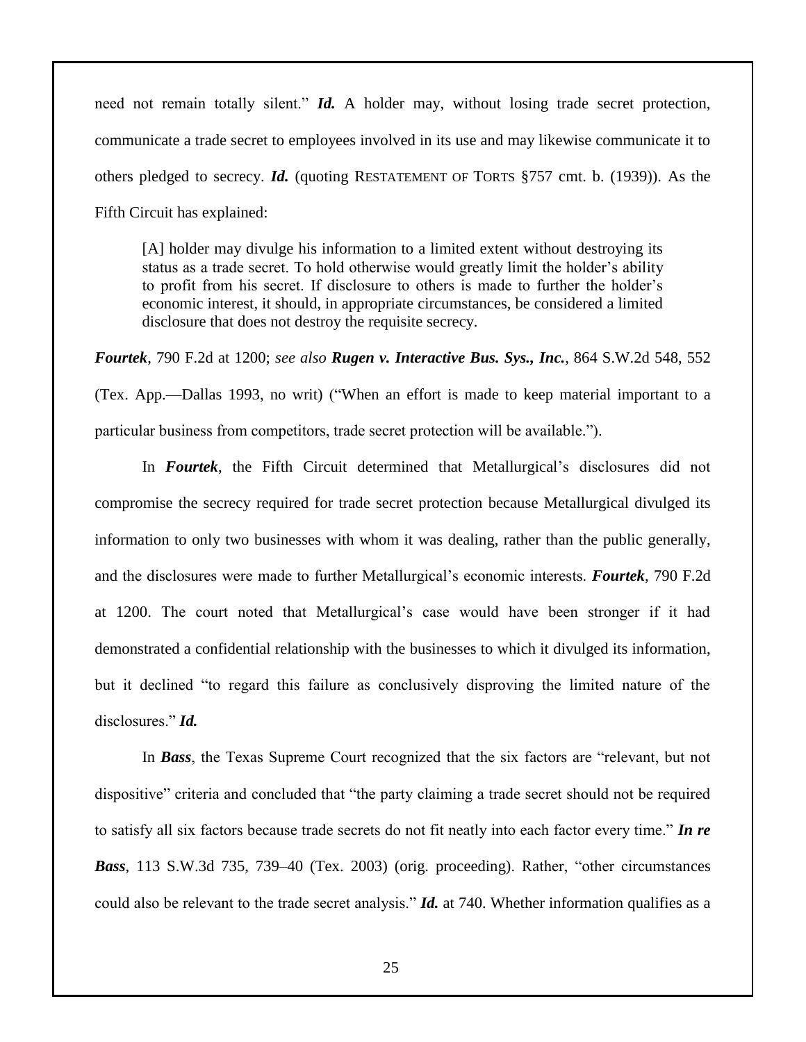need not remain totally silent." *Id.* A holder may, without losing trade secret protection, communicate a trade secret to employees involved in its use and may likewise communicate it to others pledged to secrecy. *Id.* (quoting RESTATEMENT OF TORTS §757 cmt. b. (1939)). As the Fifth Circuit has explained:

[A] holder may divulge his information to a limited extent without destroying its status as a trade secret. To hold otherwise would greatly limit the holder's ability to profit from his secret. If disclosure to others is made to further the holder's economic interest, it should, in appropriate circumstances, be considered a limited disclosure that does not destroy the requisite secrecy.

*Fourtek*, 790 F.2d at 1200; *see also Rugen v. Interactive Bus. Sys., Inc.*, 864 S.W.2d 548, 552 (Tex. App.—Dallas 1993, no writ) ("When an effort is made to keep material important to a particular business from competitors, trade secret protection will be available.").

In *Fourtek*, the Fifth Circuit determined that Metallurgical's disclosures did not compromise the secrecy required for trade secret protection because Metallurgical divulged its information to only two businesses with whom it was dealing, rather than the public generally, and the disclosures were made to further Metallurgical's economic interests. *Fourtek*, 790 F.2d at 1200. The court noted that Metallurgical's case would have been stronger if it had demonstrated a confidential relationship with the businesses to which it divulged its information, but it declined "to regard this failure as conclusively disproving the limited nature of the disclosures." *Id.* 

In *Bass*, the Texas Supreme Court recognized that the six factors are "relevant, but not dispositive" criteria and concluded that "the party claiming a trade secret should not be required to satisfy all six factors because trade secrets do not fit neatly into each factor every time." *In re Bass*, 113 S.W.3d 735, 739–40 (Tex. 2003) (orig. proceeding). Rather, "other circumstances could also be relevant to the trade secret analysis." *Id.* at 740. Whether information qualifies as a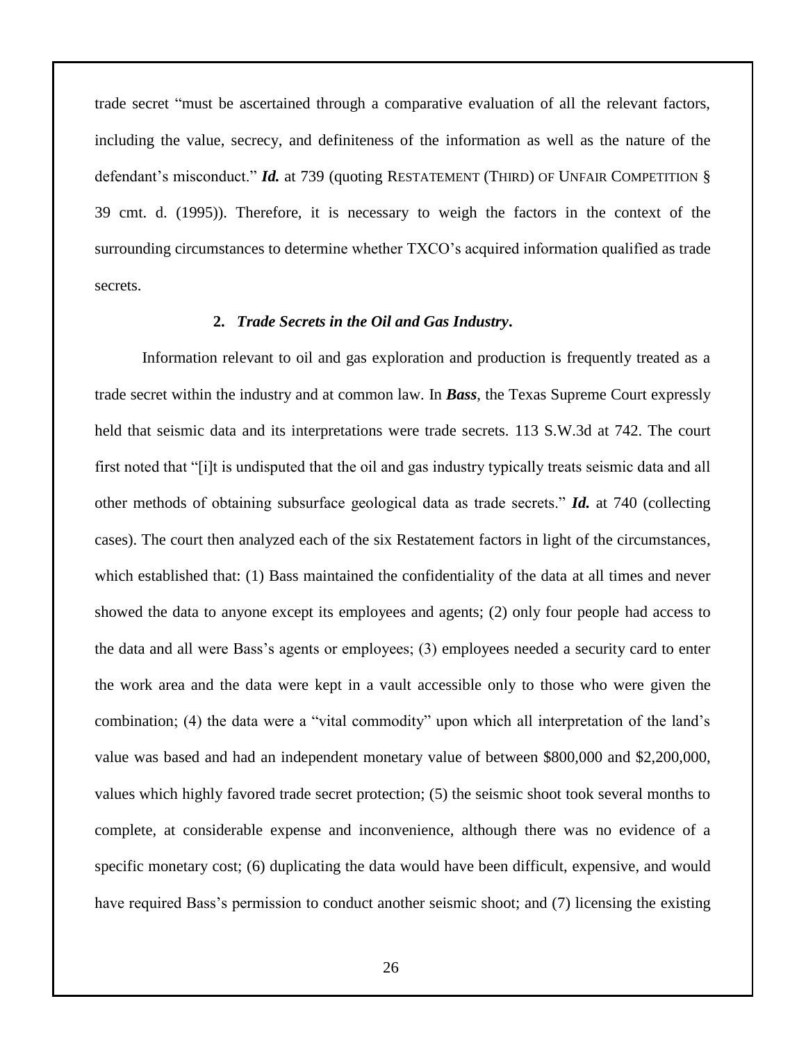trade secret "must be ascertained through a comparative evaluation of all the relevant factors, including the value, secrecy, and definiteness of the information as well as the nature of the defendant's misconduct." *Id.* at 739 (quoting RESTATEMENT (THIRD) OF UNFAIR COMPETITION § 39 cmt. d. (1995)). Therefore, it is necessary to weigh the factors in the context of the surrounding circumstances to determine whether TXCO's acquired information qualified as trade secrets.

## **2.** *Trade Secrets in the Oil and Gas Industry***.**

Information relevant to oil and gas exploration and production is frequently treated as a trade secret within the industry and at common law. In *Bass*, the Texas Supreme Court expressly held that seismic data and its interpretations were trade secrets. 113 S.W.3d at 742. The court first noted that "[i]t is undisputed that the oil and gas industry typically treats seismic data and all other methods of obtaining subsurface geological data as trade secrets." *Id.* at 740 (collecting cases). The court then analyzed each of the six Restatement factors in light of the circumstances, which established that: (1) Bass maintained the confidentiality of the data at all times and never showed the data to anyone except its employees and agents; (2) only four people had access to the data and all were Bass's agents or employees; (3) employees needed a security card to enter the work area and the data were kept in a vault accessible only to those who were given the combination; (4) the data were a "vital commodity" upon which all interpretation of the land's value was based and had an independent monetary value of between \$800,000 and \$2,200,000, values which highly favored trade secret protection; (5) the seismic shoot took several months to complete, at considerable expense and inconvenience, although there was no evidence of a specific monetary cost; (6) duplicating the data would have been difficult, expensive, and would have required Bass's permission to conduct another seismic shoot; and (7) licensing the existing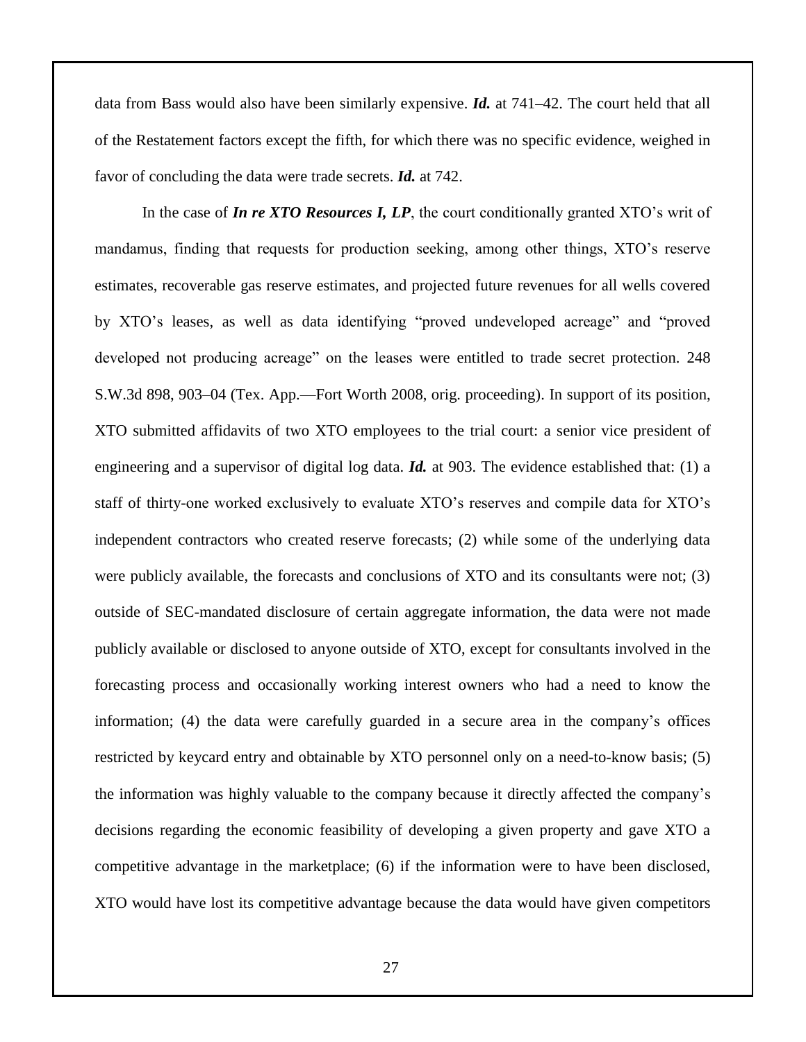data from Bass would also have been similarly expensive. *Id.* at 741–42. The court held that all of the Restatement factors except the fifth, for which there was no specific evidence, weighed in favor of concluding the data were trade secrets. *Id.* at 742.

In the case of *In re XTO Resources I, LP*, the court conditionally granted XTO's writ of mandamus, finding that requests for production seeking, among other things, XTO's reserve estimates, recoverable gas reserve estimates, and projected future revenues for all wells covered by XTO's leases, as well as data identifying "proved undeveloped acreage" and "proved developed not producing acreage" on the leases were entitled to trade secret protection. 248 S.W.3d 898, 903–04 (Tex. App.—Fort Worth 2008, orig. proceeding). In support of its position, XTO submitted affidavits of two XTO employees to the trial court: a senior vice president of engineering and a supervisor of digital log data. *Id.* at 903. The evidence established that: (1) a staff of thirty-one worked exclusively to evaluate XTO's reserves and compile data for XTO's independent contractors who created reserve forecasts; (2) while some of the underlying data were publicly available, the forecasts and conclusions of XTO and its consultants were not; (3) outside of SEC-mandated disclosure of certain aggregate information, the data were not made publicly available or disclosed to anyone outside of XTO, except for consultants involved in the forecasting process and occasionally working interest owners who had a need to know the information; (4) the data were carefully guarded in a secure area in the company's offices restricted by keycard entry and obtainable by XTO personnel only on a need-to-know basis; (5) the information was highly valuable to the company because it directly affected the company's decisions regarding the economic feasibility of developing a given property and gave XTO a competitive advantage in the marketplace; (6) if the information were to have been disclosed, XTO would have lost its competitive advantage because the data would have given competitors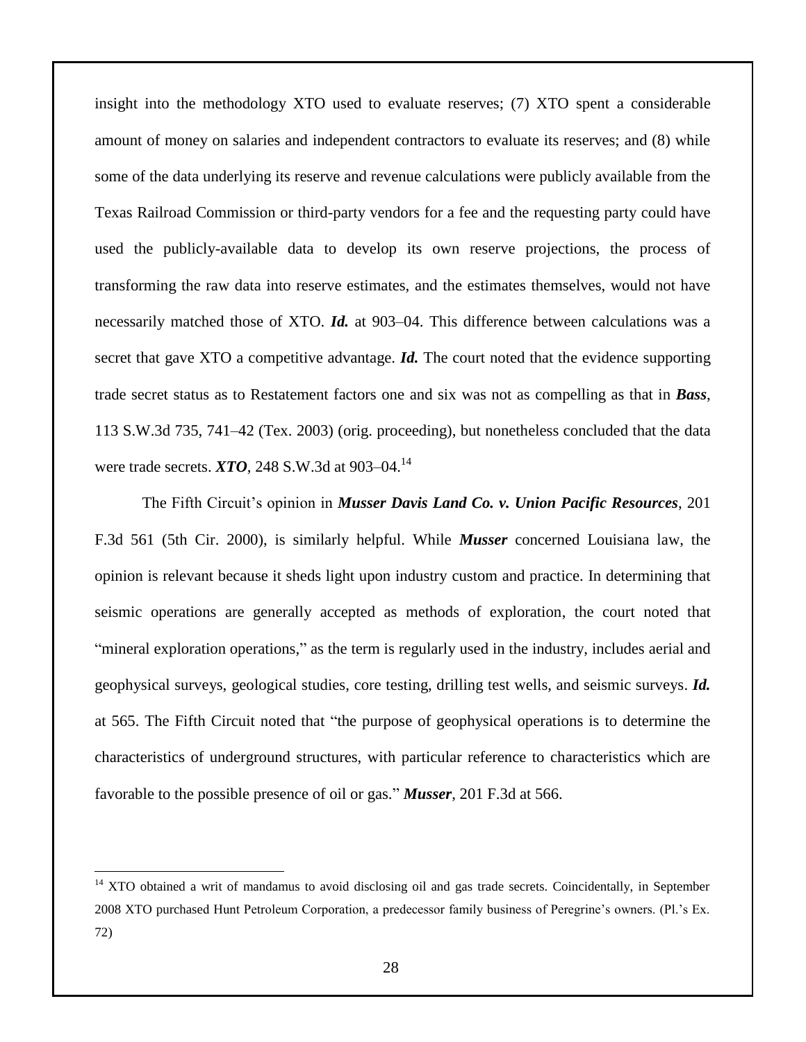insight into the methodology XTO used to evaluate reserves; (7) XTO spent a considerable amount of money on salaries and independent contractors to evaluate its reserves; and (8) while some of the data underlying its reserve and revenue calculations were publicly available from the Texas Railroad Commission or third-party vendors for a fee and the requesting party could have used the publicly-available data to develop its own reserve projections, the process of transforming the raw data into reserve estimates, and the estimates themselves, would not have necessarily matched those of XTO. *Id.* at 903–04. This difference between calculations was a secret that gave XTO a competitive advantage. *Id*. The court noted that the evidence supporting trade secret status as to Restatement factors one and six was not as compelling as that in *Bass*, 113 S.W.3d 735, 741–42 (Tex. 2003) (orig. proceeding), but nonetheless concluded that the data were trade secrets. *XTO*, 248 S.W.3d at 903–04.<sup>14</sup>

The Fifth Circuit's opinion in *Musser Davis Land Co. v. Union Pacific Resources*, 201 F.3d 561 (5th Cir. 2000), is similarly helpful. While *Musser* concerned Louisiana law, the opinion is relevant because it sheds light upon industry custom and practice. In determining that seismic operations are generally accepted as methods of exploration, the court noted that "mineral exploration operations," as the term is regularly used in the industry, includes aerial and geophysical surveys, geological studies, core testing, drilling test wells, and seismic surveys. *Id.* at 565. The Fifth Circuit noted that "the purpose of geophysical operations is to determine the characteristics of underground structures, with particular reference to characteristics which are favorable to the possible presence of oil or gas." *Musser*, 201 F.3d at 566.

 $\overline{a}$ 

<sup>&</sup>lt;sup>14</sup> XTO obtained a writ of mandamus to avoid disclosing oil and gas trade secrets. Coincidentally, in September 2008 XTO purchased Hunt Petroleum Corporation, a predecessor family business of Peregrine's owners. (Pl.'s Ex. 72)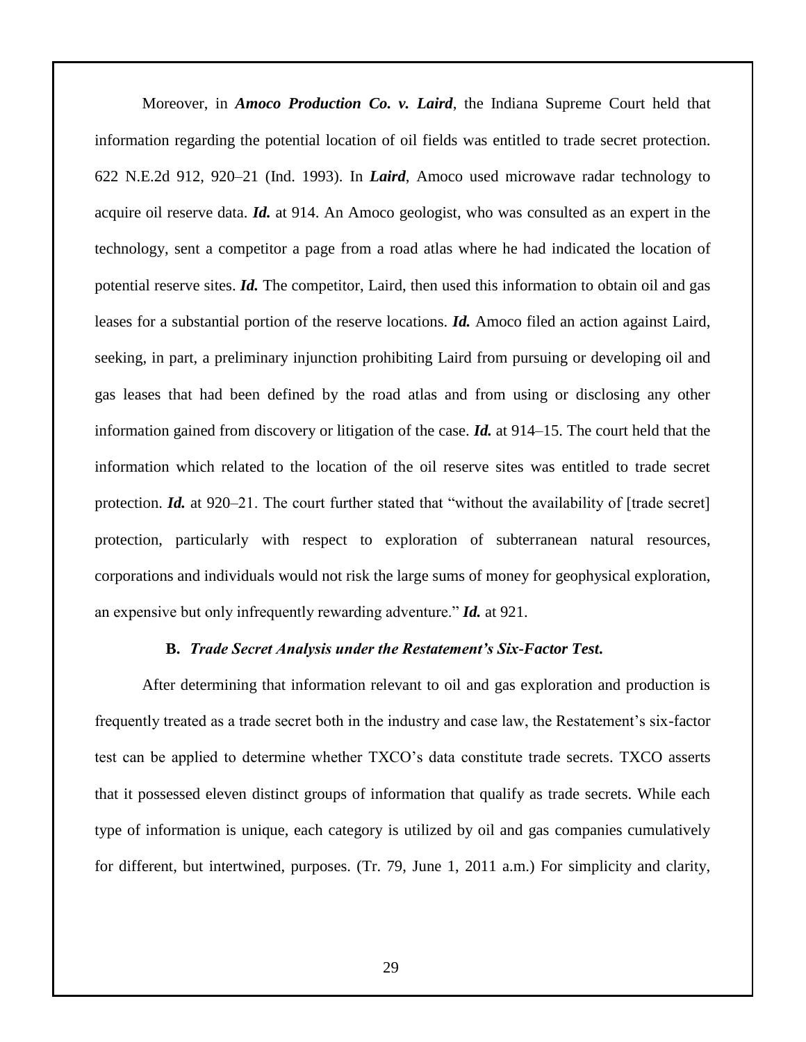Moreover, in *Amoco Production Co. v. Laird*, the Indiana Supreme Court held that information regarding the potential location of oil fields was entitled to trade secret protection. 622 N.E.2d 912, 920–21 (Ind. 1993). In *Laird*, Amoco used microwave radar technology to acquire oil reserve data. *Id.* at 914. An Amoco geologist, who was consulted as an expert in the technology, sent a competitor a page from a road atlas where he had indicated the location of potential reserve sites. *Id.* The competitor, Laird, then used this information to obtain oil and gas leases for a substantial portion of the reserve locations. *Id.* Amoco filed an action against Laird, seeking, in part, a preliminary injunction prohibiting Laird from pursuing or developing oil and gas leases that had been defined by the road atlas and from using or disclosing any other information gained from discovery or litigation of the case. *Id.* at 914–15. The court held that the information which related to the location of the oil reserve sites was entitled to trade secret protection. *Id.* at 920–21. The court further stated that "without the availability of [trade secret] protection, particularly with respect to exploration of subterranean natural resources, corporations and individuals would not risk the large sums of money for geophysical exploration, an expensive but only infrequently rewarding adventure." *Id.* at 921.

#### **B.** *Trade Secret Analysis under the Restatement's Six-Factor Test***.**

After determining that information relevant to oil and gas exploration and production is frequently treated as a trade secret both in the industry and case law, the Restatement's six-factor test can be applied to determine whether TXCO's data constitute trade secrets. TXCO asserts that it possessed eleven distinct groups of information that qualify as trade secrets. While each type of information is unique, each category is utilized by oil and gas companies cumulatively for different, but intertwined, purposes. (Tr. 79, June 1, 2011 a.m.) For simplicity and clarity,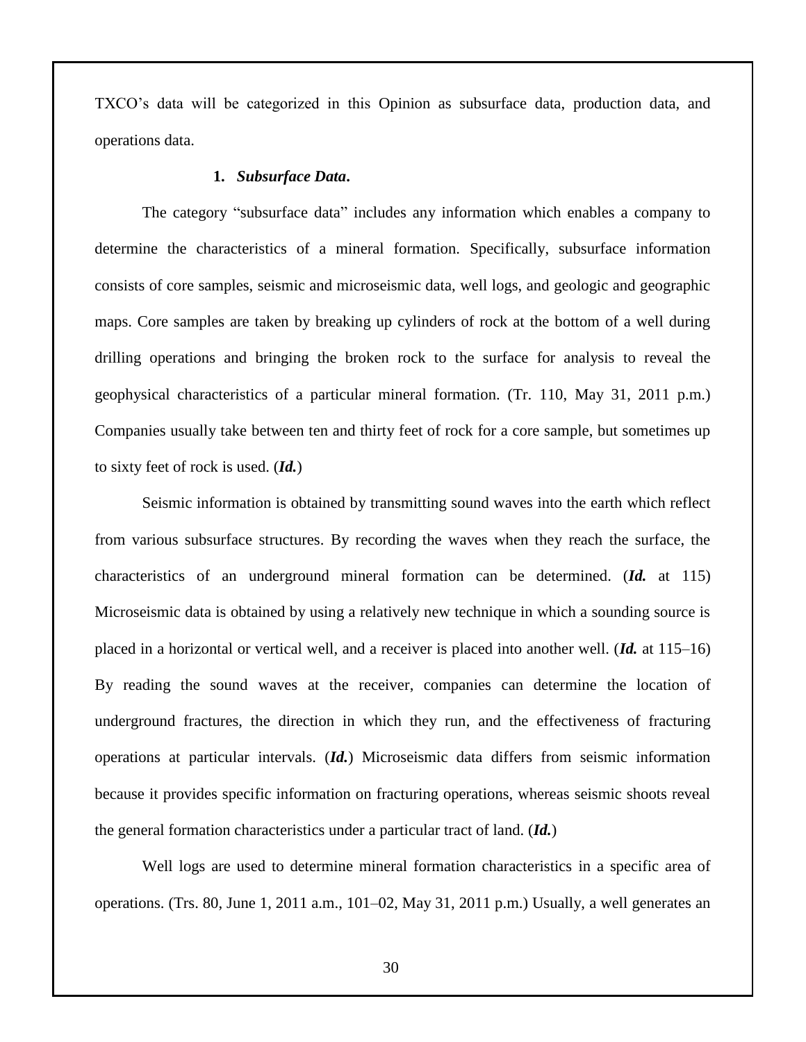TXCO's data will be categorized in this Opinion as subsurface data, production data, and operations data.

#### **1.** *Subsurface Data***.**

The category "subsurface data" includes any information which enables a company to determine the characteristics of a mineral formation. Specifically, subsurface information consists of core samples, seismic and microseismic data, well logs, and geologic and geographic maps. Core samples are taken by breaking up cylinders of rock at the bottom of a well during drilling operations and bringing the broken rock to the surface for analysis to reveal the geophysical characteristics of a particular mineral formation. (Tr. 110, May 31, 2011 p.m.) Companies usually take between ten and thirty feet of rock for a core sample, but sometimes up to sixty feet of rock is used. (*Id.*)

Seismic information is obtained by transmitting sound waves into the earth which reflect from various subsurface structures. By recording the waves when they reach the surface, the characteristics of an underground mineral formation can be determined. (*Id.* at 115) Microseismic data is obtained by using a relatively new technique in which a sounding source is placed in a horizontal or vertical well, and a receiver is placed into another well. (*Id.* at 115–16) By reading the sound waves at the receiver, companies can determine the location of underground fractures, the direction in which they run, and the effectiveness of fracturing operations at particular intervals. (*Id.*) Microseismic data differs from seismic information because it provides specific information on fracturing operations, whereas seismic shoots reveal the general formation characteristics under a particular tract of land. (*Id.*)

Well logs are used to determine mineral formation characteristics in a specific area of operations. (Trs. 80, June 1, 2011 a.m., 101–02, May 31, 2011 p.m.) Usually, a well generates an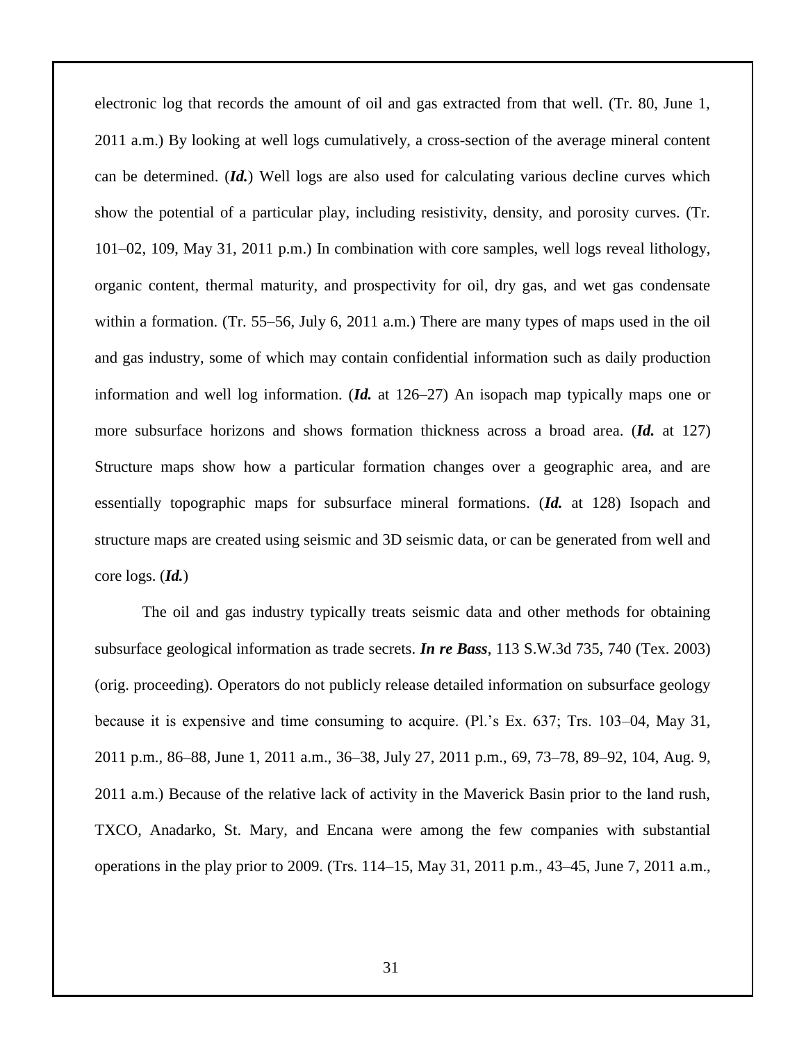electronic log that records the amount of oil and gas extracted from that well. (Tr. 80, June 1, 2011 a.m.) By looking at well logs cumulatively, a cross-section of the average mineral content can be determined. (*Id.*) Well logs are also used for calculating various decline curves which show the potential of a particular play, including resistivity, density, and porosity curves. (Tr. 101–02, 109, May 31, 2011 p.m.) In combination with core samples, well logs reveal lithology, organic content, thermal maturity, and prospectivity for oil, dry gas, and wet gas condensate within a formation. (Tr. 55–56, July 6, 2011 a.m.) There are many types of maps used in the oil and gas industry, some of which may contain confidential information such as daily production information and well log information. (*Id.* at 126–27) An isopach map typically maps one or more subsurface horizons and shows formation thickness across a broad area. (*Id.* at 127) Structure maps show how a particular formation changes over a geographic area, and are essentially topographic maps for subsurface mineral formations. (*Id.* at 128) Isopach and structure maps are created using seismic and 3D seismic data, or can be generated from well and core logs. (*Id.*)

The oil and gas industry typically treats seismic data and other methods for obtaining subsurface geological information as trade secrets. *In re Bass*, 113 S.W.3d 735, 740 (Tex. 2003) (orig. proceeding). Operators do not publicly release detailed information on subsurface geology because it is expensive and time consuming to acquire. (Pl.'s Ex. 637; Trs. 103–04, May 31, 2011 p.m., 86–88, June 1, 2011 a.m., 36–38, July 27, 2011 p.m., 69, 73–78, 89–92, 104, Aug. 9, 2011 a.m.) Because of the relative lack of activity in the Maverick Basin prior to the land rush, TXCO, Anadarko, St. Mary, and Encana were among the few companies with substantial operations in the play prior to 2009. (Trs. 114–15, May 31, 2011 p.m., 43–45, June 7, 2011 a.m.,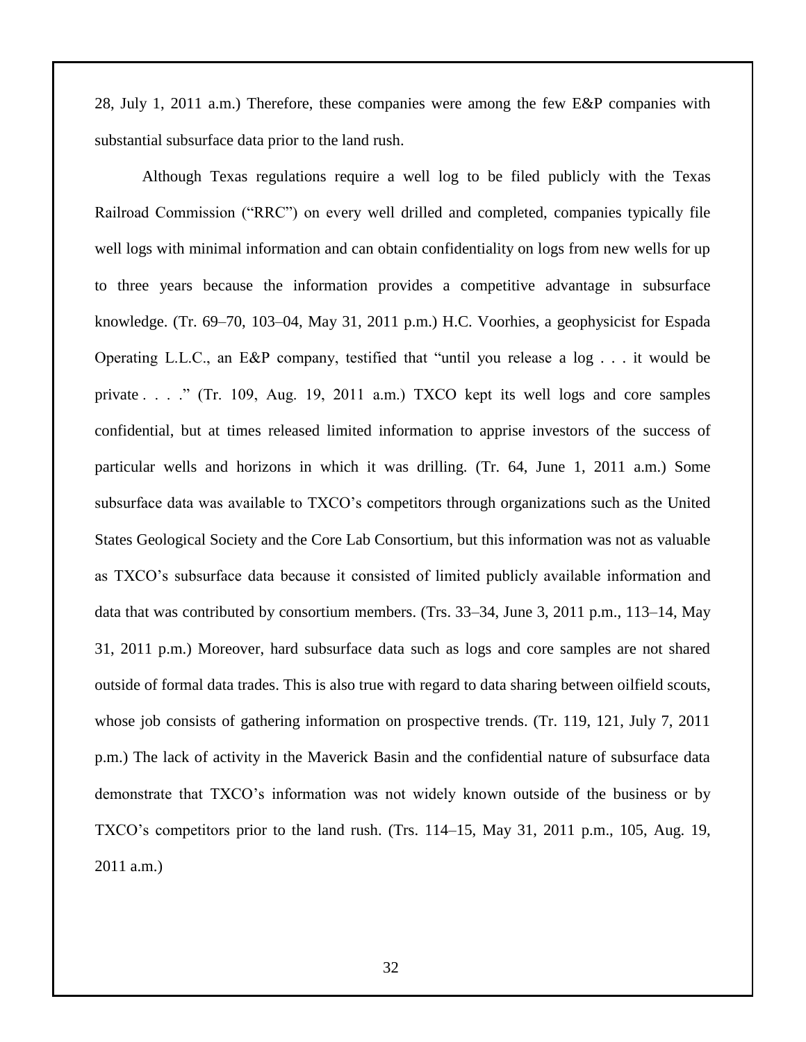28, July 1, 2011 a.m.) Therefore, these companies were among the few E&P companies with substantial subsurface data prior to the land rush.

Although Texas regulations require a well log to be filed publicly with the Texas Railroad Commission ("RRC") on every well drilled and completed, companies typically file well logs with minimal information and can obtain confidentiality on logs from new wells for up to three years because the information provides a competitive advantage in subsurface knowledge. (Tr. 69–70, 103–04, May 31, 2011 p.m.) H.C. Voorhies, a geophysicist for Espada Operating L.L.C., an E&P company, testified that "until you release a log . . . it would be private . . . ." (Tr. 109, Aug. 19, 2011 a.m.) TXCO kept its well logs and core samples confidential, but at times released limited information to apprise investors of the success of particular wells and horizons in which it was drilling. (Tr. 64, June 1, 2011 a.m.) Some subsurface data was available to TXCO's competitors through organizations such as the United States Geological Society and the Core Lab Consortium, but this information was not as valuable as TXCO's subsurface data because it consisted of limited publicly available information and data that was contributed by consortium members. (Trs. 33–34, June 3, 2011 p.m., 113–14, May 31, 2011 p.m.) Moreover, hard subsurface data such as logs and core samples are not shared outside of formal data trades. This is also true with regard to data sharing between oilfield scouts, whose job consists of gathering information on prospective trends. (Tr. 119, 121, July 7, 2011) p.m.) The lack of activity in the Maverick Basin and the confidential nature of subsurface data demonstrate that TXCO's information was not widely known outside of the business or by TXCO's competitors prior to the land rush. (Trs. 114–15, May 31, 2011 p.m., 105, Aug. 19, 2011 a.m.)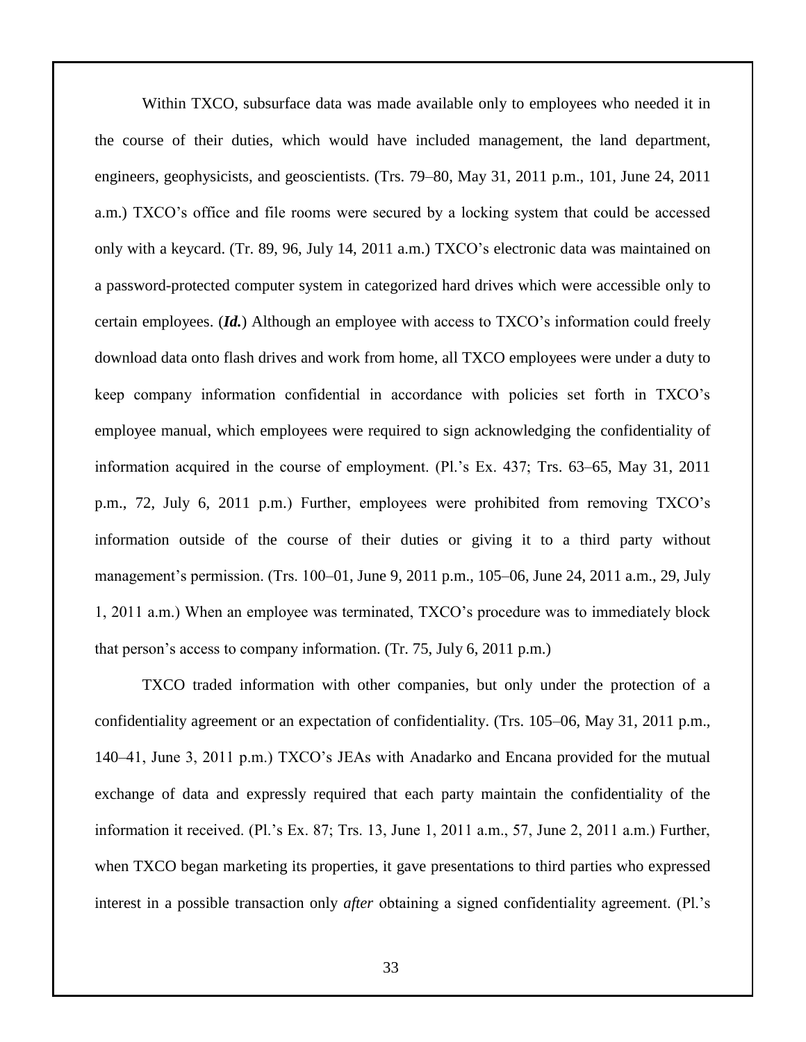Within TXCO, subsurface data was made available only to employees who needed it in the course of their duties, which would have included management, the land department, engineers, geophysicists, and geoscientists. (Trs. 79–80, May 31, 2011 p.m., 101, June 24, 2011 a.m.) TXCO's office and file rooms were secured by a locking system that could be accessed only with a keycard. (Tr. 89, 96, July 14, 2011 a.m.) TXCO's electronic data was maintained on a password-protected computer system in categorized hard drives which were accessible only to certain employees. (*Id.*) Although an employee with access to TXCO's information could freely download data onto flash drives and work from home, all TXCO employees were under a duty to keep company information confidential in accordance with policies set forth in TXCO's employee manual, which employees were required to sign acknowledging the confidentiality of information acquired in the course of employment. (Pl.'s Ex. 437; Trs. 63–65, May 31, 2011 p.m., 72, July 6, 2011 p.m.) Further, employees were prohibited from removing TXCO's information outside of the course of their duties or giving it to a third party without management's permission. (Trs. 100–01, June 9, 2011 p.m., 105–06, June 24, 2011 a.m., 29, July 1, 2011 a.m.) When an employee was terminated, TXCO's procedure was to immediately block that person's access to company information. (Tr. 75, July 6, 2011 p.m.)

TXCO traded information with other companies, but only under the protection of a confidentiality agreement or an expectation of confidentiality. (Trs. 105–06, May 31, 2011 p.m., 140–41, June 3, 2011 p.m.) TXCO's JEAs with Anadarko and Encana provided for the mutual exchange of data and expressly required that each party maintain the confidentiality of the information it received. (Pl.'s Ex. 87; Trs. 13, June 1, 2011 a.m., 57, June 2, 2011 a.m.) Further, when TXCO began marketing its properties, it gave presentations to third parties who expressed interest in a possible transaction only *after* obtaining a signed confidentiality agreement. (Pl.'s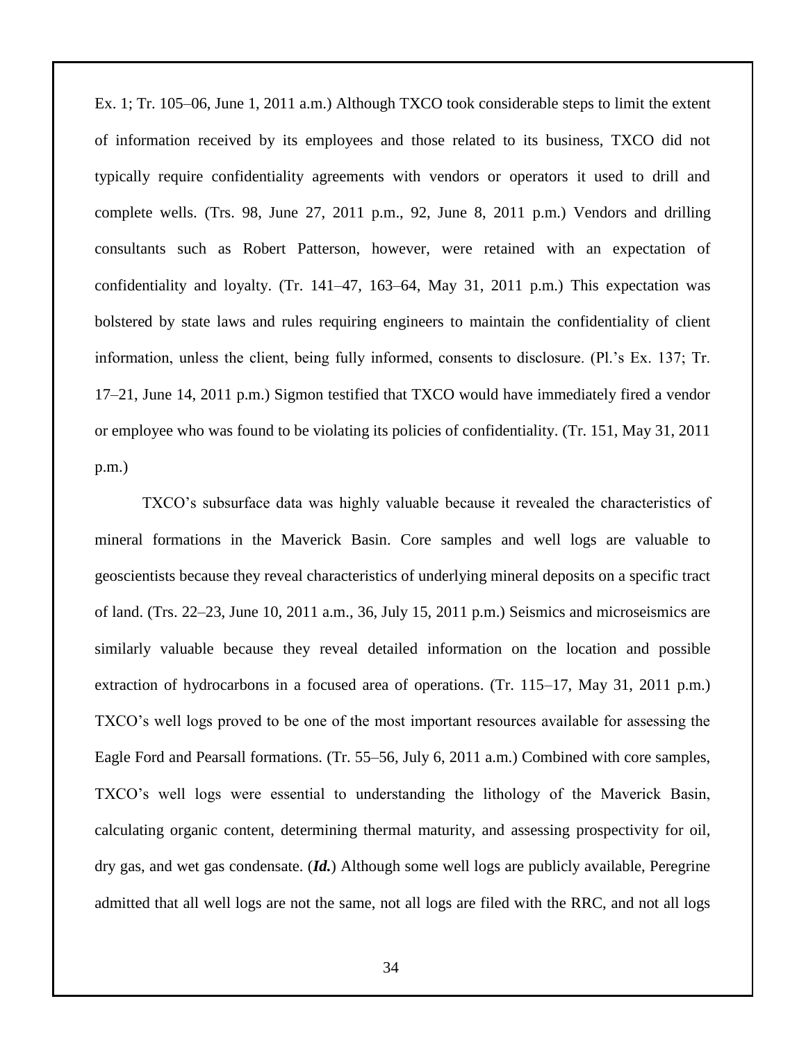Ex. 1; Tr. 105–06, June 1, 2011 a.m.) Although TXCO took considerable steps to limit the extent of information received by its employees and those related to its business, TXCO did not typically require confidentiality agreements with vendors or operators it used to drill and complete wells. (Trs. 98, June 27, 2011 p.m., 92, June 8, 2011 p.m.) Vendors and drilling consultants such as Robert Patterson, however, were retained with an expectation of confidentiality and loyalty. (Tr. 141–47, 163–64, May 31, 2011 p.m.) This expectation was bolstered by state laws and rules requiring engineers to maintain the confidentiality of client information, unless the client, being fully informed, consents to disclosure. (Pl.'s Ex. 137; Tr. 17–21, June 14, 2011 p.m.) Sigmon testified that TXCO would have immediately fired a vendor or employee who was found to be violating its policies of confidentiality. (Tr. 151, May 31, 2011 p.m.)

TXCO's subsurface data was highly valuable because it revealed the characteristics of mineral formations in the Maverick Basin. Core samples and well logs are valuable to geoscientists because they reveal characteristics of underlying mineral deposits on a specific tract of land. (Trs. 22–23, June 10, 2011 a.m., 36, July 15, 2011 p.m.) Seismics and microseismics are similarly valuable because they reveal detailed information on the location and possible extraction of hydrocarbons in a focused area of operations. (Tr. 115–17, May 31, 2011 p.m.) TXCO's well logs proved to be one of the most important resources available for assessing the Eagle Ford and Pearsall formations. (Tr. 55–56, July 6, 2011 a.m.) Combined with core samples, TXCO's well logs were essential to understanding the lithology of the Maverick Basin, calculating organic content, determining thermal maturity, and assessing prospectivity for oil, dry gas, and wet gas condensate. (*Id.*) Although some well logs are publicly available, Peregrine admitted that all well logs are not the same, not all logs are filed with the RRC, and not all logs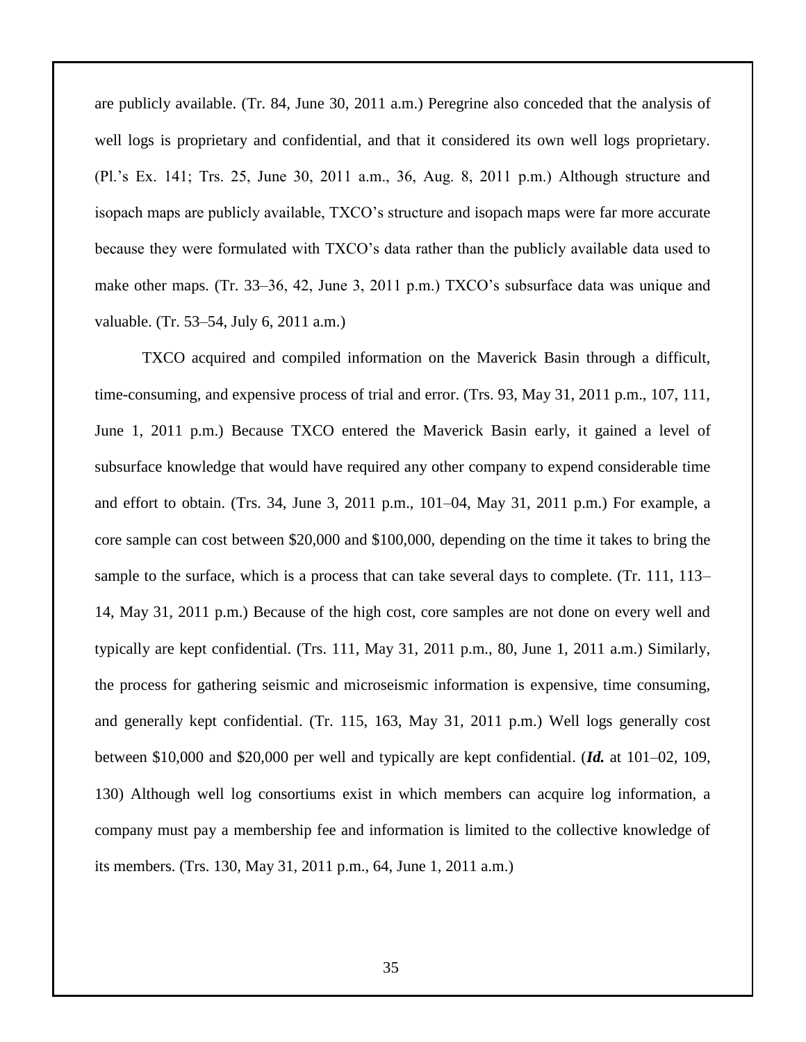are publicly available. (Tr. 84, June 30, 2011 a.m.) Peregrine also conceded that the analysis of well logs is proprietary and confidential, and that it considered its own well logs proprietary. (Pl.'s Ex. 141; Trs. 25, June 30, 2011 a.m., 36, Aug. 8, 2011 p.m.) Although structure and isopach maps are publicly available, TXCO's structure and isopach maps were far more accurate because they were formulated with TXCO's data rather than the publicly available data used to make other maps. (Tr. 33–36, 42, June 3, 2011 p.m.) TXCO's subsurface data was unique and valuable. (Tr. 53–54, July 6, 2011 a.m.)

TXCO acquired and compiled information on the Maverick Basin through a difficult, time-consuming, and expensive process of trial and error. (Trs. 93, May 31, 2011 p.m., 107, 111, June 1, 2011 p.m.) Because TXCO entered the Maverick Basin early, it gained a level of subsurface knowledge that would have required any other company to expend considerable time and effort to obtain. (Trs. 34, June 3, 2011 p.m., 101–04, May 31, 2011 p.m.) For example, a core sample can cost between \$20,000 and \$100,000, depending on the time it takes to bring the sample to the surface, which is a process that can take several days to complete. (Tr. 111, 113– 14, May 31, 2011 p.m.) Because of the high cost, core samples are not done on every well and typically are kept confidential. (Trs. 111, May 31, 2011 p.m., 80, June 1, 2011 a.m.) Similarly, the process for gathering seismic and microseismic information is expensive, time consuming, and generally kept confidential. (Tr. 115, 163, May 31, 2011 p.m.) Well logs generally cost between \$10,000 and \$20,000 per well and typically are kept confidential. (*Id.* at 101–02, 109, 130) Although well log consortiums exist in which members can acquire log information, a company must pay a membership fee and information is limited to the collective knowledge of its members. (Trs. 130, May 31, 2011 p.m., 64, June 1, 2011 a.m.)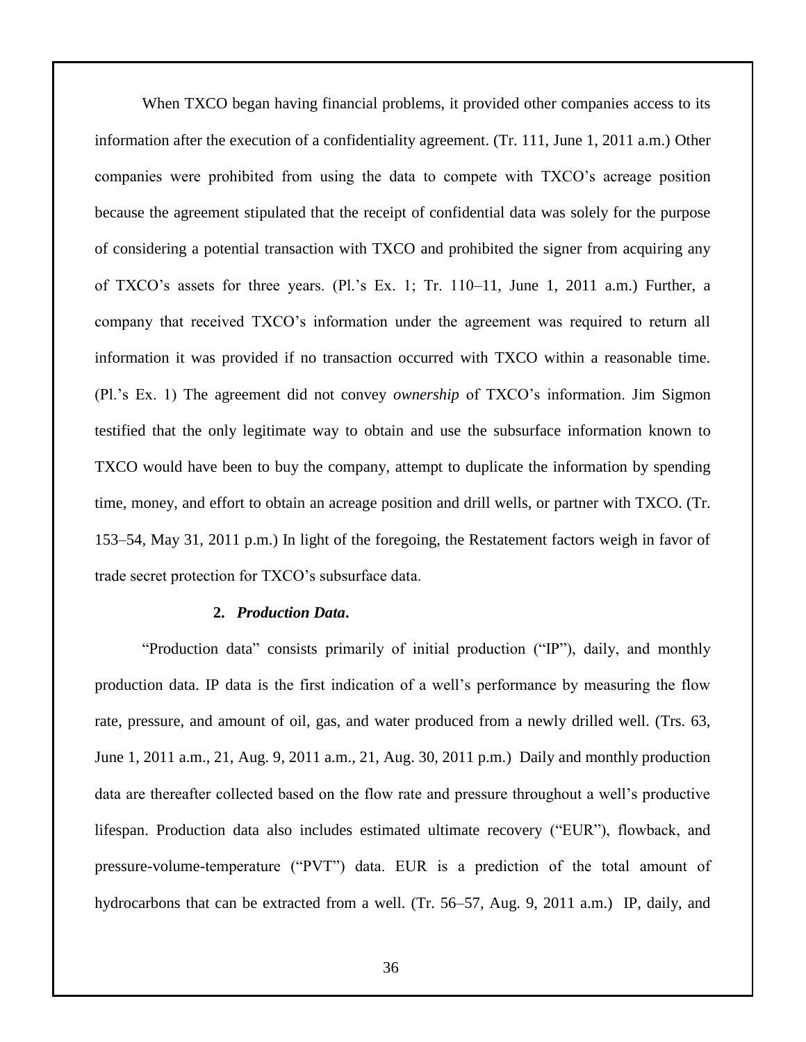When TXCO began having financial problems, it provided other companies access to its information after the execution of a confidentiality agreement. (Tr. 111, June 1, 2011 a.m.) Other companies were prohibited from using the data to compete with TXCO's acreage position because the agreement stipulated that the receipt of confidential data was solely for the purpose of considering a potential transaction with TXCO and prohibited the signer from acquiring any of TXCO's assets for three years. (Pl.'s Ex. 1; Tr. 110–11, June 1, 2011 a.m.) Further, a company that received TXCO's information under the agreement was required to return all information it was provided if no transaction occurred with TXCO within a reasonable time. (Pl.'s Ex. 1) The agreement did not convey *ownership* of TXCO's information. Jim Sigmon testified that the only legitimate way to obtain and use the subsurface information known to TXCO would have been to buy the company, attempt to duplicate the information by spending time, money, and effort to obtain an acreage position and drill wells, or partner with TXCO. (Tr. 153–54, May 31, 2011 p.m.) In light of the foregoing, the Restatement factors weigh in favor of trade secret protection for TXCO's subsurface data.

#### **2.** *Production Data***.**

"Production data" consists primarily of initial production ("IP"), daily, and monthly production data. IP data is the first indication of a well's performance by measuring the flow rate, pressure, and amount of oil, gas, and water produced from a newly drilled well. (Trs. 63, June 1, 2011 a.m., 21, Aug. 9, 2011 a.m., 21, Aug. 30, 2011 p.m.) Daily and monthly production data are thereafter collected based on the flow rate and pressure throughout a well's productive lifespan. Production data also includes estimated ultimate recovery ("EUR"), flowback, and pressure-volume-temperature ("PVT") data. EUR is a prediction of the total amount of hydrocarbons that can be extracted from a well. (Tr. 56–57, Aug. 9, 2011 a.m.) IP, daily, and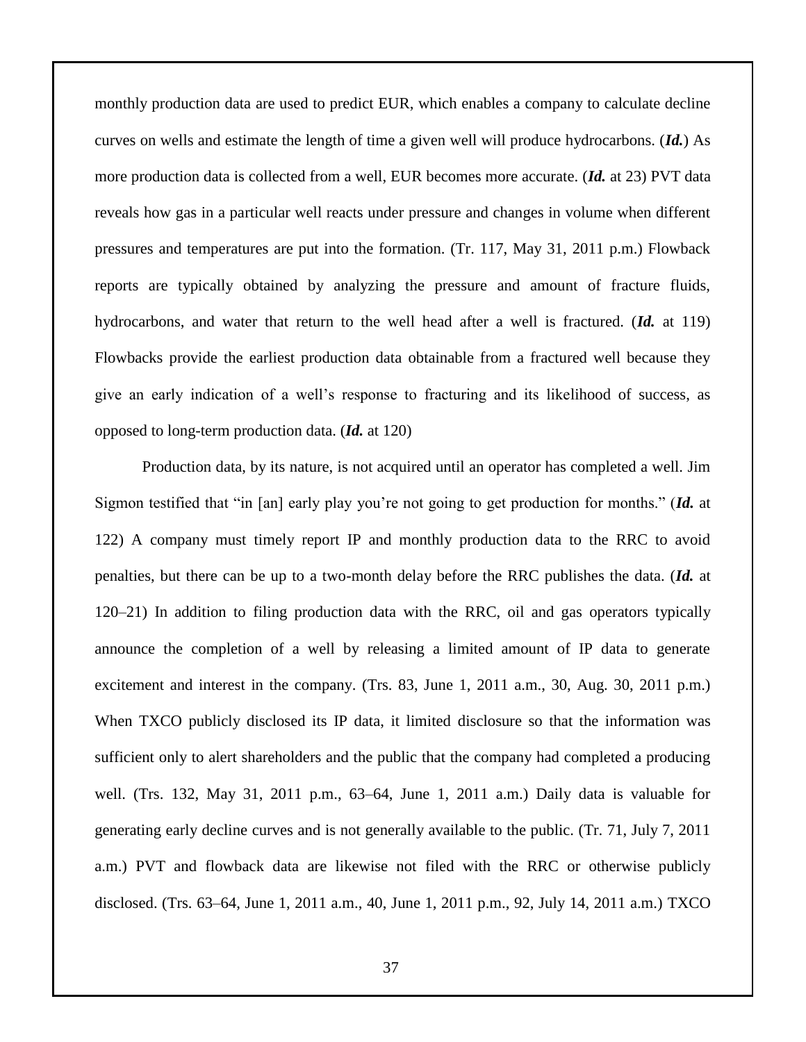monthly production data are used to predict EUR, which enables a company to calculate decline curves on wells and estimate the length of time a given well will produce hydrocarbons. (*Id.*) As more production data is collected from a well, EUR becomes more accurate. (*Id.* at 23) PVT data reveals how gas in a particular well reacts under pressure and changes in volume when different pressures and temperatures are put into the formation. (Tr. 117, May 31, 2011 p.m.) Flowback reports are typically obtained by analyzing the pressure and amount of fracture fluids, hydrocarbons, and water that return to the well head after a well is fractured. (*Id.* at 119) Flowbacks provide the earliest production data obtainable from a fractured well because they give an early indication of a well's response to fracturing and its likelihood of success, as opposed to long-term production data. (*Id.* at 120)

Production data, by its nature, is not acquired until an operator has completed a well. Jim Sigmon testified that "in [an] early play you're not going to get production for months." (*Id.* at 122) A company must timely report IP and monthly production data to the RRC to avoid penalties, but there can be up to a two-month delay before the RRC publishes the data. (*Id.* at 120–21) In addition to filing production data with the RRC, oil and gas operators typically announce the completion of a well by releasing a limited amount of IP data to generate excitement and interest in the company. (Trs. 83, June 1, 2011 a.m., 30, Aug. 30, 2011 p.m.) When TXCO publicly disclosed its IP data, it limited disclosure so that the information was sufficient only to alert shareholders and the public that the company had completed a producing well. (Trs. 132, May 31, 2011 p.m., 63–64, June 1, 2011 a.m.) Daily data is valuable for generating early decline curves and is not generally available to the public. (Tr. 71, July 7, 2011 a.m.) PVT and flowback data are likewise not filed with the RRC or otherwise publicly disclosed. (Trs. 63–64, June 1, 2011 a.m., 40, June 1, 2011 p.m., 92, July 14, 2011 a.m.) TXCO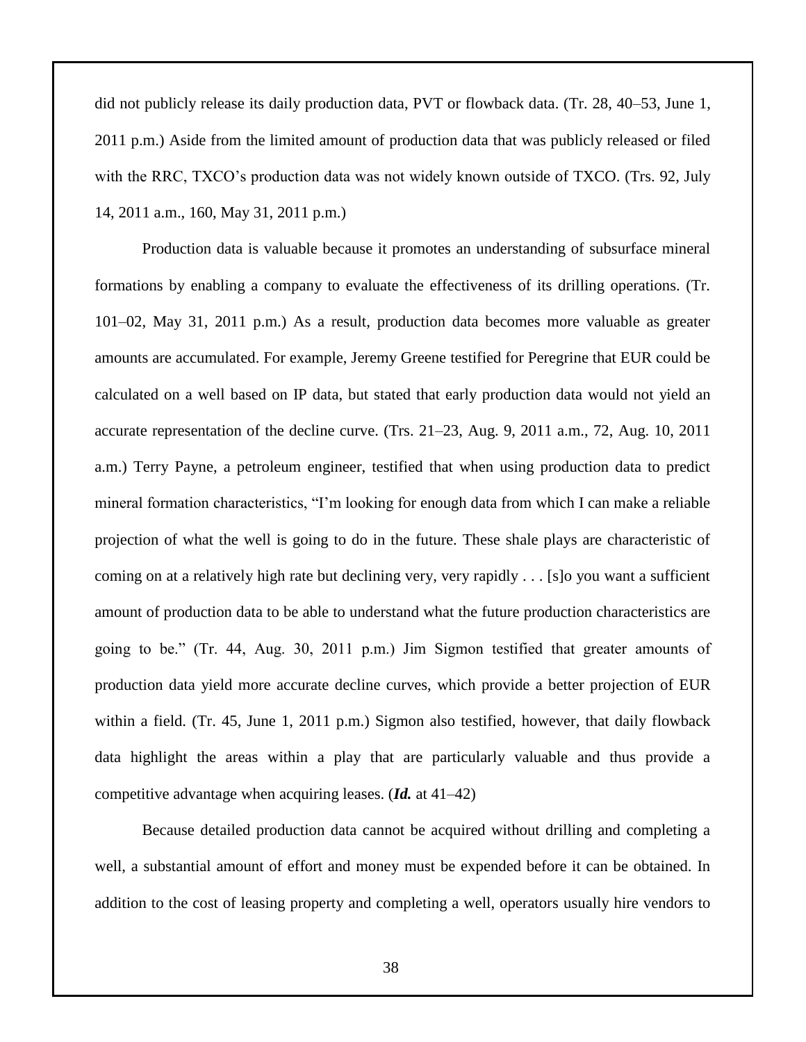did not publicly release its daily production data, PVT or flowback data. (Tr. 28, 40–53, June 1, 2011 p.m.) Aside from the limited amount of production data that was publicly released or filed with the RRC, TXCO's production data was not widely known outside of TXCO. (Trs. 92, July 14, 2011 a.m., 160, May 31, 2011 p.m.)

Production data is valuable because it promotes an understanding of subsurface mineral formations by enabling a company to evaluate the effectiveness of its drilling operations. (Tr. 101–02, May 31, 2011 p.m.) As a result, production data becomes more valuable as greater amounts are accumulated. For example, Jeremy Greene testified for Peregrine that EUR could be calculated on a well based on IP data, but stated that early production data would not yield an accurate representation of the decline curve. (Trs. 21–23, Aug. 9, 2011 a.m., 72, Aug. 10, 2011 a.m.) Terry Payne, a petroleum engineer, testified that when using production data to predict mineral formation characteristics, "I'm looking for enough data from which I can make a reliable projection of what the well is going to do in the future. These shale plays are characteristic of coming on at a relatively high rate but declining very, very rapidly . . . [s]o you want a sufficient amount of production data to be able to understand what the future production characteristics are going to be." (Tr. 44, Aug. 30, 2011 p.m.) Jim Sigmon testified that greater amounts of production data yield more accurate decline curves, which provide a better projection of EUR within a field. (Tr. 45, June 1, 2011 p.m.) Sigmon also testified, however, that daily flowback data highlight the areas within a play that are particularly valuable and thus provide a competitive advantage when acquiring leases. (*Id.* at 41–42)

Because detailed production data cannot be acquired without drilling and completing a well, a substantial amount of effort and money must be expended before it can be obtained. In addition to the cost of leasing property and completing a well, operators usually hire vendors to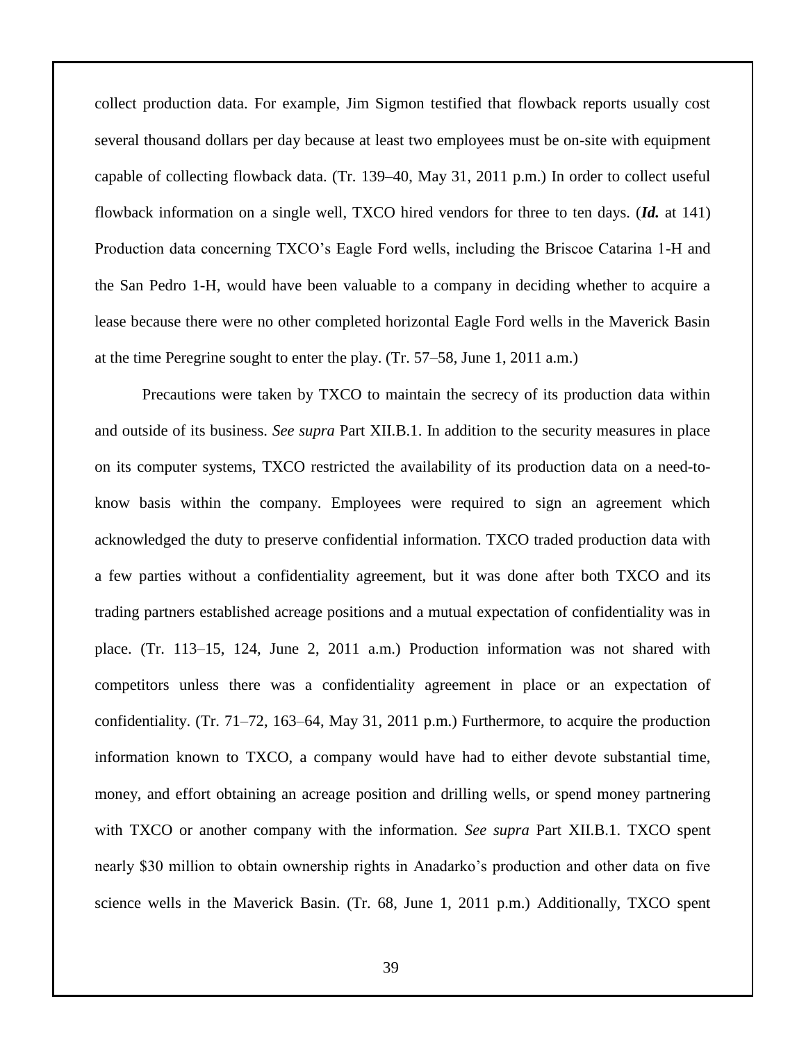collect production data. For example, Jim Sigmon testified that flowback reports usually cost several thousand dollars per day because at least two employees must be on-site with equipment capable of collecting flowback data. (Tr. 139–40, May 31, 2011 p.m.) In order to collect useful flowback information on a single well, TXCO hired vendors for three to ten days. (*Id.* at 141) Production data concerning TXCO's Eagle Ford wells, including the Briscoe Catarina 1-H and the San Pedro 1-H, would have been valuable to a company in deciding whether to acquire a lease because there were no other completed horizontal Eagle Ford wells in the Maverick Basin at the time Peregrine sought to enter the play. (Tr. 57–58, June 1, 2011 a.m.)

Precautions were taken by TXCO to maintain the secrecy of its production data within and outside of its business. *See supra* Part XII.B.1. In addition to the security measures in place on its computer systems, TXCO restricted the availability of its production data on a need-toknow basis within the company. Employees were required to sign an agreement which acknowledged the duty to preserve confidential information. TXCO traded production data with a few parties without a confidentiality agreement, but it was done after both TXCO and its trading partners established acreage positions and a mutual expectation of confidentiality was in place. (Tr. 113–15, 124, June 2, 2011 a.m.) Production information was not shared with competitors unless there was a confidentiality agreement in place or an expectation of confidentiality. (Tr. 71–72, 163–64, May 31, 2011 p.m.) Furthermore, to acquire the production information known to TXCO, a company would have had to either devote substantial time, money, and effort obtaining an acreage position and drilling wells, or spend money partnering with TXCO or another company with the information. *See supra* Part XII.B.1. TXCO spent nearly \$30 million to obtain ownership rights in Anadarko's production and other data on five science wells in the Maverick Basin. (Tr. 68, June 1, 2011 p.m.) Additionally, TXCO spent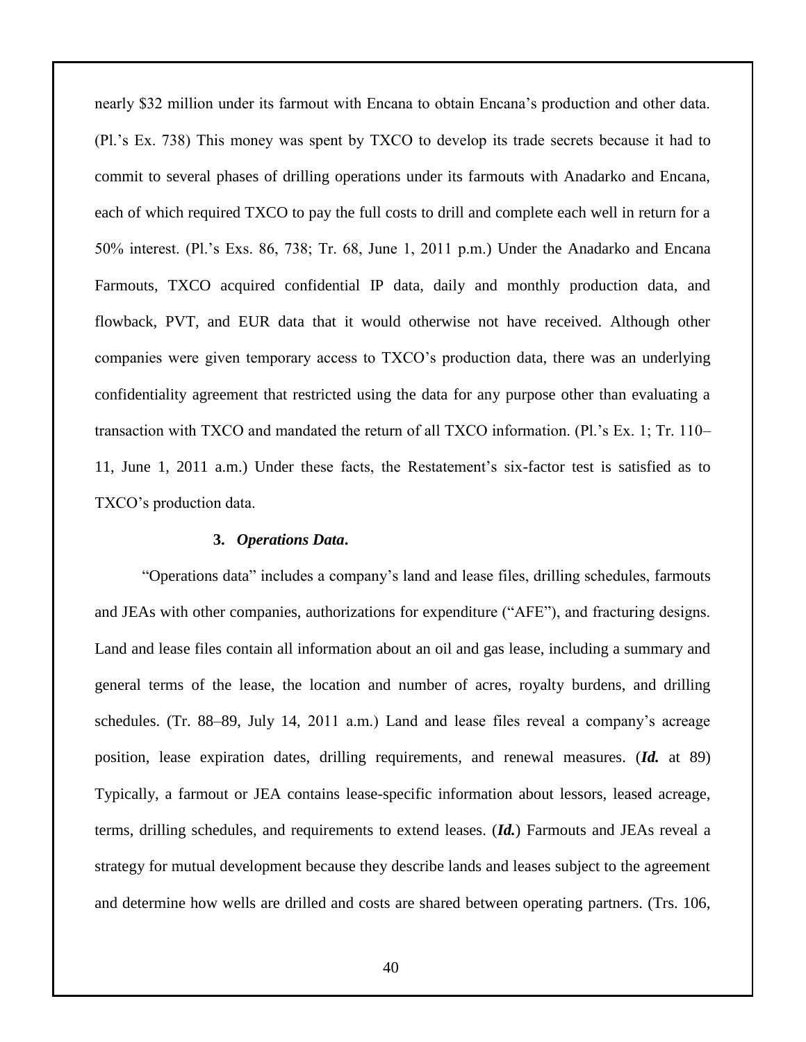nearly \$32 million under its farmout with Encana to obtain Encana's production and other data. (Pl.'s Ex. 738) This money was spent by TXCO to develop its trade secrets because it had to commit to several phases of drilling operations under its farmouts with Anadarko and Encana, each of which required TXCO to pay the full costs to drill and complete each well in return for a 50% interest. (Pl.'s Exs. 86, 738; Tr. 68, June 1, 2011 p.m.) Under the Anadarko and Encana Farmouts, TXCO acquired confidential IP data, daily and monthly production data, and flowback, PVT, and EUR data that it would otherwise not have received. Although other companies were given temporary access to TXCO's production data, there was an underlying confidentiality agreement that restricted using the data for any purpose other than evaluating a transaction with TXCO and mandated the return of all TXCO information. (Pl.'s Ex. 1; Tr. 110– 11, June 1, 2011 a.m.) Under these facts, the Restatement's six-factor test is satisfied as to TXCO's production data.

#### **3.** *Operations Data***.**

"Operations data" includes a company's land and lease files, drilling schedules, farmouts and JEAs with other companies, authorizations for expenditure ("AFE"), and fracturing designs. Land and lease files contain all information about an oil and gas lease, including a summary and general terms of the lease, the location and number of acres, royalty burdens, and drilling schedules. (Tr. 88–89, July 14, 2011 a.m.) Land and lease files reveal a company's acreage position, lease expiration dates, drilling requirements, and renewal measures. (*Id.* at 89) Typically, a farmout or JEA contains lease-specific information about lessors, leased acreage, terms, drilling schedules, and requirements to extend leases. (*Id.*) Farmouts and JEAs reveal a strategy for mutual development because they describe lands and leases subject to the agreement and determine how wells are drilled and costs are shared between operating partners. (Trs. 106,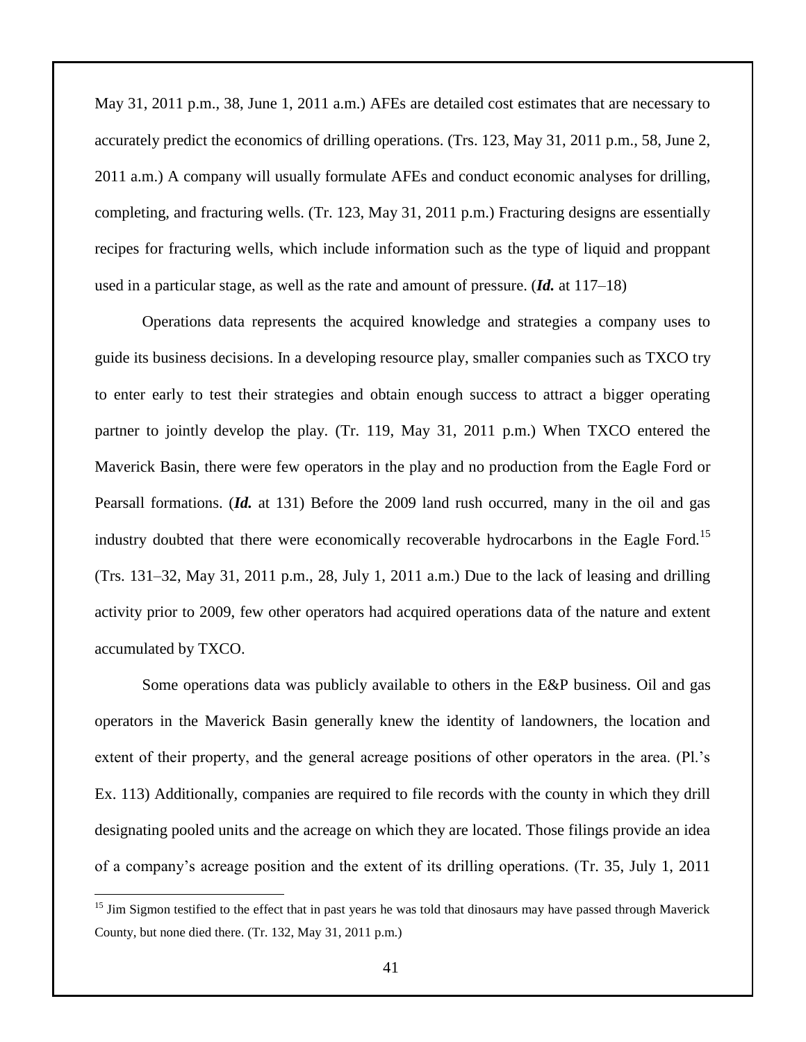May 31, 2011 p.m., 38, June 1, 2011 a.m.) AFEs are detailed cost estimates that are necessary to accurately predict the economics of drilling operations. (Trs. 123, May 31, 2011 p.m., 58, June 2, 2011 a.m.) A company will usually formulate AFEs and conduct economic analyses for drilling, completing, and fracturing wells. (Tr. 123, May 31, 2011 p.m.) Fracturing designs are essentially recipes for fracturing wells, which include information such as the type of liquid and proppant used in a particular stage, as well as the rate and amount of pressure. (*Id.* at 117–18)

Operations data represents the acquired knowledge and strategies a company uses to guide its business decisions. In a developing resource play, smaller companies such as TXCO try to enter early to test their strategies and obtain enough success to attract a bigger operating partner to jointly develop the play. (Tr. 119, May 31, 2011 p.m.) When TXCO entered the Maverick Basin, there were few operators in the play and no production from the Eagle Ford or Pearsall formations. (*Id.* at 131) Before the 2009 land rush occurred, many in the oil and gas industry doubted that there were economically recoverable hydrocarbons in the Eagle Ford.<sup>15</sup> (Trs. 131–32, May 31, 2011 p.m., 28, July 1, 2011 a.m.) Due to the lack of leasing and drilling activity prior to 2009, few other operators had acquired operations data of the nature and extent accumulated by TXCO.

Some operations data was publicly available to others in the E&P business. Oil and gas operators in the Maverick Basin generally knew the identity of landowners, the location and extent of their property, and the general acreage positions of other operators in the area. (Pl.'s Ex. 113) Additionally, companies are required to file records with the county in which they drill designating pooled units and the acreage on which they are located. Those filings provide an idea of a company's acreage position and the extent of its drilling operations. (Tr. 35, July 1, 2011

 $\overline{a}$ 

<sup>&</sup>lt;sup>15</sup> Jim Sigmon testified to the effect that in past years he was told that dinosaurs may have passed through Maverick County, but none died there. (Tr. 132, May 31, 2011 p.m.)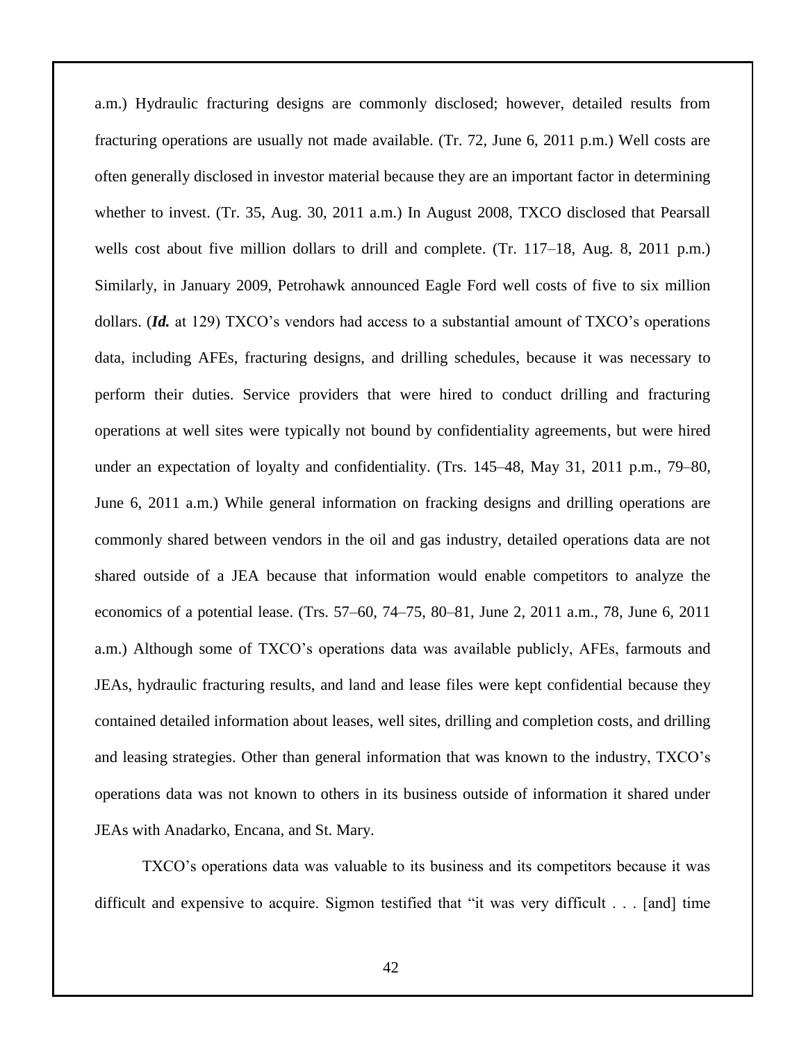a.m.) Hydraulic fracturing designs are commonly disclosed; however, detailed results from fracturing operations are usually not made available. (Tr. 72, June 6, 2011 p.m.) Well costs are often generally disclosed in investor material because they are an important factor in determining whether to invest. (Tr. 35, Aug. 30, 2011 a.m.) In August 2008, TXCO disclosed that Pearsall wells cost about five million dollars to drill and complete. (Tr. 117–18, Aug. 8, 2011 p.m.) Similarly, in January 2009, Petrohawk announced Eagle Ford well costs of five to six million dollars. (*Id.* at 129) TXCO's vendors had access to a substantial amount of TXCO's operations data, including AFEs, fracturing designs, and drilling schedules, because it was necessary to perform their duties. Service providers that were hired to conduct drilling and fracturing operations at well sites were typically not bound by confidentiality agreements, but were hired under an expectation of loyalty and confidentiality. (Trs. 145–48, May 31, 2011 p.m., 79–80, June 6, 2011 a.m.) While general information on fracking designs and drilling operations are commonly shared between vendors in the oil and gas industry, detailed operations data are not shared outside of a JEA because that information would enable competitors to analyze the economics of a potential lease. (Trs. 57–60, 74–75, 80–81, June 2, 2011 a.m., 78, June 6, 2011 a.m.) Although some of TXCO's operations data was available publicly, AFEs, farmouts and JEAs, hydraulic fracturing results, and land and lease files were kept confidential because they contained detailed information about leases, well sites, drilling and completion costs, and drilling and leasing strategies. Other than general information that was known to the industry, TXCO's operations data was not known to others in its business outside of information it shared under JEAs with Anadarko, Encana, and St. Mary.

TXCO's operations data was valuable to its business and its competitors because it was difficult and expensive to acquire. Sigmon testified that "it was very difficult . . . [and] time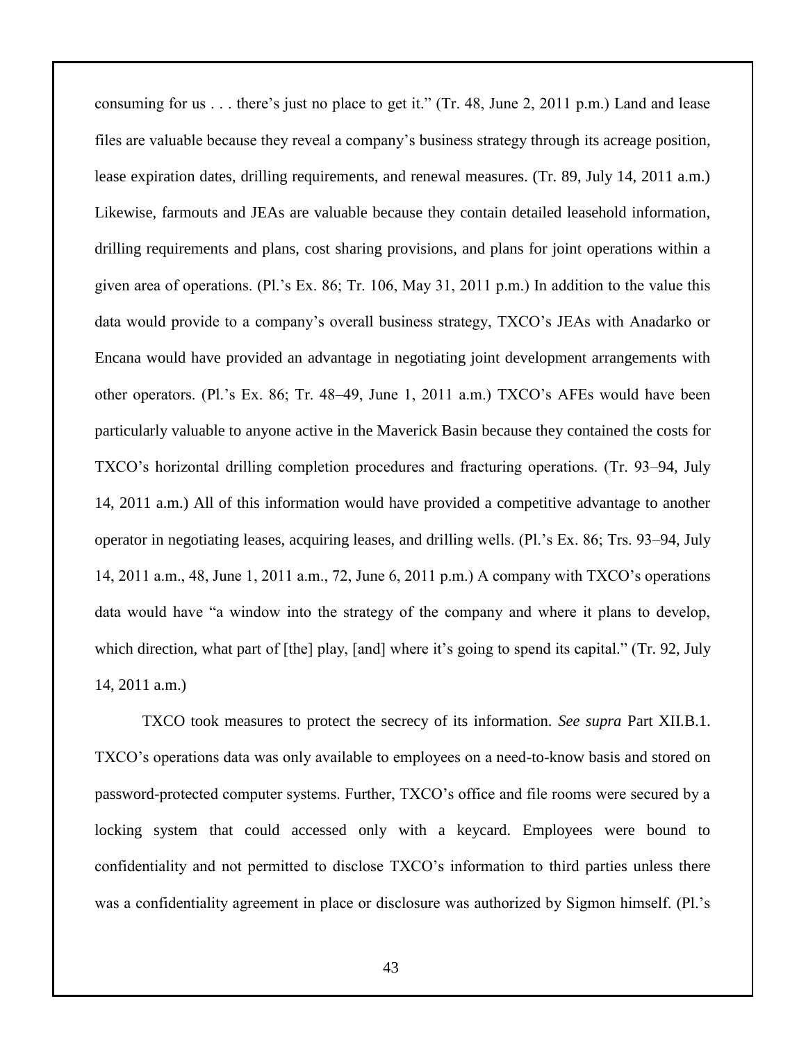consuming for us . . . there's just no place to get it." (Tr. 48, June 2, 2011 p.m.) Land and lease files are valuable because they reveal a company's business strategy through its acreage position, lease expiration dates, drilling requirements, and renewal measures. (Tr. 89, July 14, 2011 a.m.) Likewise, farmouts and JEAs are valuable because they contain detailed leasehold information, drilling requirements and plans, cost sharing provisions, and plans for joint operations within a given area of operations. (Pl.'s Ex. 86; Tr. 106, May 31, 2011 p.m.) In addition to the value this data would provide to a company's overall business strategy, TXCO's JEAs with Anadarko or Encana would have provided an advantage in negotiating joint development arrangements with other operators. (Pl.'s Ex. 86; Tr. 48–49, June 1, 2011 a.m.) TXCO's AFEs would have been particularly valuable to anyone active in the Maverick Basin because they contained the costs for TXCO's horizontal drilling completion procedures and fracturing operations. (Tr. 93–94, July 14, 2011 a.m.) All of this information would have provided a competitive advantage to another operator in negotiating leases, acquiring leases, and drilling wells. (Pl.'s Ex. 86; Trs. 93–94, July 14, 2011 a.m., 48, June 1, 2011 a.m., 72, June 6, 2011 p.m.) A company with TXCO's operations data would have "a window into the strategy of the company and where it plans to develop, which direction, what part of [the] play, [and] where it's going to spend its capital." (Tr. 92, July 14, 2011 a.m.)

TXCO took measures to protect the secrecy of its information. *See supra* Part XII.B.1. TXCO's operations data was only available to employees on a need-to-know basis and stored on password-protected computer systems. Further, TXCO's office and file rooms were secured by a locking system that could accessed only with a keycard. Employees were bound to confidentiality and not permitted to disclose TXCO's information to third parties unless there was a confidentiality agreement in place or disclosure was authorized by Sigmon himself. (Pl.'s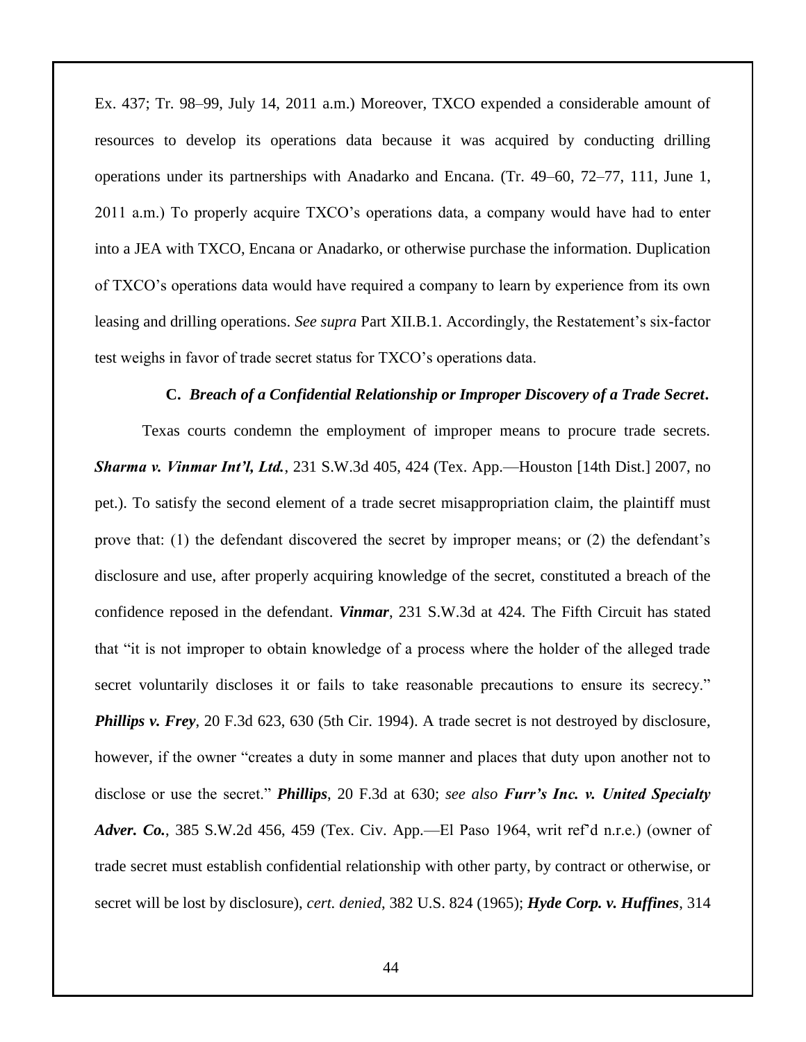Ex. 437; Tr. 98–99, July 14, 2011 a.m.) Moreover, TXCO expended a considerable amount of resources to develop its operations data because it was acquired by conducting drilling operations under its partnerships with Anadarko and Encana. (Tr. 49–60, 72–77, 111, June 1, 2011 a.m.) To properly acquire TXCO's operations data, a company would have had to enter into a JEA with TXCO, Encana or Anadarko, or otherwise purchase the information. Duplication of TXCO's operations data would have required a company to learn by experience from its own leasing and drilling operations. *See supra* Part XII.B.1. Accordingly, the Restatement's six-factor test weighs in favor of trade secret status for TXCO's operations data.

#### **C.** *Breach of a Confidential Relationship or Improper Discovery of a Trade Secret***.**

Texas courts condemn the employment of improper means to procure trade secrets. *Sharma v. Vinmar Int'l, Ltd.*, 231 S.W.3d 405, 424 (Tex. App.—Houston [14th Dist.] 2007, no pet.). To satisfy the second element of a trade secret misappropriation claim, the plaintiff must prove that: (1) the defendant discovered the secret by improper means; or (2) the defendant's disclosure and use, after properly acquiring knowledge of the secret, constituted a breach of the confidence reposed in the defendant. *Vinmar*, 231 S.W.3d at 424. The Fifth Circuit has stated that "it is not improper to obtain knowledge of a process where the holder of the alleged trade secret voluntarily discloses it or fails to take reasonable precautions to ensure its secrecy." *Phillips v. Frey*, 20 F.3d 623, 630 (5th Cir. 1994). A trade secret is not destroyed by disclosure, however, if the owner "creates a duty in some manner and places that duty upon another not to disclose or use the secret." *Phillips*, 20 F.3d at 630; *see also Furr's Inc. v. United Specialty Adver. Co.*, 385 S.W.2d 456, 459 (Tex. Civ. App.—El Paso 1964, writ ref'd n.r.e.) (owner of trade secret must establish confidential relationship with other party, by contract or otherwise, or secret will be lost by disclosure), *cert. denied*, 382 U.S. 824 (1965); *Hyde Corp. v. Huffines*, 314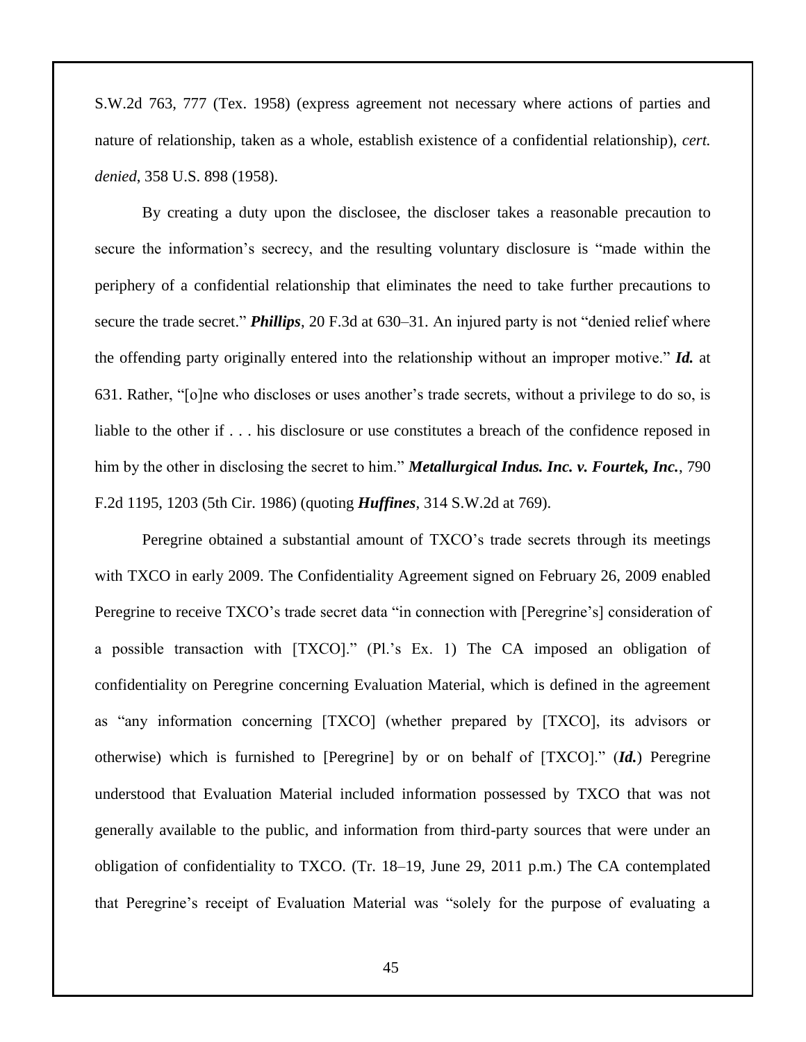S.W.2d 763, 777 (Tex. 1958) (express agreement not necessary where actions of parties and nature of relationship, taken as a whole, establish existence of a confidential relationship), *cert. denied*, 358 U.S. 898 (1958).

By creating a duty upon the disclosee, the discloser takes a reasonable precaution to secure the information's secrecy, and the resulting voluntary disclosure is "made within the periphery of a confidential relationship that eliminates the need to take further precautions to secure the trade secret." *Phillips*, 20 F.3d at 630–31. An injured party is not "denied relief where the offending party originally entered into the relationship without an improper motive." *Id.* at 631. Rather, "[o]ne who discloses or uses another's trade secrets, without a privilege to do so, is liable to the other if . . . his disclosure or use constitutes a breach of the confidence reposed in him by the other in disclosing the secret to him." *Metallurgical Indus. Inc. v. Fourtek, Inc.*, 790 F.2d 1195, 1203 (5th Cir. 1986) (quoting *Huffines*, 314 S.W.2d at 769).

Peregrine obtained a substantial amount of TXCO's trade secrets through its meetings with TXCO in early 2009. The Confidentiality Agreement signed on February 26, 2009 enabled Peregrine to receive TXCO's trade secret data "in connection with [Peregrine's] consideration of a possible transaction with [TXCO]." (Pl.'s Ex. 1) The CA imposed an obligation of confidentiality on Peregrine concerning Evaluation Material, which is defined in the agreement as "any information concerning [TXCO] (whether prepared by [TXCO], its advisors or otherwise) which is furnished to [Peregrine] by or on behalf of [TXCO]." (*Id.*) Peregrine understood that Evaluation Material included information possessed by TXCO that was not generally available to the public, and information from third-party sources that were under an obligation of confidentiality to TXCO. (Tr. 18–19, June 29, 2011 p.m.) The CA contemplated that Peregrine's receipt of Evaluation Material was "solely for the purpose of evaluating a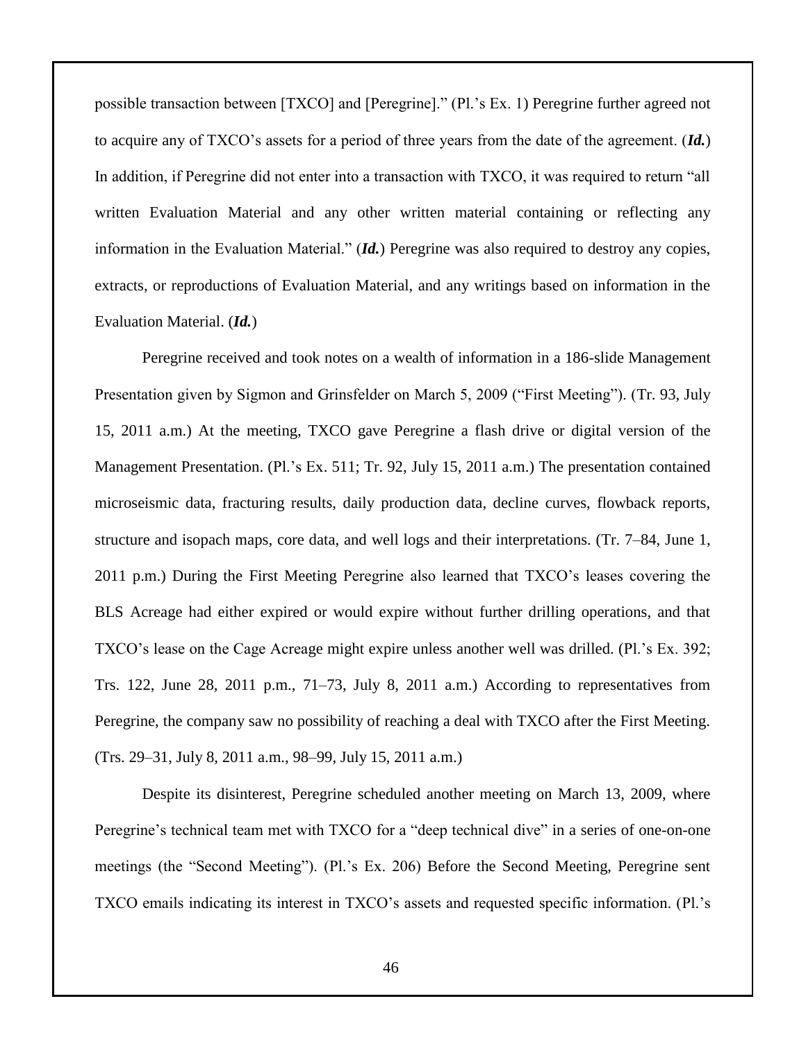possible transaction between [TXCO] and [Peregrine]." (Pl.'s Ex. 1) Peregrine further agreed not to acquire any of TXCO's assets for a period of three years from the date of the agreement. (*Id.*) In addition, if Peregrine did not enter into a transaction with TXCO, it was required to return "all written Evaluation Material and any other written material containing or reflecting any information in the Evaluation Material." (*Id.*) Peregrine was also required to destroy any copies, extracts, or reproductions of Evaluation Material, and any writings based on information in the Evaluation Material. (*Id.*)

Peregrine received and took notes on a wealth of information in a 186-slide Management Presentation given by Sigmon and Grinsfelder on March 5, 2009 ("First Meeting"). (Tr. 93, July 15, 2011 a.m.) At the meeting, TXCO gave Peregrine a flash drive or digital version of the Management Presentation. (Pl.'s Ex. 511; Tr. 92, July 15, 2011 a.m.) The presentation contained microseismic data, fracturing results, daily production data, decline curves, flowback reports, structure and isopach maps, core data, and well logs and their interpretations. (Tr. 7–84, June 1, 2011 p.m.) During the First Meeting Peregrine also learned that TXCO's leases covering the BLS Acreage had either expired or would expire without further drilling operations, and that TXCO's lease on the Cage Acreage might expire unless another well was drilled. (Pl.'s Ex. 392; Trs. 122, June 28, 2011 p.m., 71–73, July 8, 2011 a.m.) According to representatives from Peregrine, the company saw no possibility of reaching a deal with TXCO after the First Meeting. (Trs. 29–31, July 8, 2011 a.m., 98–99, July 15, 2011 a.m.)

Despite its disinterest, Peregrine scheduled another meeting on March 13, 2009, where Peregrine's technical team met with TXCO for a "deep technical dive" in a series of one-on-one meetings (the "Second Meeting"). (Pl.'s Ex. 206) Before the Second Meeting, Peregrine sent TXCO emails indicating its interest in TXCO's assets and requested specific information. (Pl.'s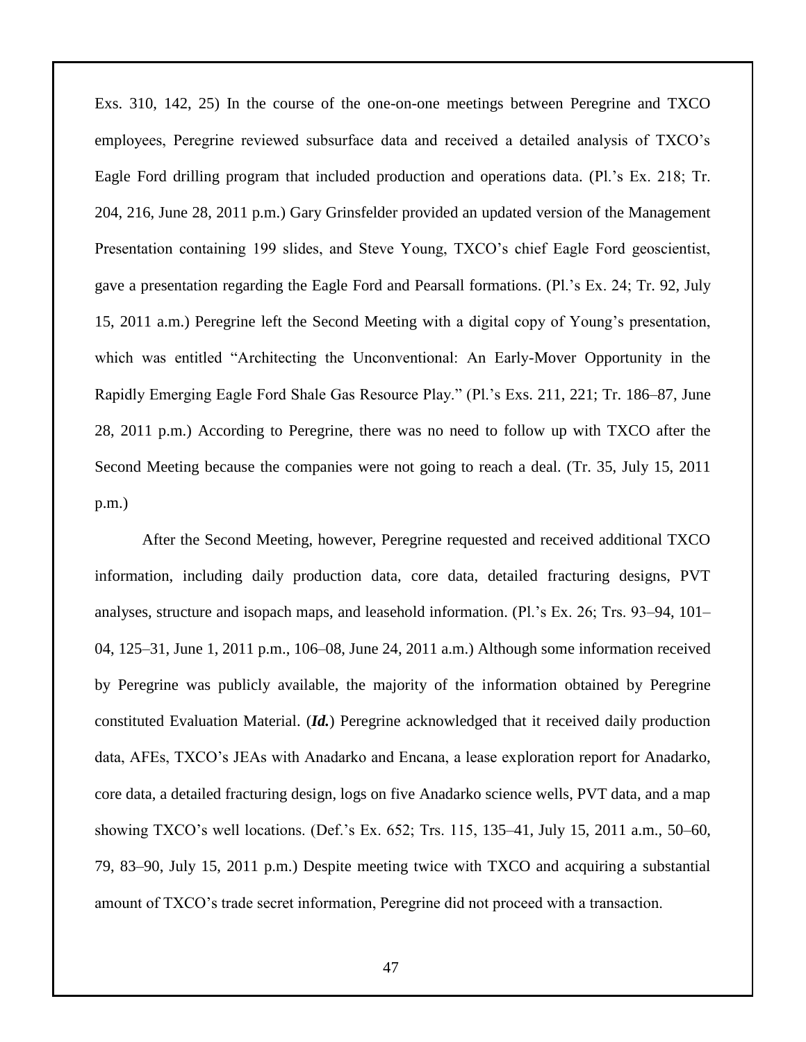Exs. 310, 142, 25) In the course of the one-on-one meetings between Peregrine and TXCO employees, Peregrine reviewed subsurface data and received a detailed analysis of TXCO's Eagle Ford drilling program that included production and operations data. (Pl.'s Ex. 218; Tr. 204, 216, June 28, 2011 p.m.) Gary Grinsfelder provided an updated version of the Management Presentation containing 199 slides, and Steve Young, TXCO's chief Eagle Ford geoscientist, gave a presentation regarding the Eagle Ford and Pearsall formations. (Pl.'s Ex. 24; Tr. 92, July 15, 2011 a.m.) Peregrine left the Second Meeting with a digital copy of Young's presentation, which was entitled "Architecting the Unconventional: An Early-Mover Opportunity in the Rapidly Emerging Eagle Ford Shale Gas Resource Play." (Pl.'s Exs. 211, 221; Tr. 186–87, June 28, 2011 p.m.) According to Peregrine, there was no need to follow up with TXCO after the Second Meeting because the companies were not going to reach a deal. (Tr. 35, July 15, 2011 p.m.)

After the Second Meeting, however, Peregrine requested and received additional TXCO information, including daily production data, core data, detailed fracturing designs, PVT analyses, structure and isopach maps, and leasehold information. (Pl.'s Ex. 26; Trs. 93–94, 101– 04, 125–31, June 1, 2011 p.m., 106–08, June 24, 2011 a.m.) Although some information received by Peregrine was publicly available, the majority of the information obtained by Peregrine constituted Evaluation Material. (*Id.*) Peregrine acknowledged that it received daily production data, AFEs, TXCO's JEAs with Anadarko and Encana, a lease exploration report for Anadarko, core data, a detailed fracturing design, logs on five Anadarko science wells, PVT data, and a map showing TXCO's well locations. (Def.'s Ex. 652; Trs. 115, 135–41, July 15, 2011 a.m., 50–60, 79, 83–90, July 15, 2011 p.m.) Despite meeting twice with TXCO and acquiring a substantial amount of TXCO's trade secret information, Peregrine did not proceed with a transaction.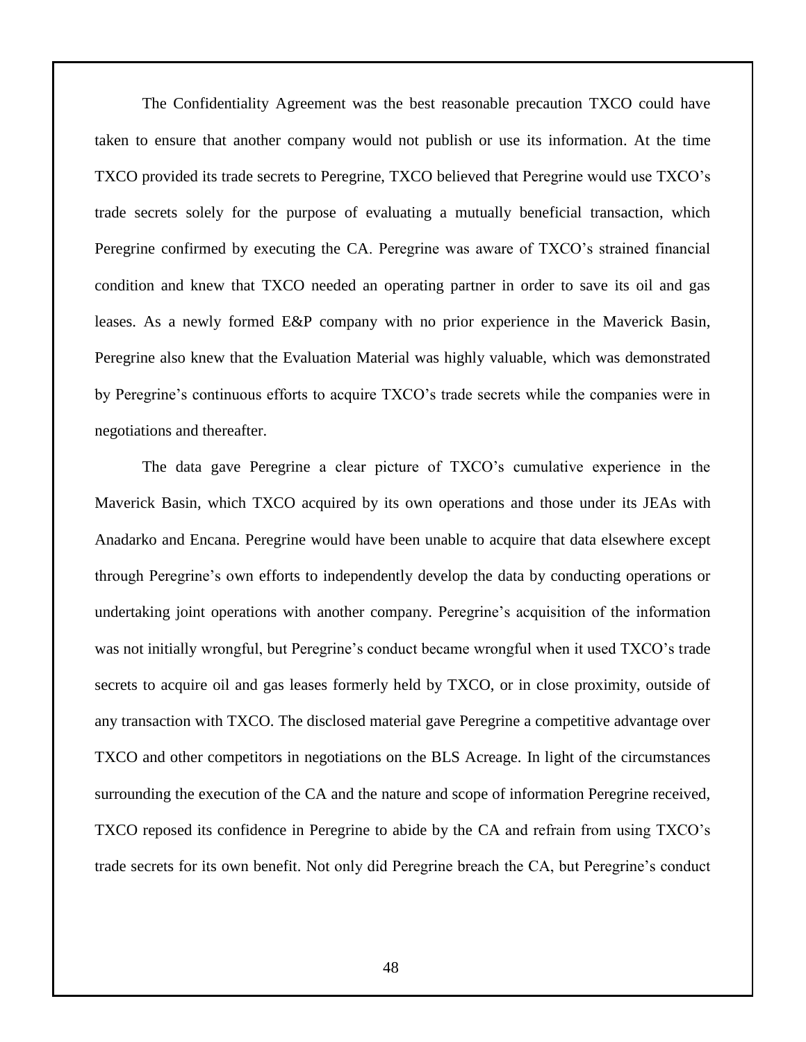The Confidentiality Agreement was the best reasonable precaution TXCO could have taken to ensure that another company would not publish or use its information. At the time TXCO provided its trade secrets to Peregrine, TXCO believed that Peregrine would use TXCO's trade secrets solely for the purpose of evaluating a mutually beneficial transaction, which Peregrine confirmed by executing the CA. Peregrine was aware of TXCO's strained financial condition and knew that TXCO needed an operating partner in order to save its oil and gas leases. As a newly formed E&P company with no prior experience in the Maverick Basin, Peregrine also knew that the Evaluation Material was highly valuable, which was demonstrated by Peregrine's continuous efforts to acquire TXCO's trade secrets while the companies were in negotiations and thereafter.

The data gave Peregrine a clear picture of TXCO's cumulative experience in the Maverick Basin, which TXCO acquired by its own operations and those under its JEAs with Anadarko and Encana. Peregrine would have been unable to acquire that data elsewhere except through Peregrine's own efforts to independently develop the data by conducting operations or undertaking joint operations with another company. Peregrine's acquisition of the information was not initially wrongful, but Peregrine's conduct became wrongful when it used TXCO's trade secrets to acquire oil and gas leases formerly held by TXCO, or in close proximity, outside of any transaction with TXCO. The disclosed material gave Peregrine a competitive advantage over TXCO and other competitors in negotiations on the BLS Acreage. In light of the circumstances surrounding the execution of the CA and the nature and scope of information Peregrine received, TXCO reposed its confidence in Peregrine to abide by the CA and refrain from using TXCO's trade secrets for its own benefit. Not only did Peregrine breach the CA, but Peregrine's conduct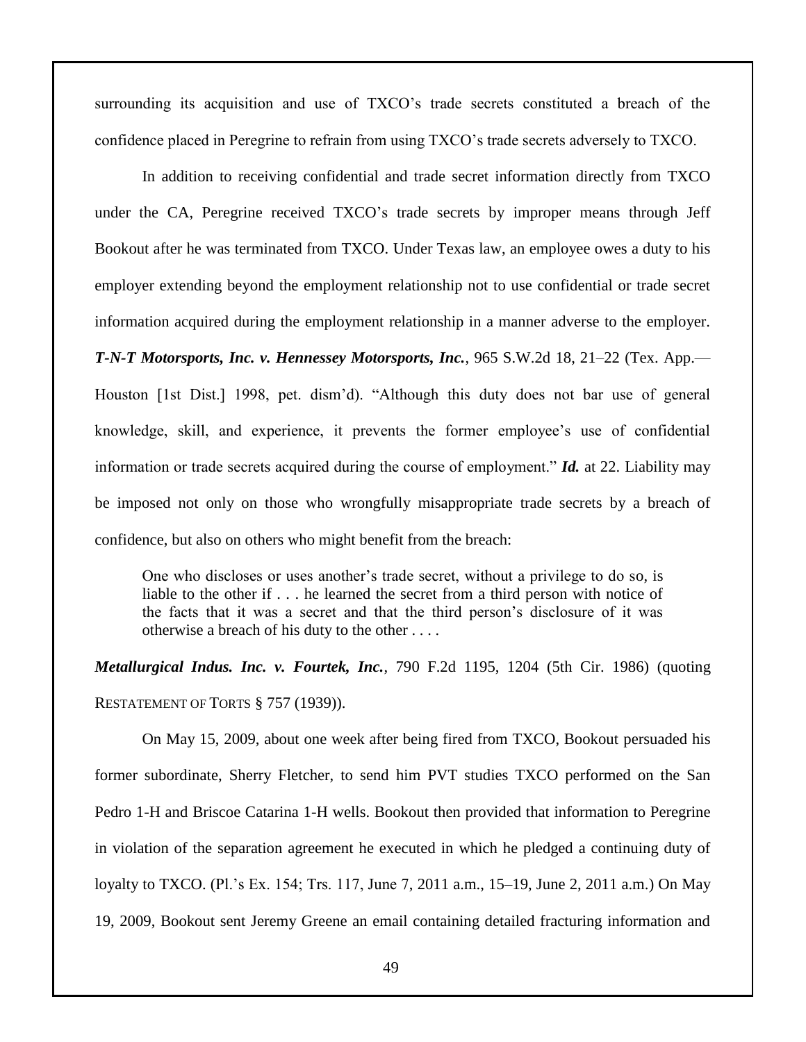surrounding its acquisition and use of TXCO's trade secrets constituted a breach of the confidence placed in Peregrine to refrain from using TXCO's trade secrets adversely to TXCO.

In addition to receiving confidential and trade secret information directly from TXCO under the CA, Peregrine received TXCO's trade secrets by improper means through Jeff Bookout after he was terminated from TXCO. Under Texas law, an employee owes a duty to his employer extending beyond the employment relationship not to use confidential or trade secret information acquired during the employment relationship in a manner adverse to the employer. *T-N-T Motorsports, Inc. v. Hennessey Motorsports, Inc.*, 965 S.W.2d 18, 21–22 (Tex. App.— Houston [1st Dist.] 1998, pet. dism'd). "Although this duty does not bar use of general knowledge, skill, and experience, it prevents the former employee's use of confidential information or trade secrets acquired during the course of employment." *Id.* at 22. Liability may be imposed not only on those who wrongfully misappropriate trade secrets by a breach of confidence, but also on others who might benefit from the breach:

One who discloses or uses another's trade secret, without a privilege to do so, is liable to the other if . . . he learned the secret from a third person with notice of the facts that it was a secret and that the third person's disclosure of it was otherwise a breach of his duty to the other . . . .

*Metallurgical Indus. Inc. v. Fourtek, Inc.*, 790 F.2d 1195, 1204 (5th Cir. 1986) (quoting RESTATEMENT OF TORTS § 757 (1939)).

On May 15, 2009, about one week after being fired from TXCO, Bookout persuaded his former subordinate, Sherry Fletcher, to send him PVT studies TXCO performed on the San Pedro 1-H and Briscoe Catarina 1-H wells. Bookout then provided that information to Peregrine in violation of the separation agreement he executed in which he pledged a continuing duty of loyalty to TXCO. (Pl.'s Ex. 154; Trs. 117, June 7, 2011 a.m., 15–19, June 2, 2011 a.m.) On May 19, 2009, Bookout sent Jeremy Greene an email containing detailed fracturing information and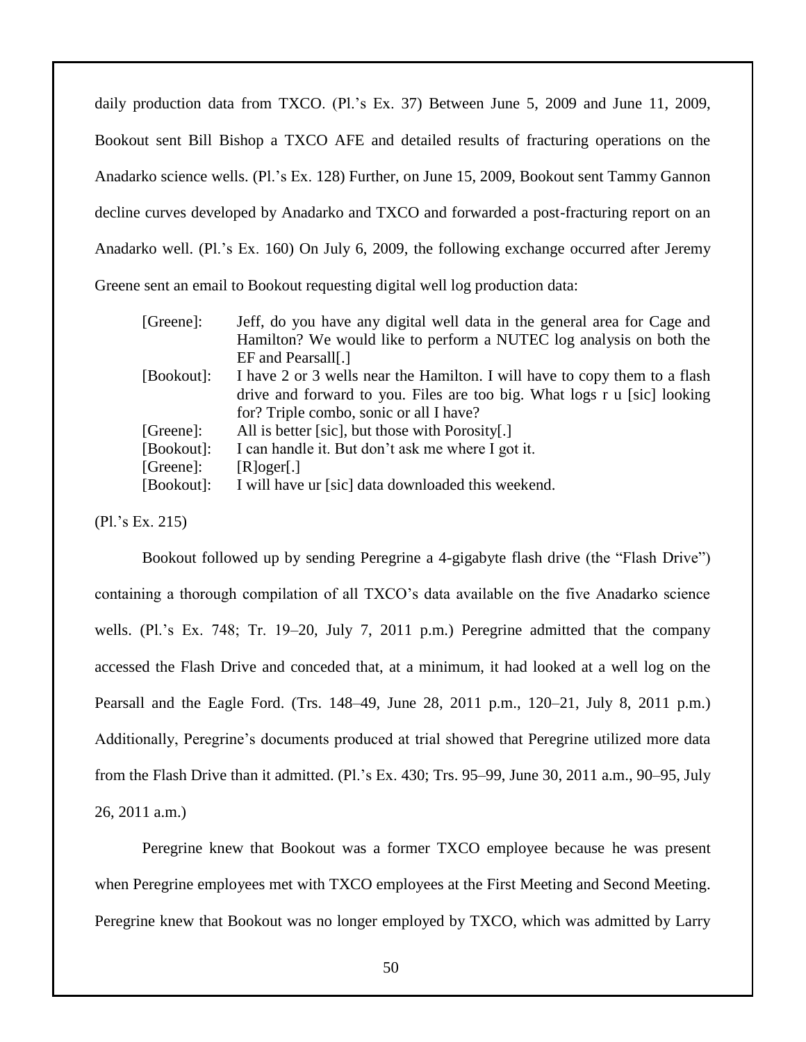daily production data from TXCO. (Pl.'s Ex. 37) Between June 5, 2009 and June 11, 2009, Bookout sent Bill Bishop a TXCO AFE and detailed results of fracturing operations on the Anadarko science wells. (Pl.'s Ex. 128) Further, on June 15, 2009, Bookout sent Tammy Gannon decline curves developed by Anadarko and TXCO and forwarded a post-fracturing report on an Anadarko well. (Pl.'s Ex. 160) On July 6, 2009, the following exchange occurred after Jeremy Greene sent an email to Bookout requesting digital well log production data:

| [Greene]:  | Jeff, do you have any digital well data in the general area for Cage and   |
|------------|----------------------------------------------------------------------------|
|            | Hamilton? We would like to perform a NUTEC log analysis on both the        |
|            | EF and Pearsall[.]                                                         |
| [Bookout]: | I have 2 or 3 wells near the Hamilton. I will have to copy them to a flash |
|            | drive and forward to you. Files are too big. What logs r u [sic] looking   |
|            | for? Triple combo, sonic or all I have?                                    |
| [Greene]:  | All is better [sic], but those with Porosity[.]                            |
| [Bookout]: | I can handle it. But don't ask me where I got it.                          |
| [Greene]:  | $[R]$ oger $[.]$                                                           |
| [Bookout]: | I will have ur [sic] data downloaded this weekend.                         |

(Pl.'s Ex. 215)

Bookout followed up by sending Peregrine a 4-gigabyte flash drive (the "Flash Drive") containing a thorough compilation of all TXCO's data available on the five Anadarko science wells. (Pl.'s Ex. 748; Tr. 19–20, July 7, 2011 p.m.) Peregrine admitted that the company accessed the Flash Drive and conceded that, at a minimum, it had looked at a well log on the Pearsall and the Eagle Ford. (Trs. 148–49, June 28, 2011 p.m., 120–21, July 8, 2011 p.m.) Additionally, Peregrine's documents produced at trial showed that Peregrine utilized more data from the Flash Drive than it admitted. (Pl.'s Ex. 430; Trs. 95–99, June 30, 2011 a.m., 90–95, July 26, 2011 a.m.)

Peregrine knew that Bookout was a former TXCO employee because he was present when Peregrine employees met with TXCO employees at the First Meeting and Second Meeting. Peregrine knew that Bookout was no longer employed by TXCO, which was admitted by Larry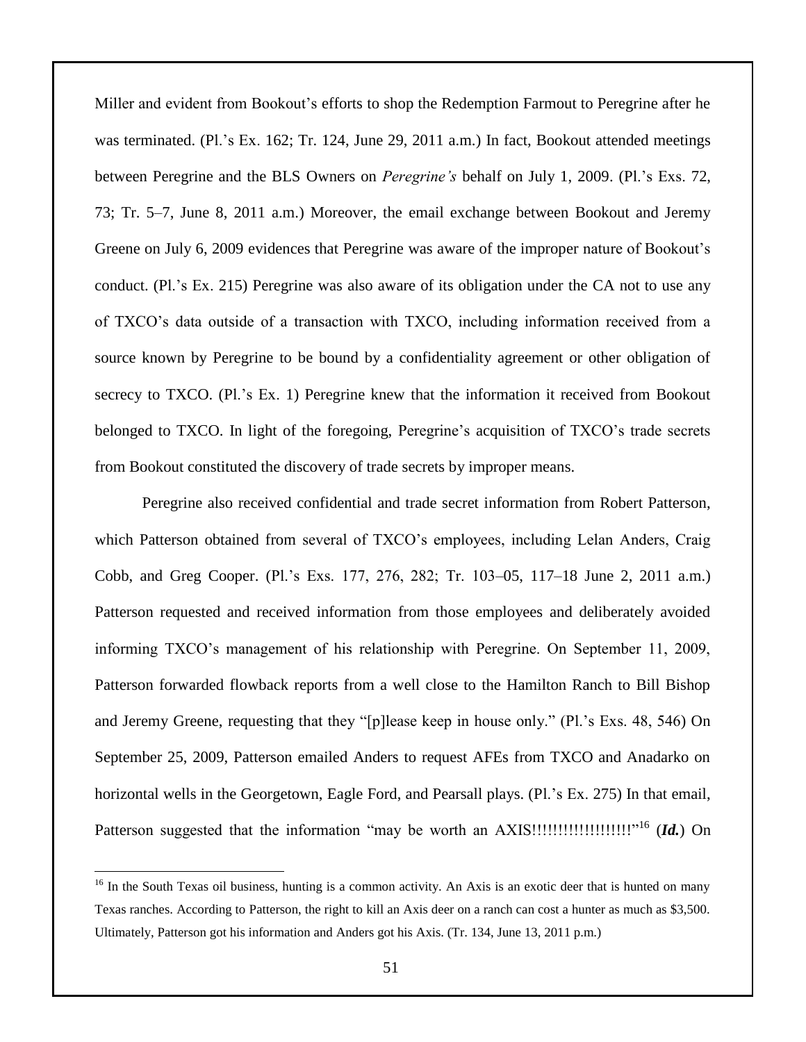Miller and evident from Bookout's efforts to shop the Redemption Farmout to Peregrine after he was terminated. (Pl.'s Ex. 162; Tr. 124, June 29, 2011 a.m.) In fact, Bookout attended meetings between Peregrine and the BLS Owners on *Peregrine's* behalf on July 1, 2009. (Pl.'s Exs. 72, 73; Tr. 5–7, June 8, 2011 a.m.) Moreover, the email exchange between Bookout and Jeremy Greene on July 6, 2009 evidences that Peregrine was aware of the improper nature of Bookout's conduct. (Pl.'s Ex. 215) Peregrine was also aware of its obligation under the CA not to use any of TXCO's data outside of a transaction with TXCO, including information received from a source known by Peregrine to be bound by a confidentiality agreement or other obligation of secrecy to TXCO. (Pl.'s Ex. 1) Peregrine knew that the information it received from Bookout belonged to TXCO. In light of the foregoing, Peregrine's acquisition of TXCO's trade secrets from Bookout constituted the discovery of trade secrets by improper means.

Peregrine also received confidential and trade secret information from Robert Patterson, which Patterson obtained from several of TXCO's employees, including Lelan Anders, Craig Cobb, and Greg Cooper. (Pl.'s Exs. 177, 276, 282; Tr. 103–05, 117–18 June 2, 2011 a.m.) Patterson requested and received information from those employees and deliberately avoided informing TXCO's management of his relationship with Peregrine. On September 11, 2009, Patterson forwarded flowback reports from a well close to the Hamilton Ranch to Bill Bishop and Jeremy Greene, requesting that they "[p]lease keep in house only." (Pl.'s Exs. 48, 546) On September 25, 2009, Patterson emailed Anders to request AFEs from TXCO and Anadarko on horizontal wells in the Georgetown, Eagle Ford, and Pearsall plays. (Pl.'s Ex. 275) In that email, Patterson suggested that the information "may be worth an AXIS!!!!!!!!!!!!!!!!!!!" <sup>16</sup> (*Id.*) On

 $\overline{a}$ 

<sup>&</sup>lt;sup>16</sup> In the South Texas oil business, hunting is a common activity. An Axis is an exotic deer that is hunted on many Texas ranches. According to Patterson, the right to kill an Axis deer on a ranch can cost a hunter as much as \$3,500. Ultimately, Patterson got his information and Anders got his Axis. (Tr. 134, June 13, 2011 p.m.)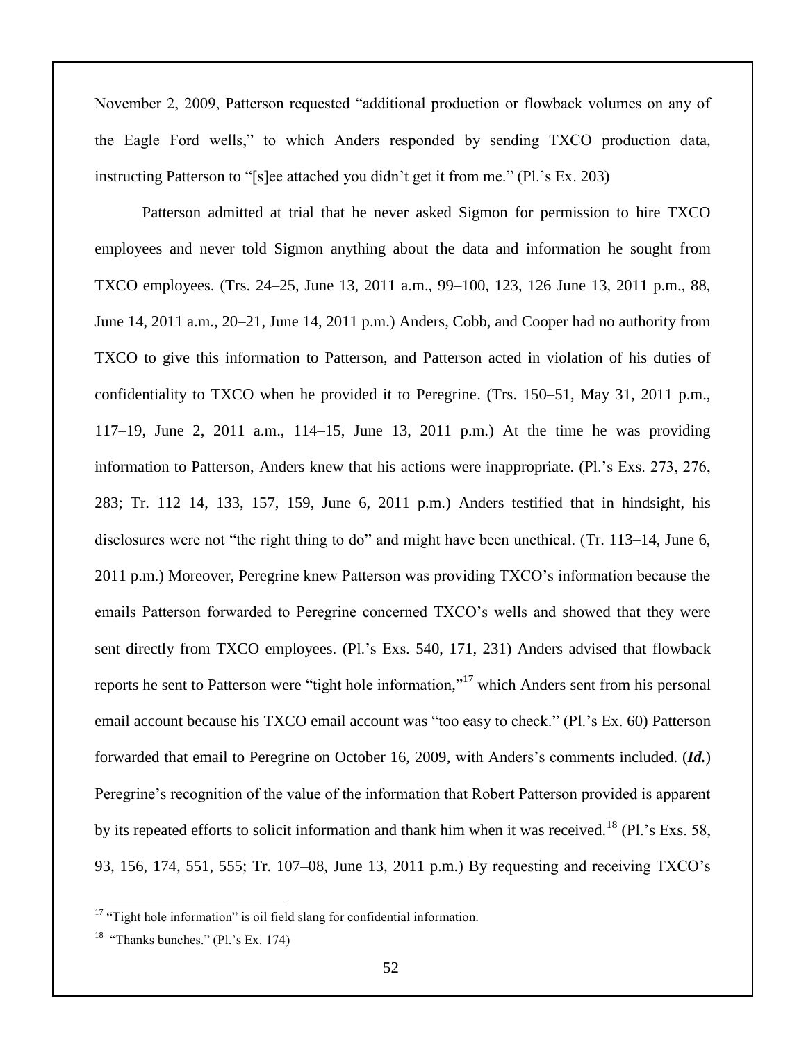November 2, 2009, Patterson requested "additional production or flowback volumes on any of the Eagle Ford wells," to which Anders responded by sending TXCO production data, instructing Patterson to "[s]ee attached you didn't get it from me." (Pl.'s Ex. 203)

Patterson admitted at trial that he never asked Sigmon for permission to hire TXCO employees and never told Sigmon anything about the data and information he sought from TXCO employees. (Trs. 24–25, June 13, 2011 a.m., 99–100, 123, 126 June 13, 2011 p.m., 88, June 14, 2011 a.m., 20–21, June 14, 2011 p.m.) Anders, Cobb, and Cooper had no authority from TXCO to give this information to Patterson, and Patterson acted in violation of his duties of confidentiality to TXCO when he provided it to Peregrine. (Trs. 150–51, May 31, 2011 p.m., 117–19, June 2, 2011 a.m., 114–15, June 13, 2011 p.m.) At the time he was providing information to Patterson, Anders knew that his actions were inappropriate. (Pl.'s Exs. 273, 276, 283; Tr. 112–14, 133, 157, 159, June 6, 2011 p.m.) Anders testified that in hindsight, his disclosures were not "the right thing to do" and might have been unethical. (Tr. 113–14, June 6, 2011 p.m.) Moreover, Peregrine knew Patterson was providing TXCO's information because the emails Patterson forwarded to Peregrine concerned TXCO's wells and showed that they were sent directly from TXCO employees. (Pl.'s Exs. 540, 171, 231) Anders advised that flowback reports he sent to Patterson were "tight hole information,"<sup>17</sup> which Anders sent from his personal email account because his TXCO email account was "too easy to check." (Pl.'s Ex. 60) Patterson forwarded that email to Peregrine on October 16, 2009, with Anders's comments included. (*Id.*) Peregrine's recognition of the value of the information that Robert Patterson provided is apparent by its repeated efforts to solicit information and thank him when it was received.<sup>18</sup> (Pl.'s Exs. 58, 93, 156, 174, 551, 555; Tr. 107–08, June 13, 2011 p.m.) By requesting and receiving TXCO's

 $\overline{a}$ 

 $17$  "Tight hole information" is oil field slang for confidential information.

 $18$  "Thanks bunches." (Pl.'s Ex. 174)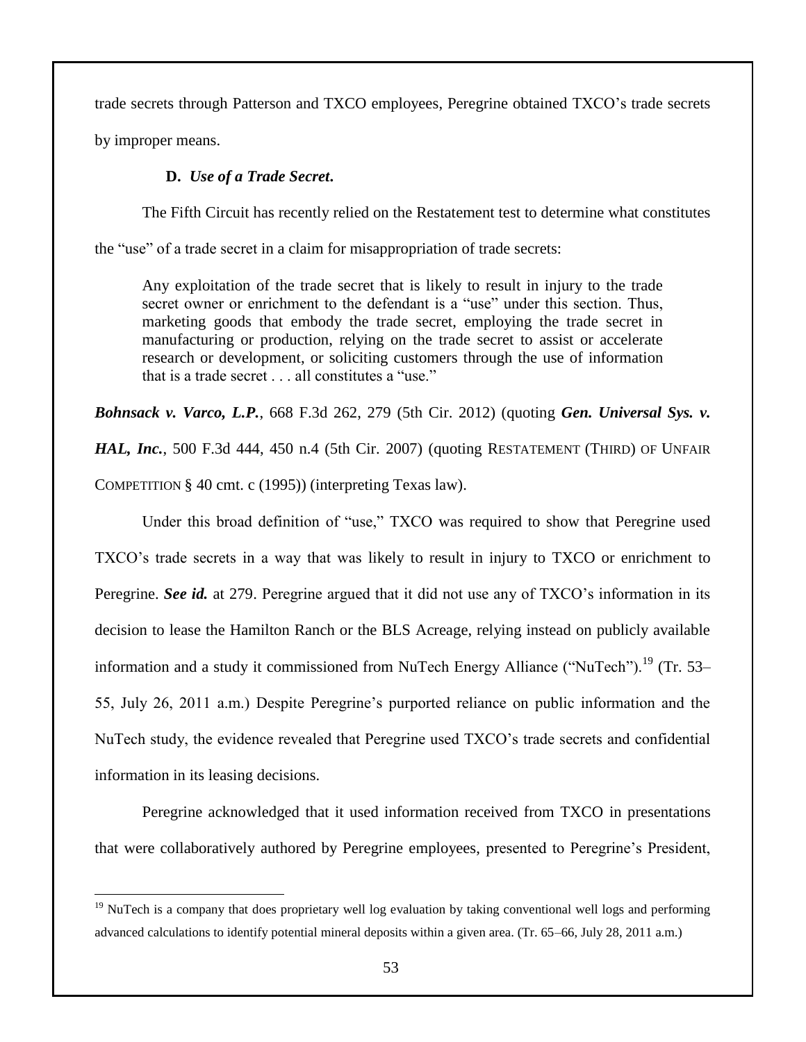trade secrets through Patterson and TXCO employees, Peregrine obtained TXCO's trade secrets

by improper means.

 $\overline{a}$ 

# **D.** *Use of a Trade Secret***.**

The Fifth Circuit has recently relied on the Restatement test to determine what constitutes

the "use" of a trade secret in a claim for misappropriation of trade secrets:

Any exploitation of the trade secret that is likely to result in injury to the trade secret owner or enrichment to the defendant is a "use" under this section. Thus, marketing goods that embody the trade secret, employing the trade secret in manufacturing or production, relying on the trade secret to assist or accelerate research or development, or soliciting customers through the use of information that is a trade secret . . . all constitutes a "use."

*Bohnsack v. Varco, L.P.*, 668 F.3d 262, 279 (5th Cir. 2012) (quoting *Gen. Universal Sys. v.* 

*HAL, Inc.*, 500 F.3d 444, 450 n.4 (5th Cir. 2007) (quoting RESTATEMENT (THIRD) OF UNFAIR COMPETITION § 40 cmt. c (1995)) (interpreting Texas law).

Under this broad definition of "use," TXCO was required to show that Peregrine used TXCO's trade secrets in a way that was likely to result in injury to TXCO or enrichment to Peregrine. *See id.* at 279. Peregrine argued that it did not use any of TXCO's information in its decision to lease the Hamilton Ranch or the BLS Acreage, relying instead on publicly available information and a study it commissioned from NuTech Energy Alliance ("NuTech").<sup>19</sup> (Tr. 53– 55, July 26, 2011 a.m.) Despite Peregrine's purported reliance on public information and the NuTech study, the evidence revealed that Peregrine used TXCO's trade secrets and confidential information in its leasing decisions.

Peregrine acknowledged that it used information received from TXCO in presentations that were collaboratively authored by Peregrine employees, presented to Peregrine's President,

<sup>&</sup>lt;sup>19</sup> NuTech is a company that does proprietary well log evaluation by taking conventional well logs and performing advanced calculations to identify potential mineral deposits within a given area. (Tr. 65–66, July 28, 2011 a.m.)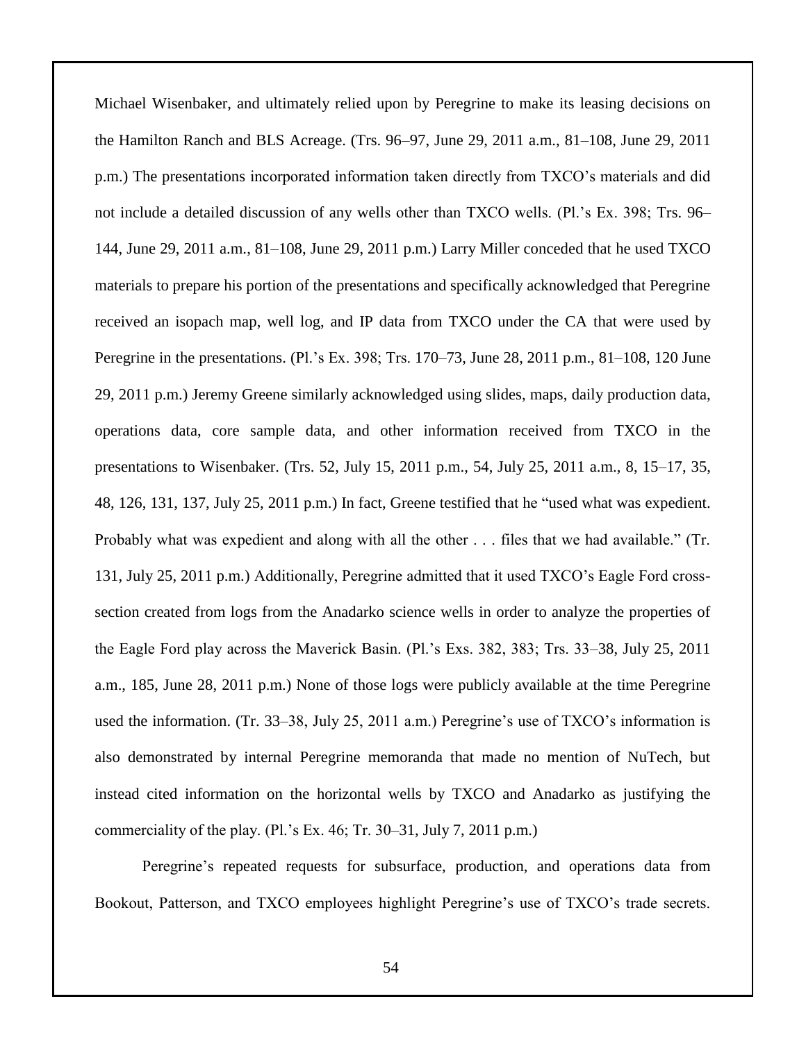Michael Wisenbaker, and ultimately relied upon by Peregrine to make its leasing decisions on the Hamilton Ranch and BLS Acreage. (Trs. 96–97, June 29, 2011 a.m., 81–108, June 29, 2011 p.m.) The presentations incorporated information taken directly from TXCO's materials and did not include a detailed discussion of any wells other than TXCO wells. (Pl.'s Ex. 398; Trs. 96– 144, June 29, 2011 a.m., 81–108, June 29, 2011 p.m.) Larry Miller conceded that he used TXCO materials to prepare his portion of the presentations and specifically acknowledged that Peregrine received an isopach map, well log, and IP data from TXCO under the CA that were used by Peregrine in the presentations. (Pl.'s Ex. 398; Trs. 170–73, June 28, 2011 p.m., 81–108, 120 June 29, 2011 p.m.) Jeremy Greene similarly acknowledged using slides, maps, daily production data, operations data, core sample data, and other information received from TXCO in the presentations to Wisenbaker. (Trs. 52, July 15, 2011 p.m., 54, July 25, 2011 a.m., 8, 15–17, 35, 48, 126, 131, 137, July 25, 2011 p.m.) In fact, Greene testified that he "used what was expedient. Probably what was expedient and along with all the other . . . files that we had available." (Tr. 131, July 25, 2011 p.m.) Additionally, Peregrine admitted that it used TXCO's Eagle Ford crosssection created from logs from the Anadarko science wells in order to analyze the properties of the Eagle Ford play across the Maverick Basin. (Pl.'s Exs. 382, 383; Trs. 33–38, July 25, 2011 a.m., 185, June 28, 2011 p.m.) None of those logs were publicly available at the time Peregrine used the information. (Tr. 33–38, July 25, 2011 a.m.) Peregrine's use of TXCO's information is also demonstrated by internal Peregrine memoranda that made no mention of NuTech, but instead cited information on the horizontal wells by TXCO and Anadarko as justifying the commerciality of the play. (Pl.'s Ex. 46; Tr. 30–31, July 7, 2011 p.m.)

Peregrine's repeated requests for subsurface, production, and operations data from Bookout, Patterson, and TXCO employees highlight Peregrine's use of TXCO's trade secrets.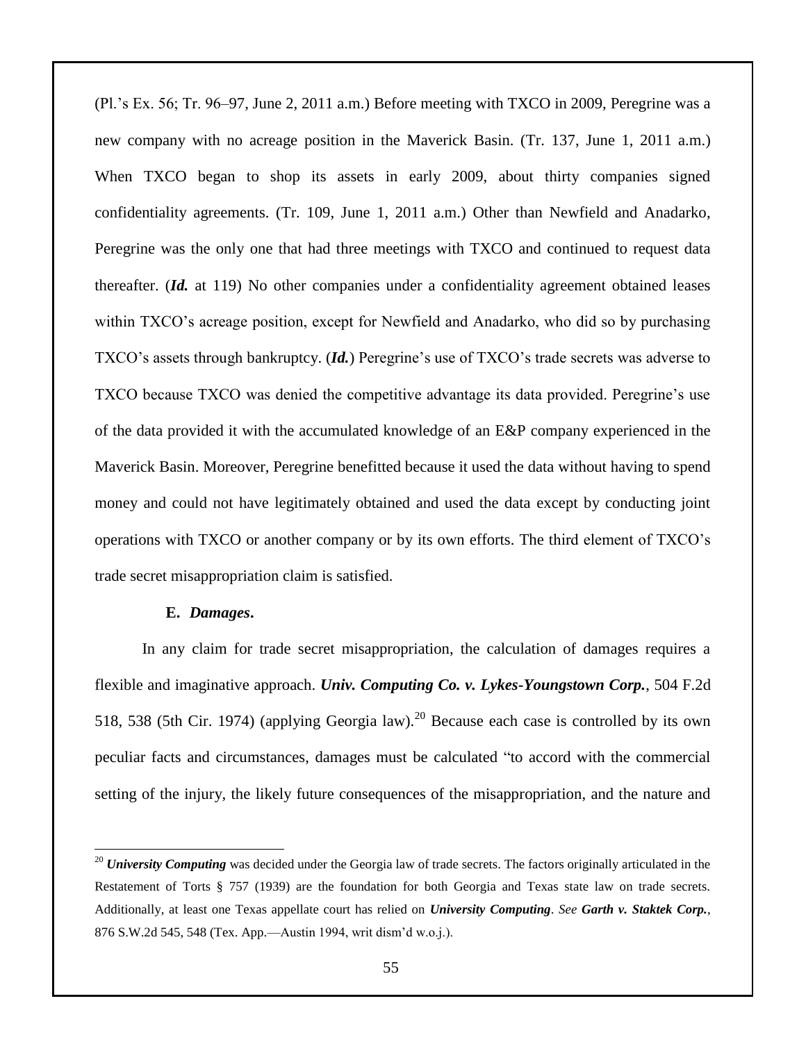(Pl.'s Ex. 56; Tr. 96–97, June 2, 2011 a.m.) Before meeting with TXCO in 2009, Peregrine was a new company with no acreage position in the Maverick Basin. (Tr. 137, June 1, 2011 a.m.) When TXCO began to shop its assets in early 2009, about thirty companies signed confidentiality agreements. (Tr. 109, June 1, 2011 a.m.) Other than Newfield and Anadarko, Peregrine was the only one that had three meetings with TXCO and continued to request data thereafter. (*Id.* at 119) No other companies under a confidentiality agreement obtained leases within TXCO's acreage position, except for Newfield and Anadarko, who did so by purchasing TXCO's assets through bankruptcy. (*Id.*) Peregrine's use of TXCO's trade secrets was adverse to TXCO because TXCO was denied the competitive advantage its data provided. Peregrine's use of the data provided it with the accumulated knowledge of an E&P company experienced in the Maverick Basin. Moreover, Peregrine benefitted because it used the data without having to spend money and could not have legitimately obtained and used the data except by conducting joint operations with TXCO or another company or by its own efforts. The third element of TXCO's trade secret misappropriation claim is satisfied.

## **E.** *Damages***.**

 $\overline{a}$ 

In any claim for trade secret misappropriation, the calculation of damages requires a flexible and imaginative approach. *Univ. Computing Co. v. Lykes-Youngstown Corp.*, 504 F.2d 518, 538 (5th Cir. 1974) (applying Georgia law).<sup>20</sup> Because each case is controlled by its own peculiar facts and circumstances, damages must be calculated "to accord with the commercial setting of the injury, the likely future consequences of the misappropriation, and the nature and

<sup>&</sup>lt;sup>20</sup> *University Computing* was decided under the Georgia law of trade secrets. The factors originally articulated in the Restatement of Torts § 757 (1939) are the foundation for both Georgia and Texas state law on trade secrets. Additionally, at least one Texas appellate court has relied on *University Computing*. *See Garth v. Staktek Corp.*, 876 S.W.2d 545, 548 (Tex. App.—Austin 1994, writ dism'd w.o.j.).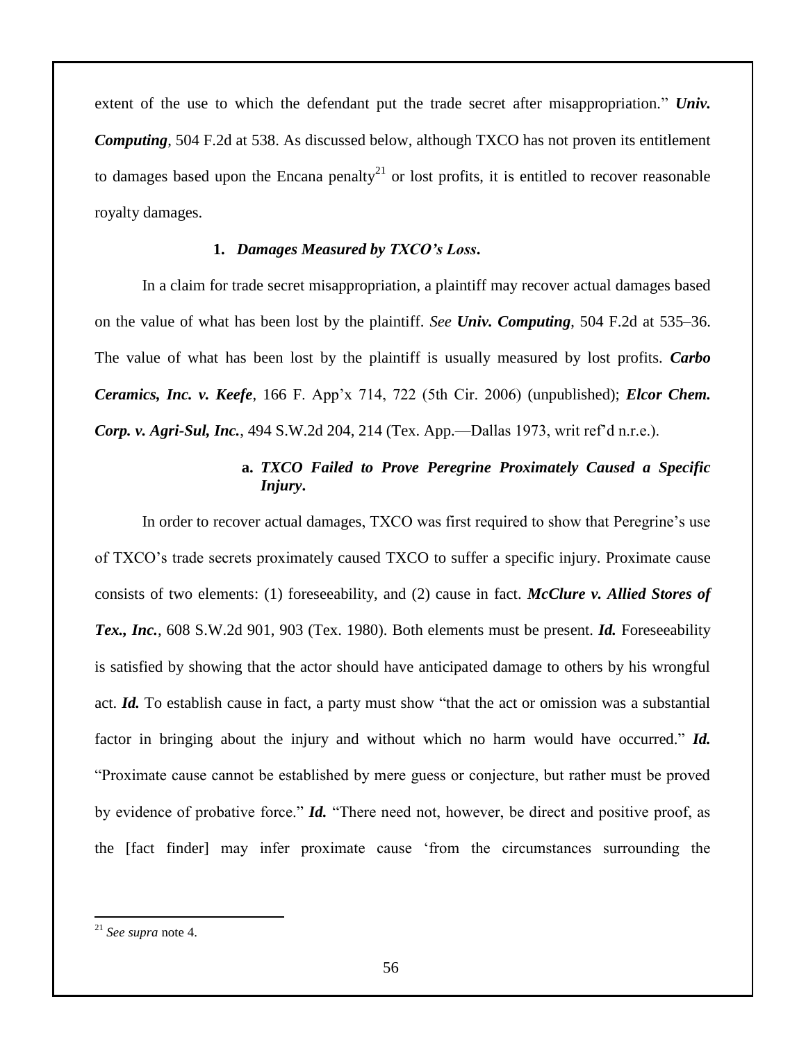extent of the use to which the defendant put the trade secret after misappropriation." *Univ. Computing*, 504 F.2d at 538. As discussed below, although TXCO has not proven its entitlement to damages based upon the Encana penalty<sup>21</sup> or lost profits, it is entitled to recover reasonable royalty damages.

## **1.** *Damages Measured by TXCO's Loss***.**

In a claim for trade secret misappropriation, a plaintiff may recover actual damages based on the value of what has been lost by the plaintiff. *See Univ. Computing*, 504 F.2d at 535–36. The value of what has been lost by the plaintiff is usually measured by lost profits. *Carbo Ceramics, Inc. v. Keefe*, 166 F. App'x 714, 722 (5th Cir. 2006) (unpublished); *Elcor Chem. Corp. v. Agri-Sul, Inc.*, 494 S.W.2d 204, 214 (Tex. App.—Dallas 1973, writ ref'd n.r.e.).

# **a.** *TXCO Failed to Prove Peregrine Proximately Caused a Specific Injury***.**

In order to recover actual damages, TXCO was first required to show that Peregrine's use of TXCO's trade secrets proximately caused TXCO to suffer a specific injury. Proximate cause consists of two elements: (1) foreseeability, and (2) cause in fact. *McClure v. Allied Stores of Tex., Inc.*, 608 S.W.2d 901, 903 (Tex. 1980). Both elements must be present. *Id.* Foreseeability is satisfied by showing that the actor should have anticipated damage to others by his wrongful act. *Id.* To establish cause in fact, a party must show "that the act or omission was a substantial factor in bringing about the injury and without which no harm would have occurred." *Id.* "Proximate cause cannot be established by mere guess or conjecture, but rather must be proved by evidence of probative force." *Id.* "There need not, however, be direct and positive proof, as the [fact finder] may infer proximate cause 'from the circumstances surrounding the

 $\overline{a}$ 

<sup>21</sup> *See supra* note 4.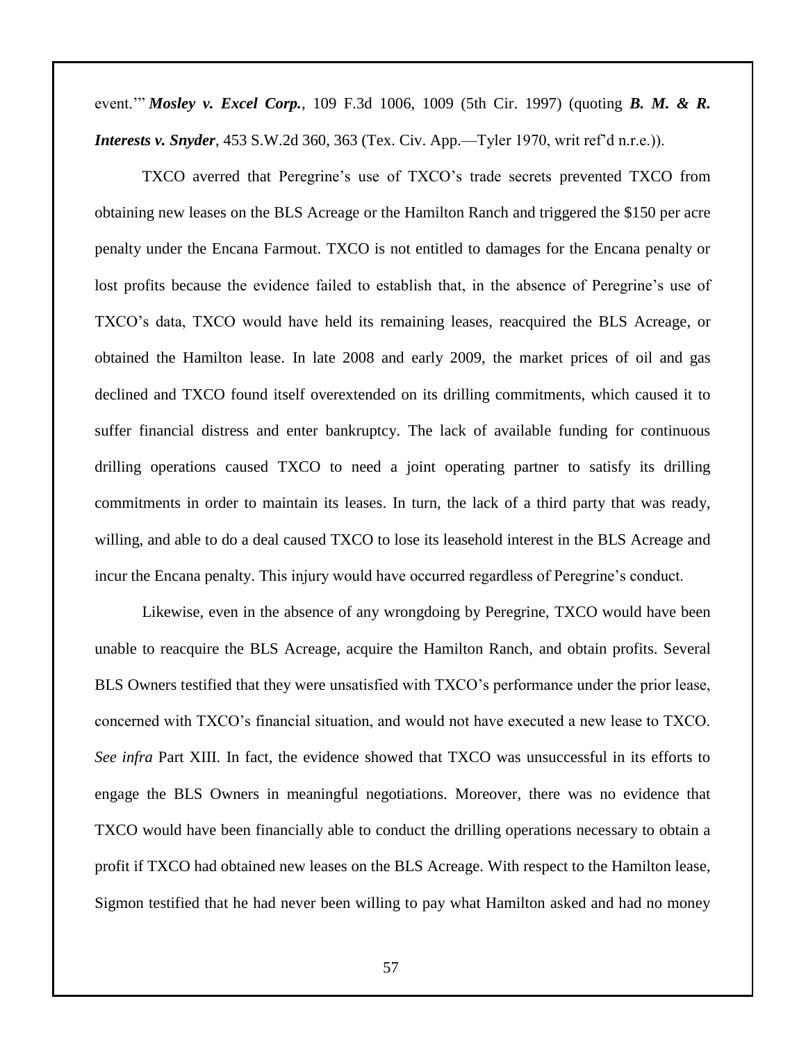event.'" *Mosley v. Excel Corp.*, 109 F.3d 1006, 1009 (5th Cir. 1997) (quoting *B. M. & R. Interests v. Snyder*, 453 S.W.2d 360, 363 (Tex. Civ. App.—Tyler 1970, writ ref'd n.r.e.)).

TXCO averred that Peregrine's use of TXCO's trade secrets prevented TXCO from obtaining new leases on the BLS Acreage or the Hamilton Ranch and triggered the \$150 per acre penalty under the Encana Farmout. TXCO is not entitled to damages for the Encana penalty or lost profits because the evidence failed to establish that, in the absence of Peregrine's use of TXCO's data, TXCO would have held its remaining leases, reacquired the BLS Acreage, or obtained the Hamilton lease. In late 2008 and early 2009, the market prices of oil and gas declined and TXCO found itself overextended on its drilling commitments, which caused it to suffer financial distress and enter bankruptcy. The lack of available funding for continuous drilling operations caused TXCO to need a joint operating partner to satisfy its drilling commitments in order to maintain its leases. In turn, the lack of a third party that was ready, willing, and able to do a deal caused TXCO to lose its leasehold interest in the BLS Acreage and incur the Encana penalty. This injury would have occurred regardless of Peregrine's conduct.

Likewise, even in the absence of any wrongdoing by Peregrine, TXCO would have been unable to reacquire the BLS Acreage, acquire the Hamilton Ranch, and obtain profits. Several BLS Owners testified that they were unsatisfied with TXCO's performance under the prior lease, concerned with TXCO's financial situation, and would not have executed a new lease to TXCO. *See infra* Part XIII. In fact, the evidence showed that TXCO was unsuccessful in its efforts to engage the BLS Owners in meaningful negotiations. Moreover, there was no evidence that TXCO would have been financially able to conduct the drilling operations necessary to obtain a profit if TXCO had obtained new leases on the BLS Acreage. With respect to the Hamilton lease, Sigmon testified that he had never been willing to pay what Hamilton asked and had no money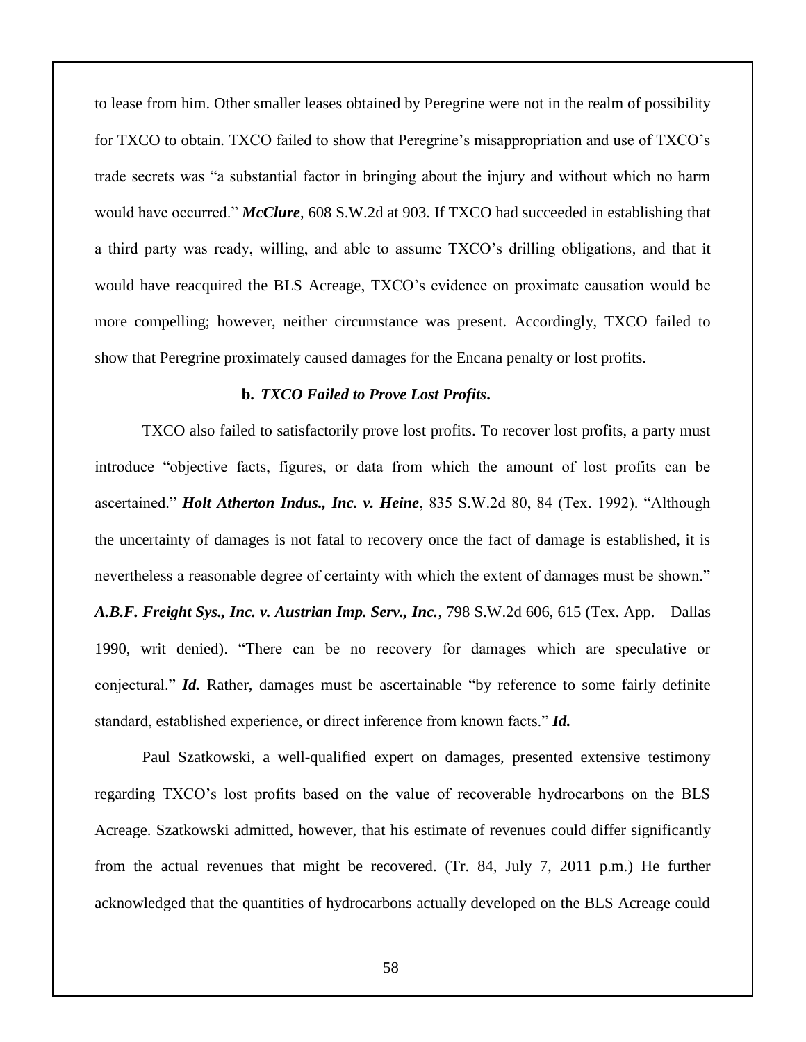to lease from him. Other smaller leases obtained by Peregrine were not in the realm of possibility for TXCO to obtain. TXCO failed to show that Peregrine's misappropriation and use of TXCO's trade secrets was "a substantial factor in bringing about the injury and without which no harm would have occurred." *McClure*, 608 S.W.2d at 903. If TXCO had succeeded in establishing that a third party was ready, willing, and able to assume TXCO's drilling obligations, and that it would have reacquired the BLS Acreage, TXCO's evidence on proximate causation would be more compelling; however, neither circumstance was present. Accordingly, TXCO failed to show that Peregrine proximately caused damages for the Encana penalty or lost profits.

### **b.** *TXCO Failed to Prove Lost Profits***.**

TXCO also failed to satisfactorily prove lost profits. To recover lost profits, a party must introduce "objective facts, figures, or data from which the amount of lost profits can be ascertained." *Holt Atherton Indus., Inc. v. Heine*, 835 S.W.2d 80, 84 (Tex. 1992). "Although the uncertainty of damages is not fatal to recovery once the fact of damage is established, it is nevertheless a reasonable degree of certainty with which the extent of damages must be shown." *A.B.F. Freight Sys., Inc. v. Austrian Imp. Serv., Inc.*, 798 S.W.2d 606, 615 (Tex. App.—Dallas 1990, writ denied). "There can be no recovery for damages which are speculative or conjectural." *Id.* Rather, damages must be ascertainable "by reference to some fairly definite standard, established experience, or direct inference from known facts." *Id.*

Paul Szatkowski, a well-qualified expert on damages, presented extensive testimony regarding TXCO's lost profits based on the value of recoverable hydrocarbons on the BLS Acreage. Szatkowski admitted, however, that his estimate of revenues could differ significantly from the actual revenues that might be recovered. (Tr. 84, July 7, 2011 p.m.) He further acknowledged that the quantities of hydrocarbons actually developed on the BLS Acreage could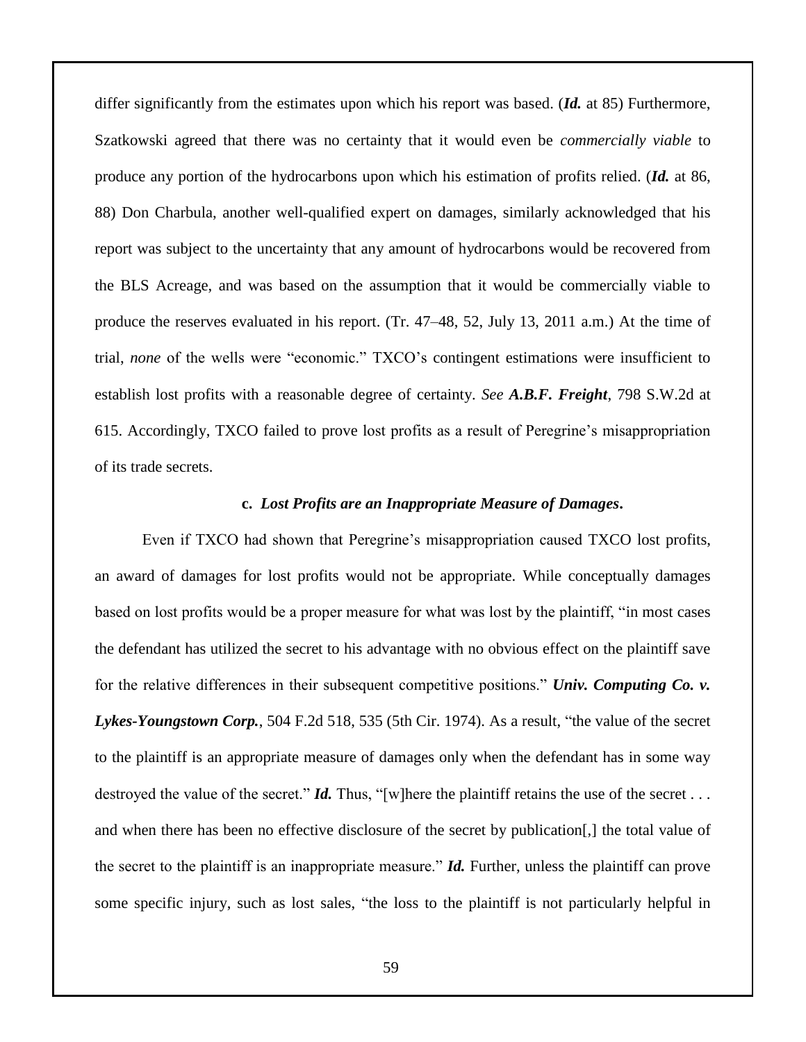differ significantly from the estimates upon which his report was based. (*Id.* at 85) Furthermore, Szatkowski agreed that there was no certainty that it would even be *commercially viable* to produce any portion of the hydrocarbons upon which his estimation of profits relied. (*Id.* at 86, 88) Don Charbula, another well-qualified expert on damages, similarly acknowledged that his report was subject to the uncertainty that any amount of hydrocarbons would be recovered from the BLS Acreage, and was based on the assumption that it would be commercially viable to produce the reserves evaluated in his report. (Tr. 47–48, 52, July 13, 2011 a.m.) At the time of trial, *none* of the wells were "economic." TXCO's contingent estimations were insufficient to establish lost profits with a reasonable degree of certainty. *See A.B.F. Freight*, 798 S.W.2d at 615. Accordingly, TXCO failed to prove lost profits as a result of Peregrine's misappropriation of its trade secrets.

#### **c.** *Lost Profits are an Inappropriate Measure of Damages***.**

Even if TXCO had shown that Peregrine's misappropriation caused TXCO lost profits, an award of damages for lost profits would not be appropriate. While conceptually damages based on lost profits would be a proper measure for what was lost by the plaintiff, "in most cases the defendant has utilized the secret to his advantage with no obvious effect on the plaintiff save for the relative differences in their subsequent competitive positions." *Univ. Computing Co. v. Lykes-Youngstown Corp.*, 504 F.2d 518, 535 (5th Cir. 1974). As a result, "the value of the secret to the plaintiff is an appropriate measure of damages only when the defendant has in some way destroyed the value of the secret." *Id.* Thus, "[w]here the plaintiff retains the use of the secret . . . and when there has been no effective disclosure of the secret by publication[,] the total value of the secret to the plaintiff is an inappropriate measure." *Id.* Further, unless the plaintiff can prove some specific injury, such as lost sales, "the loss to the plaintiff is not particularly helpful in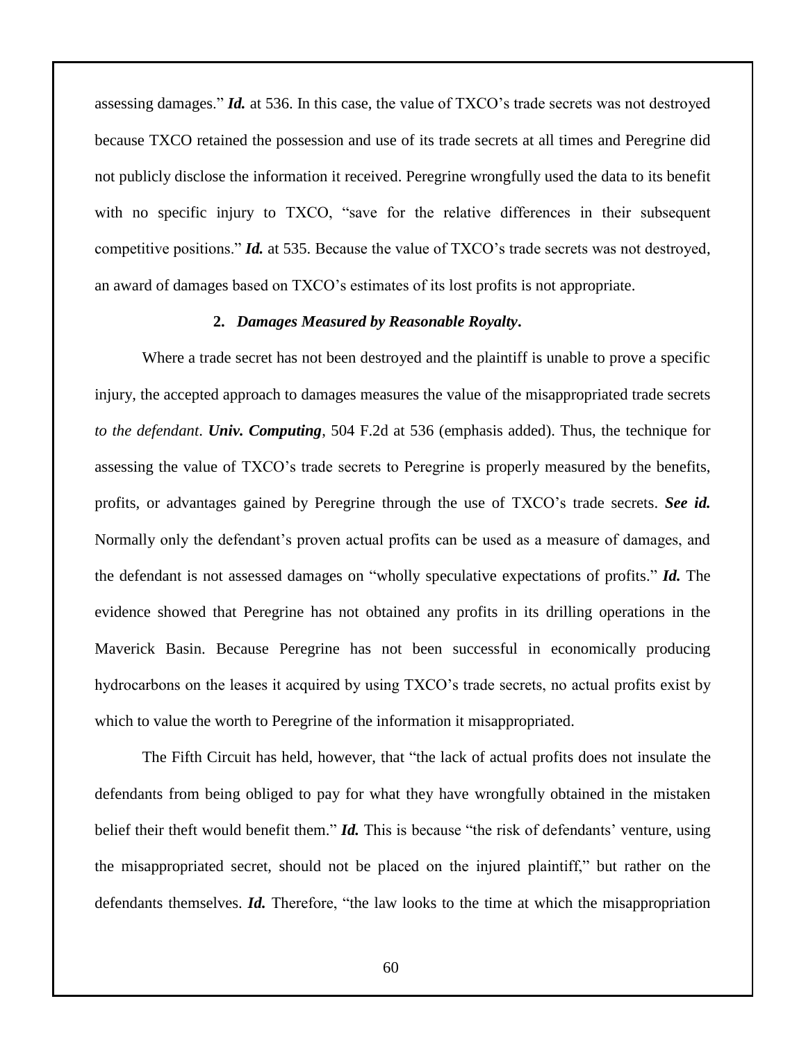assessing damages." *Id.* at 536. In this case, the value of TXCO's trade secrets was not destroyed because TXCO retained the possession and use of its trade secrets at all times and Peregrine did not publicly disclose the information it received. Peregrine wrongfully used the data to its benefit with no specific injury to TXCO, "save for the relative differences in their subsequent competitive positions." *Id.* at 535. Because the value of TXCO's trade secrets was not destroyed, an award of damages based on TXCO's estimates of its lost profits is not appropriate.

## **2.** *Damages Measured by Reasonable Royalty***.**

Where a trade secret has not been destroyed and the plaintiff is unable to prove a specific injury, the accepted approach to damages measures the value of the misappropriated trade secrets *to the defendant*. *Univ. Computing*, 504 F.2d at 536 (emphasis added). Thus, the technique for assessing the value of TXCO's trade secrets to Peregrine is properly measured by the benefits, profits, or advantages gained by Peregrine through the use of TXCO's trade secrets. *See id.*  Normally only the defendant's proven actual profits can be used as a measure of damages, and the defendant is not assessed damages on "wholly speculative expectations of profits." *Id.* The evidence showed that Peregrine has not obtained any profits in its drilling operations in the Maverick Basin. Because Peregrine has not been successful in economically producing hydrocarbons on the leases it acquired by using TXCO's trade secrets, no actual profits exist by which to value the worth to Peregrine of the information it misappropriated.

The Fifth Circuit has held, however, that "the lack of actual profits does not insulate the defendants from being obliged to pay for what they have wrongfully obtained in the mistaken belief their theft would benefit them." *Id.* This is because "the risk of defendants' venture, using the misappropriated secret, should not be placed on the injured plaintiff," but rather on the defendants themselves. *Id.* Therefore, "the law looks to the time at which the misappropriation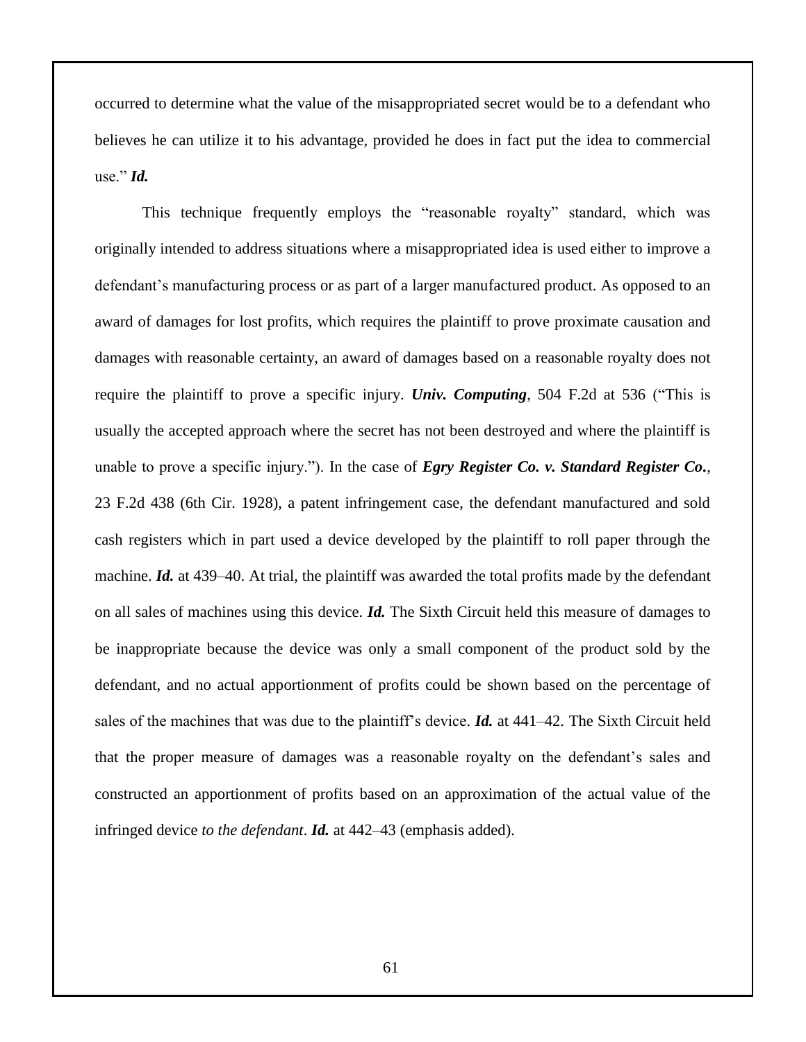occurred to determine what the value of the misappropriated secret would be to a defendant who believes he can utilize it to his advantage, provided he does in fact put the idea to commercial use."  $\mathcal{I}d$ .

This technique frequently employs the "reasonable royalty" standard, which was originally intended to address situations where a misappropriated idea is used either to improve a defendant's manufacturing process or as part of a larger manufactured product. As opposed to an award of damages for lost profits, which requires the plaintiff to prove proximate causation and damages with reasonable certainty, an award of damages based on a reasonable royalty does not require the plaintiff to prove a specific injury. *Univ. Computing*, 504 F.2d at 536 ("This is usually the accepted approach where the secret has not been destroyed and where the plaintiff is unable to prove a specific injury."). In the case of *Egry Register Co. v. Standard Register Co.*, 23 F.2d 438 (6th Cir. 1928), a patent infringement case, the defendant manufactured and sold cash registers which in part used a device developed by the plaintiff to roll paper through the machine. *Id.* at 439–40. At trial, the plaintiff was awarded the total profits made by the defendant on all sales of machines using this device. *Id.* The Sixth Circuit held this measure of damages to be inappropriate because the device was only a small component of the product sold by the defendant, and no actual apportionment of profits could be shown based on the percentage of sales of the machines that was due to the plaintiff's device. *Id.* at 441–42. The Sixth Circuit held that the proper measure of damages was a reasonable royalty on the defendant's sales and constructed an apportionment of profits based on an approximation of the actual value of the infringed device *to the defendant*. *Id.* at 442–43 (emphasis added).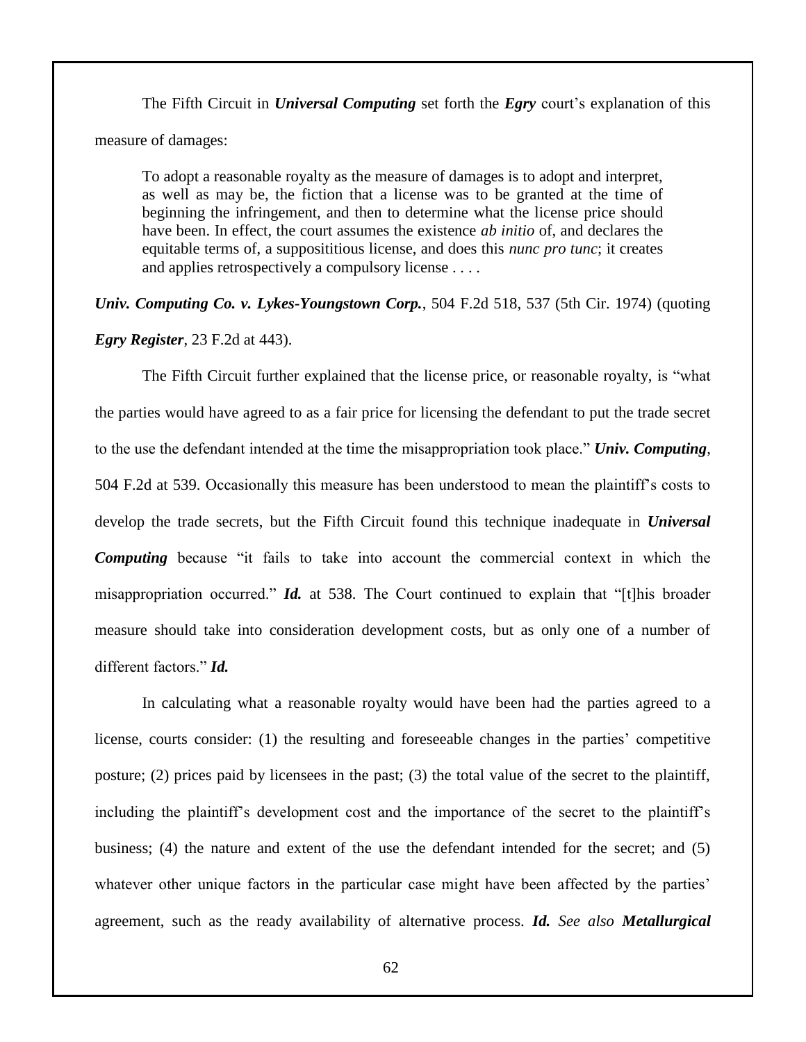The Fifth Circuit in *Universal Computing* set forth the *Egry* court's explanation of this measure of damages:

To adopt a reasonable royalty as the measure of damages is to adopt and interpret, as well as may be, the fiction that a license was to be granted at the time of beginning the infringement, and then to determine what the license price should have been. In effect, the court assumes the existence *ab initio* of, and declares the equitable terms of, a supposititious license, and does this *nunc pro tunc*; it creates and applies retrospectively a compulsory license . . . .

*Univ. Computing Co. v. Lykes-Youngstown Corp.*, 504 F.2d 518, 537 (5th Cir. 1974) (quoting *Egry Register*, 23 F.2d at 443).

The Fifth Circuit further explained that the license price, or reasonable royalty, is "what the parties would have agreed to as a fair price for licensing the defendant to put the trade secret to the use the defendant intended at the time the misappropriation took place." *Univ. Computing*, 504 F.2d at 539. Occasionally this measure has been understood to mean the plaintiff's costs to develop the trade secrets, but the Fifth Circuit found this technique inadequate in *Universal*  **Computing** because "it fails to take into account the commercial context in which the misappropriation occurred." *Id.* at 538. The Court continued to explain that "[t]his broader measure should take into consideration development costs, but as only one of a number of different factors." *Id.*

In calculating what a reasonable royalty would have been had the parties agreed to a license, courts consider: (1) the resulting and foreseeable changes in the parties' competitive posture; (2) prices paid by licensees in the past; (3) the total value of the secret to the plaintiff, including the plaintiff's development cost and the importance of the secret to the plaintiff's business; (4) the nature and extent of the use the defendant intended for the secret; and (5) whatever other unique factors in the particular case might have been affected by the parties' agreement, such as the ready availability of alternative process. *Id. See also Metallurgical*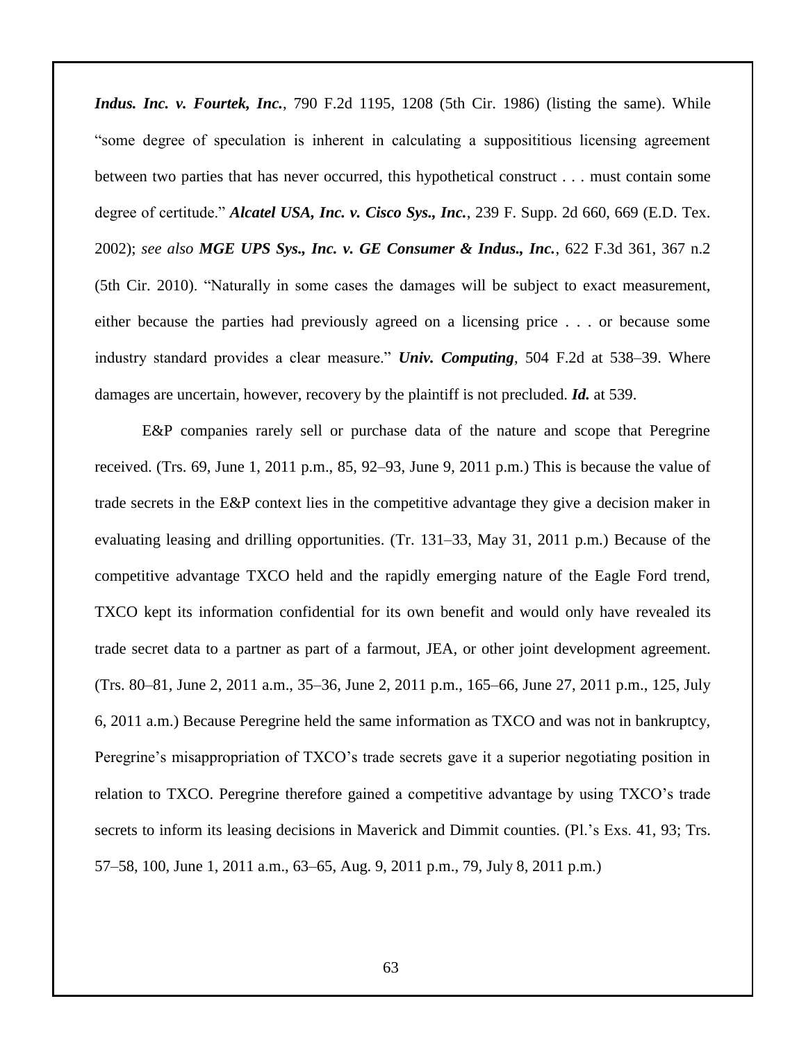*Indus. Inc. v. Fourtek, Inc.*, 790 F.2d 1195, 1208 (5th Cir. 1986) (listing the same). While "some degree of speculation is inherent in calculating a supposititious licensing agreement between two parties that has never occurred, this hypothetical construct . . . must contain some degree of certitude." *Alcatel USA, Inc. v. Cisco Sys., Inc.*, 239 F. Supp. 2d 660, 669 (E.D. Tex. 2002); *see also MGE UPS Sys., Inc. v. GE Consumer & Indus., Inc.*, 622 F.3d 361, 367 n.2 (5th Cir. 2010). "Naturally in some cases the damages will be subject to exact measurement, either because the parties had previously agreed on a licensing price . . . or because some industry standard provides a clear measure." *Univ. Computing*, 504 F.2d at 538–39. Where damages are uncertain, however, recovery by the plaintiff is not precluded. *Id.* at 539.

E&P companies rarely sell or purchase data of the nature and scope that Peregrine received. (Trs. 69, June 1, 2011 p.m., 85, 92–93, June 9, 2011 p.m.) This is because the value of trade secrets in the E&P context lies in the competitive advantage they give a decision maker in evaluating leasing and drilling opportunities. (Tr. 131–33, May 31, 2011 p.m.) Because of the competitive advantage TXCO held and the rapidly emerging nature of the Eagle Ford trend, TXCO kept its information confidential for its own benefit and would only have revealed its trade secret data to a partner as part of a farmout, JEA, or other joint development agreement. (Trs. 80–81, June 2, 2011 a.m., 35–36, June 2, 2011 p.m., 165–66, June 27, 2011 p.m., 125, July 6, 2011 a.m.) Because Peregrine held the same information as TXCO and was not in bankruptcy, Peregrine's misappropriation of TXCO's trade secrets gave it a superior negotiating position in relation to TXCO. Peregrine therefore gained a competitive advantage by using TXCO's trade secrets to inform its leasing decisions in Maverick and Dimmit counties. (Pl.'s Exs. 41, 93; Trs. 57–58, 100, June 1, 2011 a.m., 63–65, Aug. 9, 2011 p.m., 79, July 8, 2011 p.m.)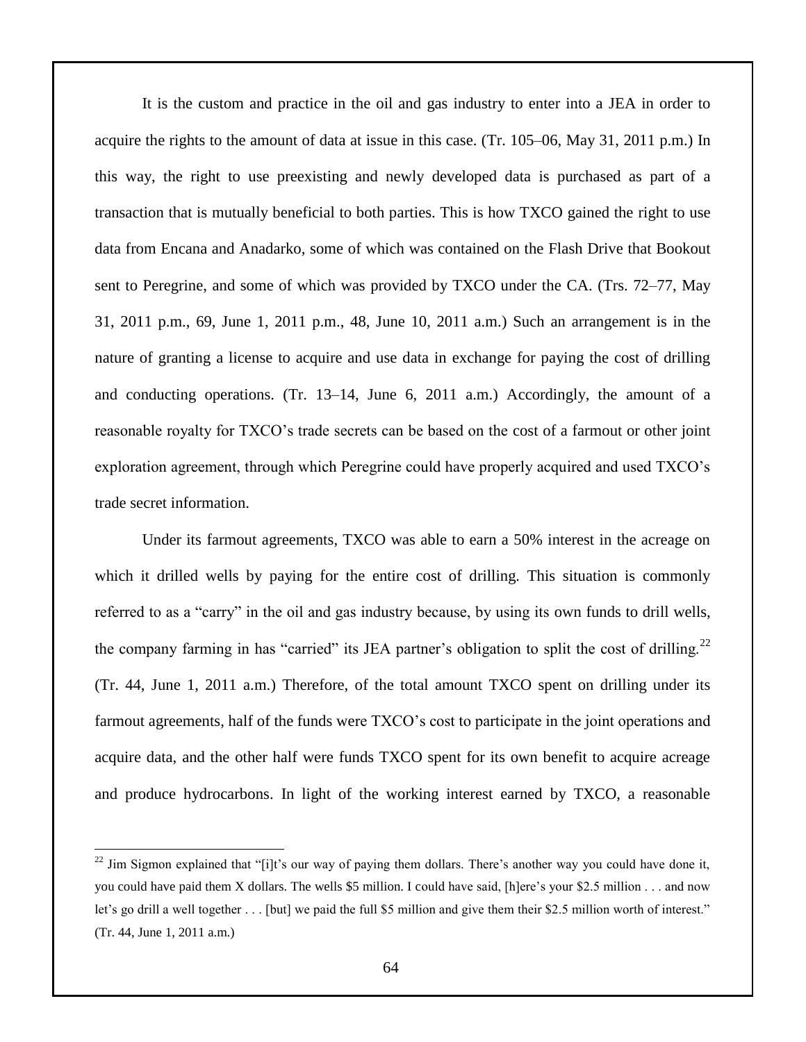It is the custom and practice in the oil and gas industry to enter into a JEA in order to acquire the rights to the amount of data at issue in this case. (Tr. 105–06, May 31, 2011 p.m.) In this way, the right to use preexisting and newly developed data is purchased as part of a transaction that is mutually beneficial to both parties. This is how TXCO gained the right to use data from Encana and Anadarko, some of which was contained on the Flash Drive that Bookout sent to Peregrine, and some of which was provided by TXCO under the CA. (Trs. 72–77, May 31, 2011 p.m., 69, June 1, 2011 p.m., 48, June 10, 2011 a.m.) Such an arrangement is in the nature of granting a license to acquire and use data in exchange for paying the cost of drilling and conducting operations. (Tr. 13–14, June 6, 2011 a.m.) Accordingly, the amount of a reasonable royalty for TXCO's trade secrets can be based on the cost of a farmout or other joint exploration agreement, through which Peregrine could have properly acquired and used TXCO's trade secret information.

Under its farmout agreements, TXCO was able to earn a 50% interest in the acreage on which it drilled wells by paying for the entire cost of drilling. This situation is commonly referred to as a "carry" in the oil and gas industry because, by using its own funds to drill wells, the company farming in has "carried" its JEA partner's obligation to split the cost of drilling.<sup>22</sup> (Tr. 44, June 1, 2011 a.m.) Therefore, of the total amount TXCO spent on drilling under its farmout agreements, half of the funds were TXCO's cost to participate in the joint operations and acquire data, and the other half were funds TXCO spent for its own benefit to acquire acreage and produce hydrocarbons. In light of the working interest earned by TXCO, a reasonable

 $\overline{a}$ 

 $^{22}$  Jim Sigmon explained that "[i]t's our way of paying them dollars. There's another way you could have done it, you could have paid them X dollars. The wells \$5 million. I could have said, [h]ere's your \$2.5 million . . . and now let's go drill a well together . . . [but] we paid the full \$5 million and give them their \$2.5 million worth of interest." (Tr. 44, June 1, 2011 a.m.)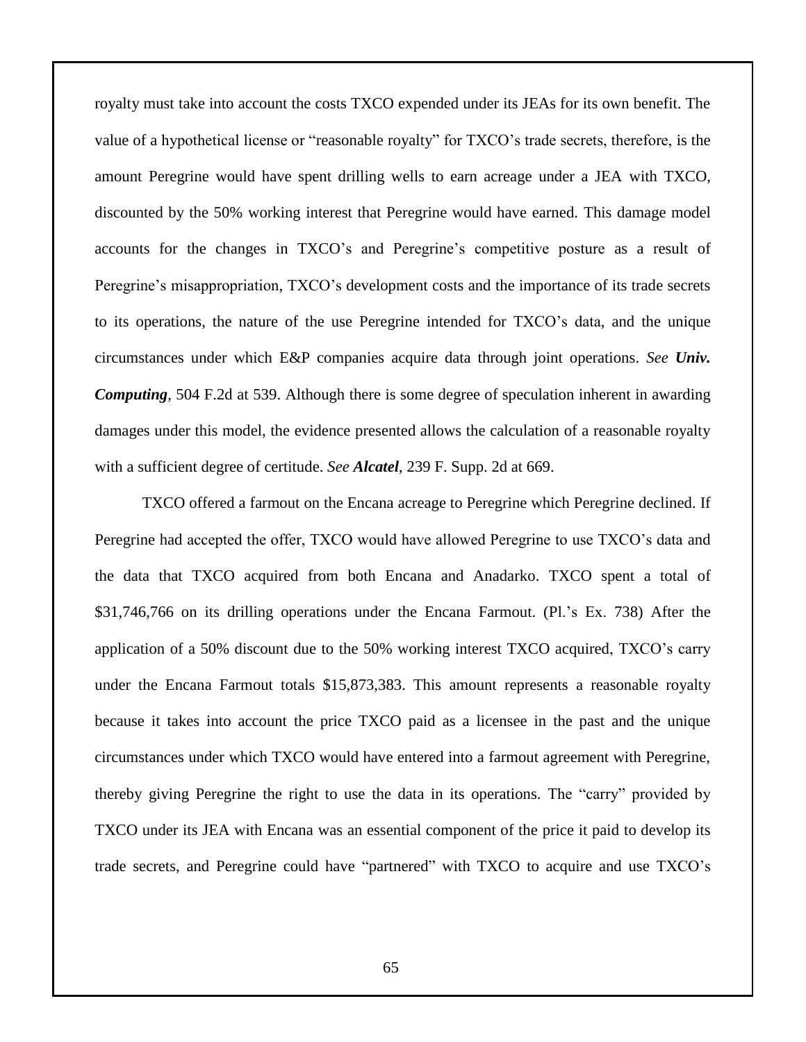royalty must take into account the costs TXCO expended under its JEAs for its own benefit. The value of a hypothetical license or "reasonable royalty" for TXCO's trade secrets, therefore, is the amount Peregrine would have spent drilling wells to earn acreage under a JEA with TXCO, discounted by the 50% working interest that Peregrine would have earned. This damage model accounts for the changes in TXCO's and Peregrine's competitive posture as a result of Peregrine's misappropriation, TXCO's development costs and the importance of its trade secrets to its operations, the nature of the use Peregrine intended for TXCO's data, and the unique circumstances under which E&P companies acquire data through joint operations. *See Univ. Computing*, 504 F.2d at 539. Although there is some degree of speculation inherent in awarding damages under this model, the evidence presented allows the calculation of a reasonable royalty with a sufficient degree of certitude. *See Alcatel*, 239 F. Supp. 2d at 669.

TXCO offered a farmout on the Encana acreage to Peregrine which Peregrine declined. If Peregrine had accepted the offer, TXCO would have allowed Peregrine to use TXCO's data and the data that TXCO acquired from both Encana and Anadarko. TXCO spent a total of \$31,746,766 on its drilling operations under the Encana Farmout. (Pl.'s Ex. 738) After the application of a 50% discount due to the 50% working interest TXCO acquired, TXCO's carry under the Encana Farmout totals \$15,873,383. This amount represents a reasonable royalty because it takes into account the price TXCO paid as a licensee in the past and the unique circumstances under which TXCO would have entered into a farmout agreement with Peregrine, thereby giving Peregrine the right to use the data in its operations. The "carry" provided by TXCO under its JEA with Encana was an essential component of the price it paid to develop its trade secrets, and Peregrine could have "partnered" with TXCO to acquire and use TXCO's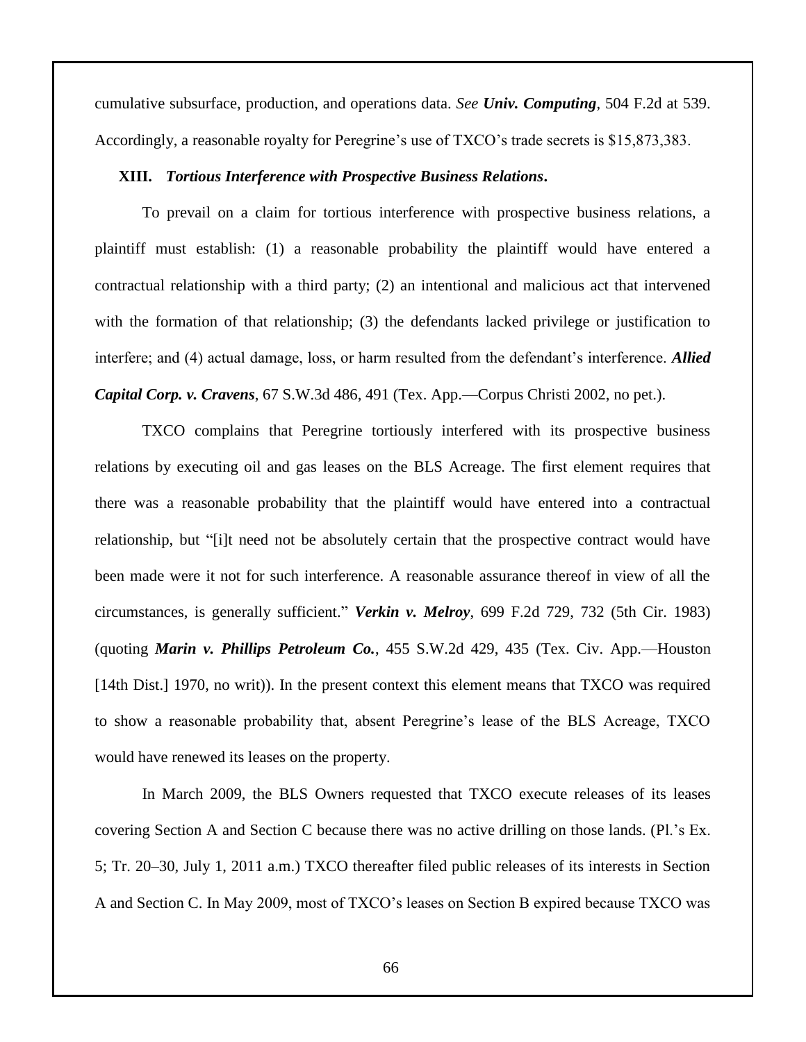cumulative subsurface, production, and operations data. *See Univ. Computing*, 504 F.2d at 539. Accordingly, a reasonable royalty for Peregrine's use of TXCO's trade secrets is \$15,873,383.

### **XIII.** *Tortious Interference with Prospective Business Relations***.**

To prevail on a claim for tortious interference with prospective business relations, a plaintiff must establish: (1) a reasonable probability the plaintiff would have entered a contractual relationship with a third party; (2) an intentional and malicious act that intervened with the formation of that relationship; (3) the defendants lacked privilege or justification to interfere; and (4) actual damage, loss, or harm resulted from the defendant's interference. *Allied Capital Corp. v. Cravens*, 67 S.W.3d 486, 491 (Tex. App.—Corpus Christi 2002, no pet.).

TXCO complains that Peregrine tortiously interfered with its prospective business relations by executing oil and gas leases on the BLS Acreage. The first element requires that there was a reasonable probability that the plaintiff would have entered into a contractual relationship, but "[i]t need not be absolutely certain that the prospective contract would have been made were it not for such interference. A reasonable assurance thereof in view of all the circumstances, is generally sufficient." *Verkin v. Melroy*, 699 F.2d 729, 732 (5th Cir. 1983) (quoting *Marin v. Phillips Petroleum Co.*, 455 S.W.2d 429, 435 (Tex. Civ. App.—Houston [14th Dist.] 1970, no writ)). In the present context this element means that TXCO was required to show a reasonable probability that, absent Peregrine's lease of the BLS Acreage, TXCO would have renewed its leases on the property.

In March 2009, the BLS Owners requested that TXCO execute releases of its leases covering Section A and Section C because there was no active drilling on those lands. (Pl.'s Ex. 5; Tr. 20–30, July 1, 2011 a.m.) TXCO thereafter filed public releases of its interests in Section A and Section C. In May 2009, most of TXCO's leases on Section B expired because TXCO was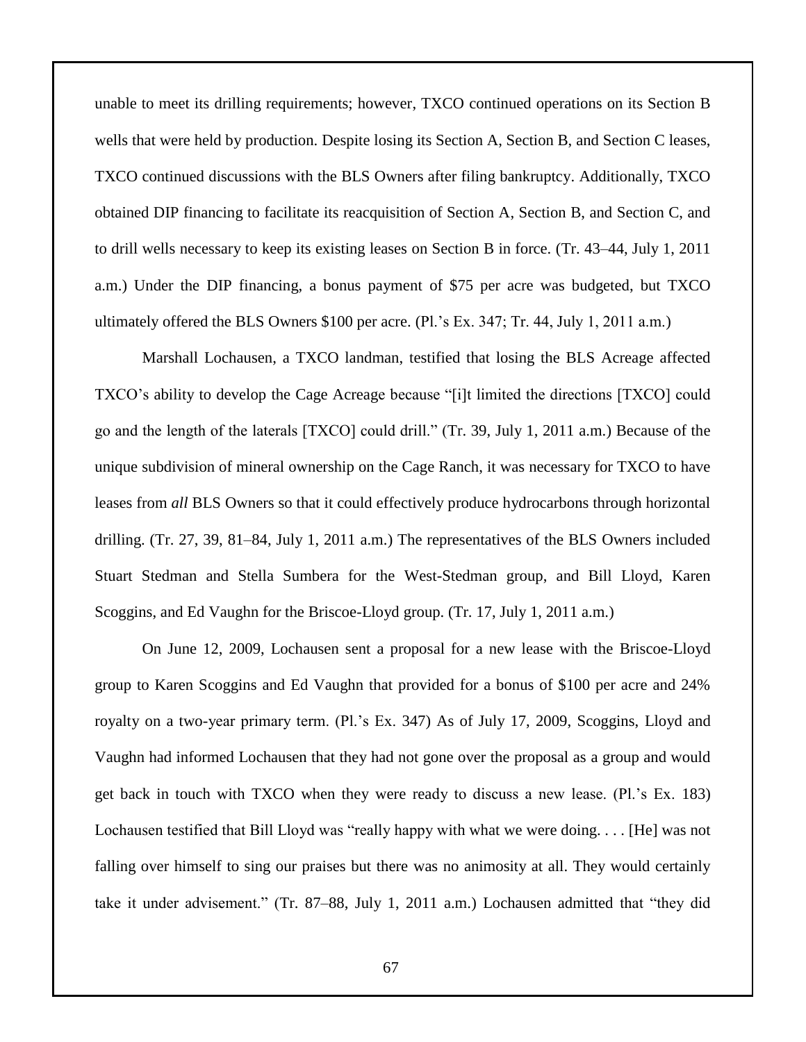unable to meet its drilling requirements; however, TXCO continued operations on its Section B wells that were held by production. Despite losing its Section A, Section B, and Section C leases, TXCO continued discussions with the BLS Owners after filing bankruptcy. Additionally, TXCO obtained DIP financing to facilitate its reacquisition of Section A, Section B, and Section C, and to drill wells necessary to keep its existing leases on Section B in force. (Tr. 43–44, July 1, 2011 a.m.) Under the DIP financing, a bonus payment of \$75 per acre was budgeted, but TXCO ultimately offered the BLS Owners \$100 per acre. (Pl.'s Ex. 347; Tr. 44, July 1, 2011 a.m.)

Marshall Lochausen, a TXCO landman, testified that losing the BLS Acreage affected TXCO's ability to develop the Cage Acreage because "[i]t limited the directions [TXCO] could go and the length of the laterals [TXCO] could drill." (Tr. 39, July 1, 2011 a.m.) Because of the unique subdivision of mineral ownership on the Cage Ranch, it was necessary for TXCO to have leases from *all* BLS Owners so that it could effectively produce hydrocarbons through horizontal drilling. (Tr. 27, 39, 81–84, July 1, 2011 a.m.) The representatives of the BLS Owners included Stuart Stedman and Stella Sumbera for the West-Stedman group, and Bill Lloyd, Karen Scoggins, and Ed Vaughn for the Briscoe-Lloyd group. (Tr. 17, July 1, 2011 a.m.)

On June 12, 2009, Lochausen sent a proposal for a new lease with the Briscoe-Lloyd group to Karen Scoggins and Ed Vaughn that provided for a bonus of \$100 per acre and 24% royalty on a two-year primary term. (Pl.'s Ex. 347) As of July 17, 2009, Scoggins, Lloyd and Vaughn had informed Lochausen that they had not gone over the proposal as a group and would get back in touch with TXCO when they were ready to discuss a new lease. (Pl.'s Ex. 183) Lochausen testified that Bill Lloyd was "really happy with what we were doing. . . . [He] was not falling over himself to sing our praises but there was no animosity at all. They would certainly take it under advisement." (Tr. 87–88, July 1, 2011 a.m.) Lochausen admitted that "they did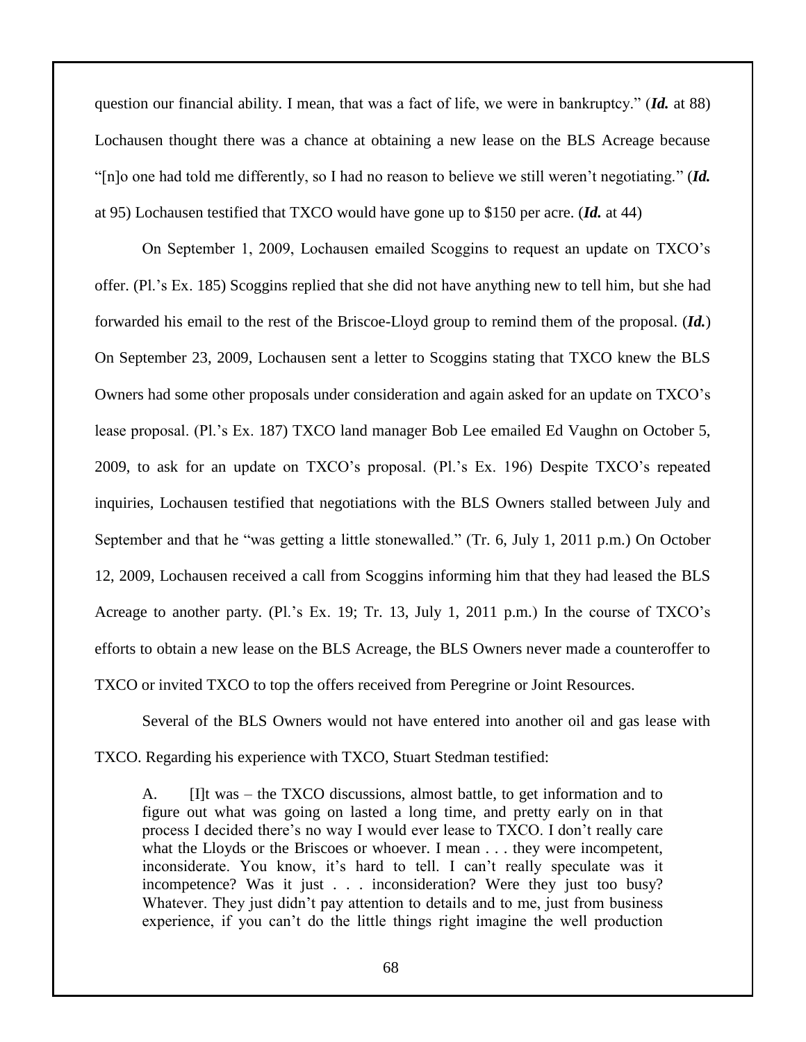question our financial ability. I mean, that was a fact of life, we were in bankruptcy." (*Id.* at 88) Lochausen thought there was a chance at obtaining a new lease on the BLS Acreage because "[n]o one had told me differently, so I had no reason to believe we still weren't negotiating." (*Id.* at 95) Lochausen testified that TXCO would have gone up to \$150 per acre. (*Id.* at 44)

On September 1, 2009, Lochausen emailed Scoggins to request an update on TXCO's offer. (Pl.'s Ex. 185) Scoggins replied that she did not have anything new to tell him, but she had forwarded his email to the rest of the Briscoe-Lloyd group to remind them of the proposal. (*Id.*) On September 23, 2009, Lochausen sent a letter to Scoggins stating that TXCO knew the BLS Owners had some other proposals under consideration and again asked for an update on TXCO's lease proposal. (Pl.'s Ex. 187) TXCO land manager Bob Lee emailed Ed Vaughn on October 5, 2009, to ask for an update on TXCO's proposal. (Pl.'s Ex. 196) Despite TXCO's repeated inquiries, Lochausen testified that negotiations with the BLS Owners stalled between July and September and that he "was getting a little stonewalled." (Tr. 6, July 1, 2011 p.m.) On October 12, 2009, Lochausen received a call from Scoggins informing him that they had leased the BLS Acreage to another party. (Pl.'s Ex. 19; Tr. 13, July 1, 2011 p.m.) In the course of TXCO's efforts to obtain a new lease on the BLS Acreage, the BLS Owners never made a counteroffer to TXCO or invited TXCO to top the offers received from Peregrine or Joint Resources.

Several of the BLS Owners would not have entered into another oil and gas lease with TXCO. Regarding his experience with TXCO, Stuart Stedman testified:

A. [I]t was – the TXCO discussions, almost battle, to get information and to figure out what was going on lasted a long time, and pretty early on in that process I decided there's no way I would ever lease to TXCO. I don't really care what the Lloyds or the Briscoes or whoever. I mean . . . they were incompetent, inconsiderate. You know, it's hard to tell. I can't really speculate was it incompetence? Was it just . . . inconsideration? Were they just too busy? Whatever. They just didn't pay attention to details and to me, just from business experience, if you can't do the little things right imagine the well production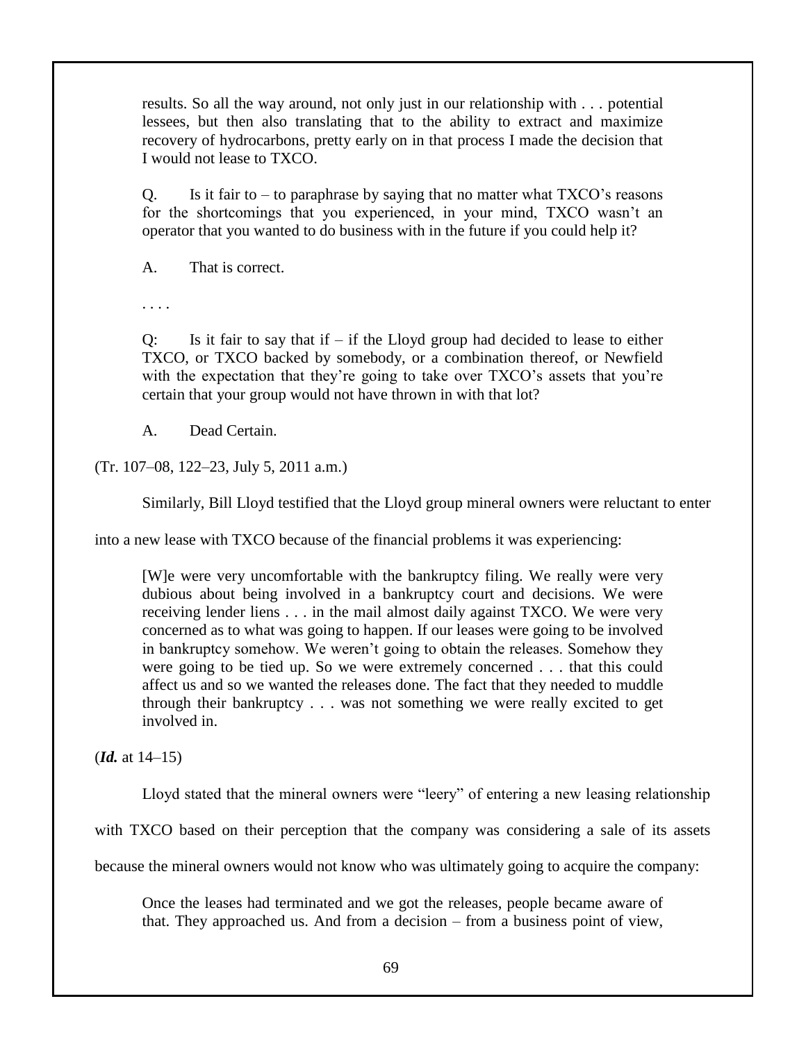results. So all the way around, not only just in our relationship with . . . potential lessees, but then also translating that to the ability to extract and maximize recovery of hydrocarbons, pretty early on in that process I made the decision that I would not lease to TXCO.

Q. Is it fair to  $-$  to paraphrase by saying that no matter what  $TXCO$ 's reasons for the shortcomings that you experienced, in your mind, TXCO wasn't an operator that you wanted to do business with in the future if you could help it?

A. That is correct.

. . . .

 $Q$ : Is it fair to say that if – if the Lloyd group had decided to lease to either TXCO, or TXCO backed by somebody, or a combination thereof, or Newfield with the expectation that they're going to take over TXCO's assets that you're certain that your group would not have thrown in with that lot?

A. Dead Certain.

(Tr. 107–08, 122–23, July 5, 2011 a.m.)

Similarly, Bill Lloyd testified that the Lloyd group mineral owners were reluctant to enter

into a new lease with TXCO because of the financial problems it was experiencing:

[W]e were very uncomfortable with the bankruptcy filing. We really were very dubious about being involved in a bankruptcy court and decisions. We were receiving lender liens . . . in the mail almost daily against TXCO. We were very concerned as to what was going to happen. If our leases were going to be involved in bankruptcy somehow. We weren't going to obtain the releases. Somehow they were going to be tied up. So we were extremely concerned . . . that this could affect us and so we wanted the releases done. The fact that they needed to muddle through their bankruptcy . . . was not something we were really excited to get involved in.

(*Id.* at 14–15)

Lloyd stated that the mineral owners were "leery" of entering a new leasing relationship

with TXCO based on their perception that the company was considering a sale of its assets

because the mineral owners would not know who was ultimately going to acquire the company:

Once the leases had terminated and we got the releases, people became aware of that. They approached us. And from a decision – from a business point of view,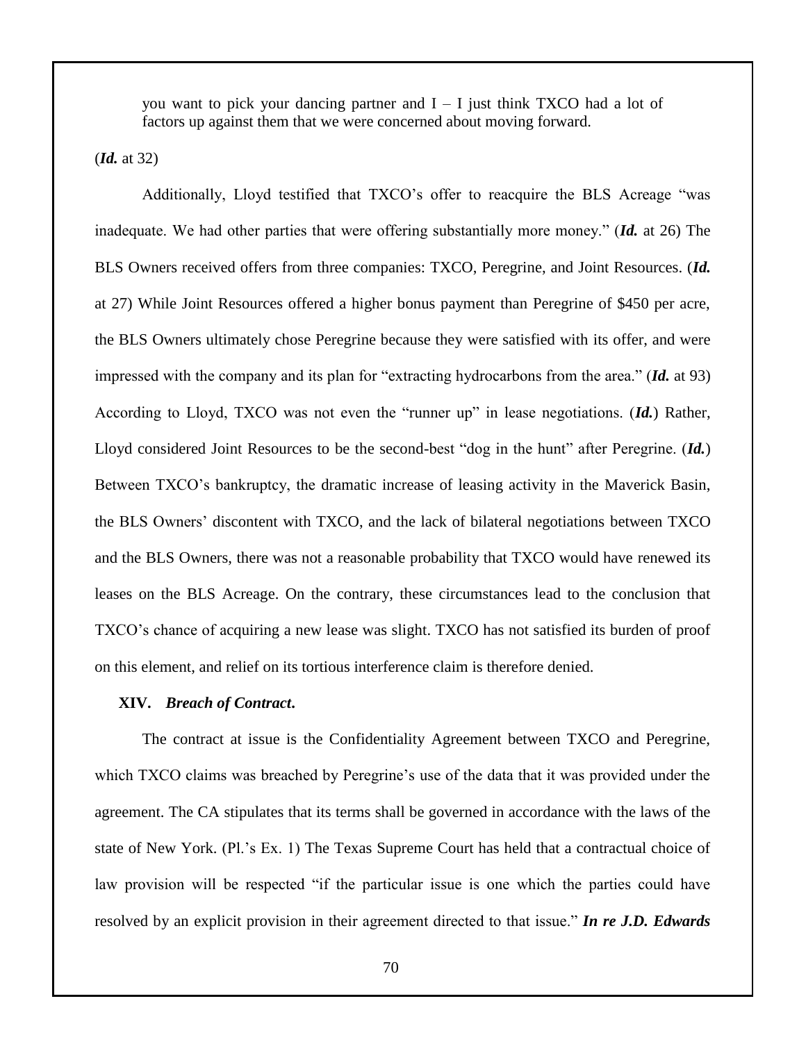you want to pick your dancing partner and  $I - I$  just think TXCO had a lot of factors up against them that we were concerned about moving forward.

(*Id.* at 32)

Additionally, Lloyd testified that TXCO's offer to reacquire the BLS Acreage "was inadequate. We had other parties that were offering substantially more money." (*Id.* at 26) The BLS Owners received offers from three companies: TXCO, Peregrine, and Joint Resources. (*Id.* at 27) While Joint Resources offered a higher bonus payment than Peregrine of \$450 per acre, the BLS Owners ultimately chose Peregrine because they were satisfied with its offer, and were impressed with the company and its plan for "extracting hydrocarbons from the area." (*Id.* at 93) According to Lloyd, TXCO was not even the "runner up" in lease negotiations. (*Id.*) Rather, Lloyd considered Joint Resources to be the second-best "dog in the hunt" after Peregrine. (*Id.*) Between TXCO's bankruptcy, the dramatic increase of leasing activity in the Maverick Basin, the BLS Owners' discontent with TXCO, and the lack of bilateral negotiations between TXCO and the BLS Owners, there was not a reasonable probability that TXCO would have renewed its leases on the BLS Acreage. On the contrary, these circumstances lead to the conclusion that TXCO's chance of acquiring a new lease was slight. TXCO has not satisfied its burden of proof on this element, and relief on its tortious interference claim is therefore denied.

### **XIV.** *Breach of Contract***.**

The contract at issue is the Confidentiality Agreement between TXCO and Peregrine, which TXCO claims was breached by Peregrine's use of the data that it was provided under the agreement. The CA stipulates that its terms shall be governed in accordance with the laws of the state of New York. (Pl.'s Ex. 1) The Texas Supreme Court has held that a contractual choice of law provision will be respected "if the particular issue is one which the parties could have resolved by an explicit provision in their agreement directed to that issue." *In re J.D. Edwards*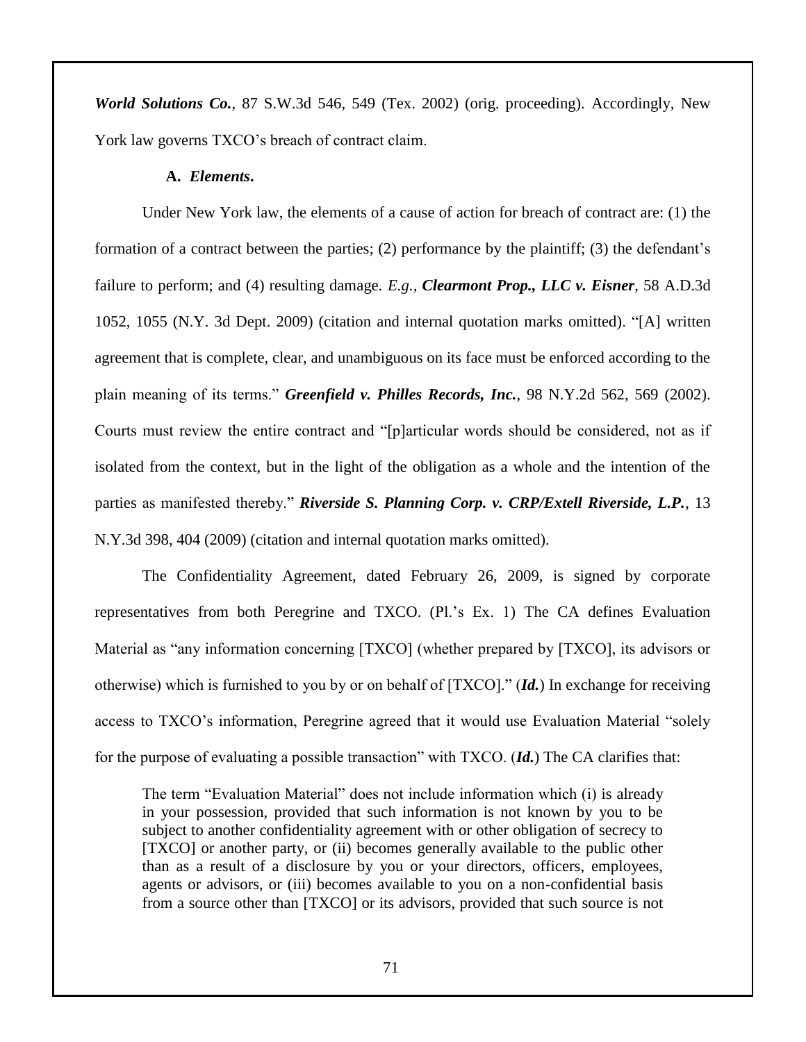*World Solutions Co.*, 87 S.W.3d 546, 549 (Tex. 2002) (orig. proceeding). Accordingly, New York law governs TXCO's breach of contract claim.

# **A.** *Elements***.**

Under New York law, the elements of a cause of action for breach of contract are: (1) the formation of a contract between the parties; (2) performance by the plaintiff; (3) the defendant's failure to perform; and (4) resulting damage. *E.g., Clearmont Prop., LLC v. Eisner*, 58 A.D.3d 1052, 1055 (N.Y. 3d Dept. 2009) (citation and internal quotation marks omitted). "[A] written agreement that is complete, clear, and unambiguous on its face must be enforced according to the plain meaning of its terms." *Greenfield v. Philles Records, Inc.*, 98 N.Y.2d 562, 569 (2002). Courts must review the entire contract and "[p]articular words should be considered, not as if isolated from the context, but in the light of the obligation as a whole and the intention of the parties as manifested thereby." *Riverside S. Planning Corp. v. CRP/Extell Riverside, L.P.*, 13 N.Y.3d 398, 404 (2009) (citation and internal quotation marks omitted).

The Confidentiality Agreement, dated February 26, 2009, is signed by corporate representatives from both Peregrine and TXCO. (Pl.'s Ex. 1) The CA defines Evaluation Material as "any information concerning [TXCO] (whether prepared by [TXCO], its advisors or otherwise) which is furnished to you by or on behalf of [TXCO]." (*Id.*) In exchange for receiving access to TXCO's information, Peregrine agreed that it would use Evaluation Material "solely for the purpose of evaluating a possible transaction" with TXCO. (*Id.*) The CA clarifies that:

The term "Evaluation Material" does not include information which (i) is already in your possession, provided that such information is not known by you to be subject to another confidentiality agreement with or other obligation of secrecy to [TXCO] or another party, or (ii) becomes generally available to the public other than as a result of a disclosure by you or your directors, officers, employees, agents or advisors, or (iii) becomes available to you on a non-confidential basis from a source other than [TXCO] or its advisors, provided that such source is not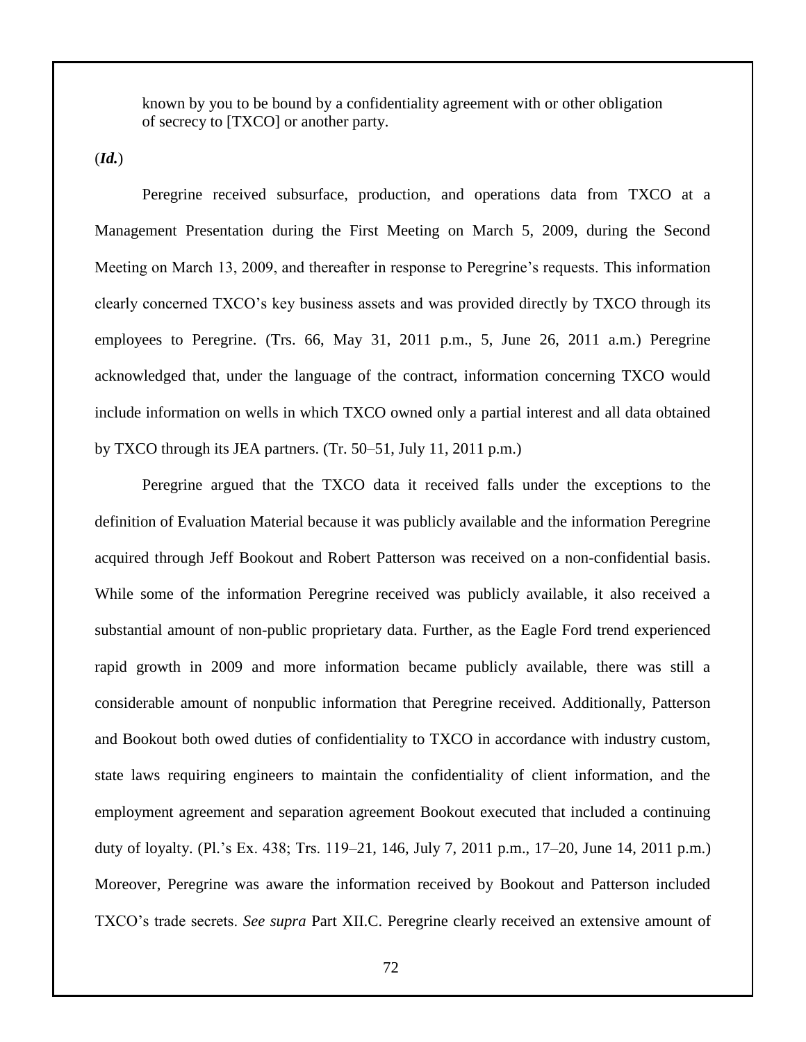known by you to be bound by a confidentiality agreement with or other obligation of secrecy to [TXCO] or another party.

(*Id.*)

Peregrine received subsurface, production, and operations data from TXCO at a Management Presentation during the First Meeting on March 5, 2009, during the Second Meeting on March 13, 2009, and thereafter in response to Peregrine's requests. This information clearly concerned TXCO's key business assets and was provided directly by TXCO through its employees to Peregrine. (Trs. 66, May 31, 2011 p.m., 5, June 26, 2011 a.m.) Peregrine acknowledged that, under the language of the contract, information concerning TXCO would include information on wells in which TXCO owned only a partial interest and all data obtained by TXCO through its JEA partners. (Tr. 50–51, July 11, 2011 p.m.)

Peregrine argued that the TXCO data it received falls under the exceptions to the definition of Evaluation Material because it was publicly available and the information Peregrine acquired through Jeff Bookout and Robert Patterson was received on a non-confidential basis. While some of the information Peregrine received was publicly available, it also received a substantial amount of non-public proprietary data. Further, as the Eagle Ford trend experienced rapid growth in 2009 and more information became publicly available, there was still a considerable amount of nonpublic information that Peregrine received. Additionally, Patterson and Bookout both owed duties of confidentiality to TXCO in accordance with industry custom, state laws requiring engineers to maintain the confidentiality of client information, and the employment agreement and separation agreement Bookout executed that included a continuing duty of loyalty. (Pl.'s Ex. 438; Trs. 119–21, 146, July 7, 2011 p.m., 17–20, June 14, 2011 p.m.) Moreover, Peregrine was aware the information received by Bookout and Patterson included TXCO's trade secrets. *See supra* Part XII.C. Peregrine clearly received an extensive amount of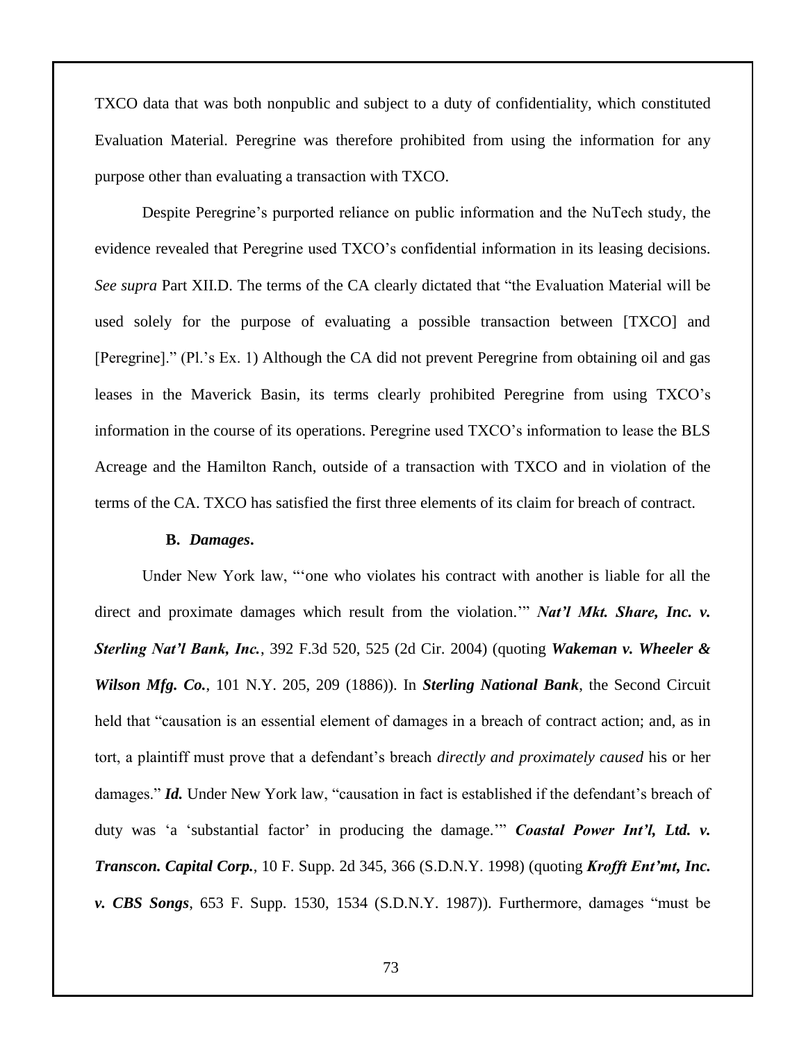TXCO data that was both nonpublic and subject to a duty of confidentiality, which constituted Evaluation Material. Peregrine was therefore prohibited from using the information for any purpose other than evaluating a transaction with TXCO.

Despite Peregrine's purported reliance on public information and the NuTech study, the evidence revealed that Peregrine used TXCO's confidential information in its leasing decisions. *See supra* Part XII.D. The terms of the CA clearly dictated that "the Evaluation Material will be used solely for the purpose of evaluating a possible transaction between [TXCO] and [Peregrine]." (Pl.'s Ex. 1) Although the CA did not prevent Peregrine from obtaining oil and gas leases in the Maverick Basin, its terms clearly prohibited Peregrine from using TXCO's information in the course of its operations. Peregrine used TXCO's information to lease the BLS Acreage and the Hamilton Ranch, outside of a transaction with TXCO and in violation of the terms of the CA. TXCO has satisfied the first three elements of its claim for breach of contract.

### **B.** *Damages***.**

Under New York law, "'one who violates his contract with another is liable for all the direct and proximate damages which result from the violation."" *Nat'l Mkt. Share, Inc. v. Sterling Nat'l Bank, Inc.*, 392 F.3d 520, 525 (2d Cir. 2004) (quoting *Wakeman v. Wheeler & Wilson Mfg. Co.*, 101 N.Y. 205, 209 (1886)). In *Sterling National Bank*, the Second Circuit held that "causation is an essential element of damages in a breach of contract action; and, as in tort, a plaintiff must prove that a defendant's breach *directly and proximately caused* his or her damages." *Id.* Under New York law, "causation in fact is established if the defendant's breach of duty was 'a 'substantial factor' in producing the damage.'" *Coastal Power Int'l, Ltd. v. Transcon. Capital Corp.*, 10 F. Supp. 2d 345, 366 (S.D.N.Y. 1998) (quoting *Krofft Ent'mt, Inc. v. CBS Songs*, 653 F. Supp. 1530, 1534 (S.D.N.Y. 1987)). Furthermore, damages "must be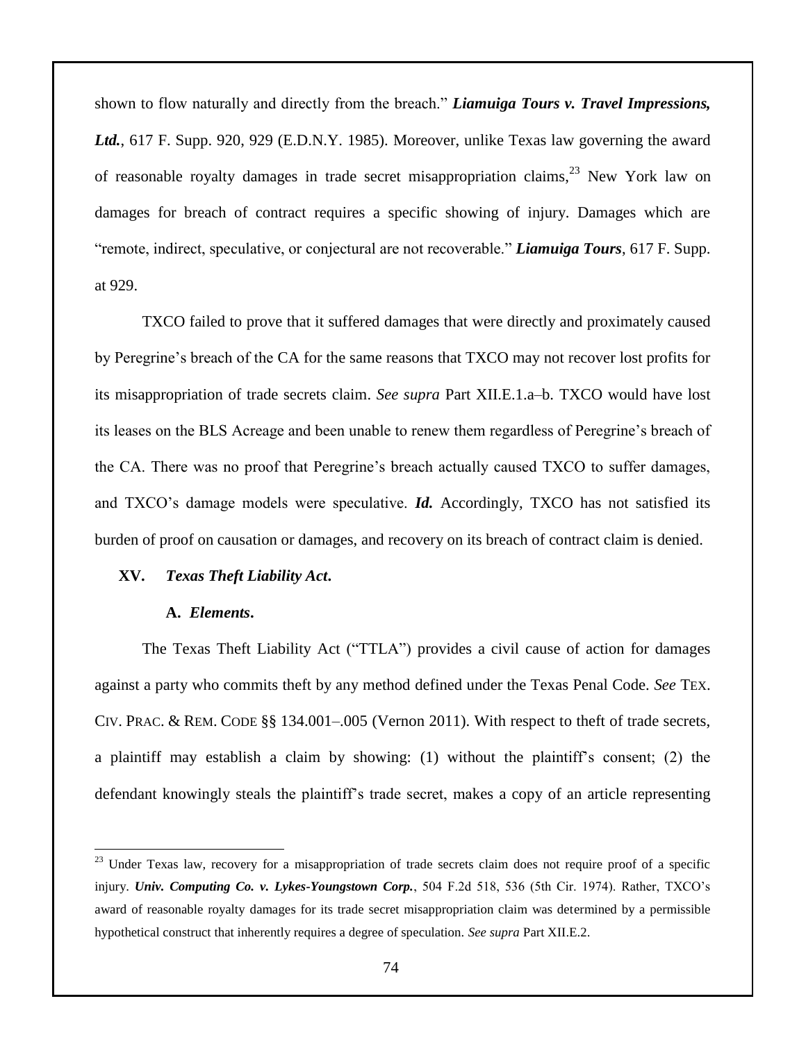shown to flow naturally and directly from the breach." *Liamuiga Tours v. Travel Impressions, Ltd.*, 617 F. Supp. 920, 929 (E.D.N.Y. 1985). Moreover, unlike Texas law governing the award of reasonable royalty damages in trade secret misappropriation claims,  $23$  New York law on damages for breach of contract requires a specific showing of injury. Damages which are "remote, indirect, speculative, or conjectural are not recoverable." *Liamuiga Tours*, 617 F. Supp. at 929.

TXCO failed to prove that it suffered damages that were directly and proximately caused by Peregrine's breach of the CA for the same reasons that TXCO may not recover lost profits for its misappropriation of trade secrets claim. *See supra* Part XII.E.1.a–b. TXCO would have lost its leases on the BLS Acreage and been unable to renew them regardless of Peregrine's breach of the CA. There was no proof that Peregrine's breach actually caused TXCO to suffer damages, and TXCO's damage models were speculative. *Id.* Accordingly, TXCO has not satisfied its burden of proof on causation or damages, and recovery on its breach of contract claim is denied.

## **XV.** *Texas Theft Liability Act***.**

# **A.** *Elements***.**

 $\overline{a}$ 

The Texas Theft Liability Act ("TTLA") provides a civil cause of action for damages against a party who commits theft by any method defined under the Texas Penal Code. *See* TEX. CIV. PRAC. & REM. CODE §§ 134.001–.005 (Vernon 2011). With respect to theft of trade secrets, a plaintiff may establish a claim by showing: (1) without the plaintiff's consent; (2) the defendant knowingly steals the plaintiff's trade secret, makes a copy of an article representing

<sup>&</sup>lt;sup>23</sup> Under Texas law, recovery for a misappropriation of trade secrets claim does not require proof of a specific injury. *Univ. Computing Co. v. Lykes-Youngstown Corp.*, 504 F.2d 518, 536 (5th Cir. 1974). Rather, TXCO's award of reasonable royalty damages for its trade secret misappropriation claim was determined by a permissible hypothetical construct that inherently requires a degree of speculation. *See supra* Part XII.E.2.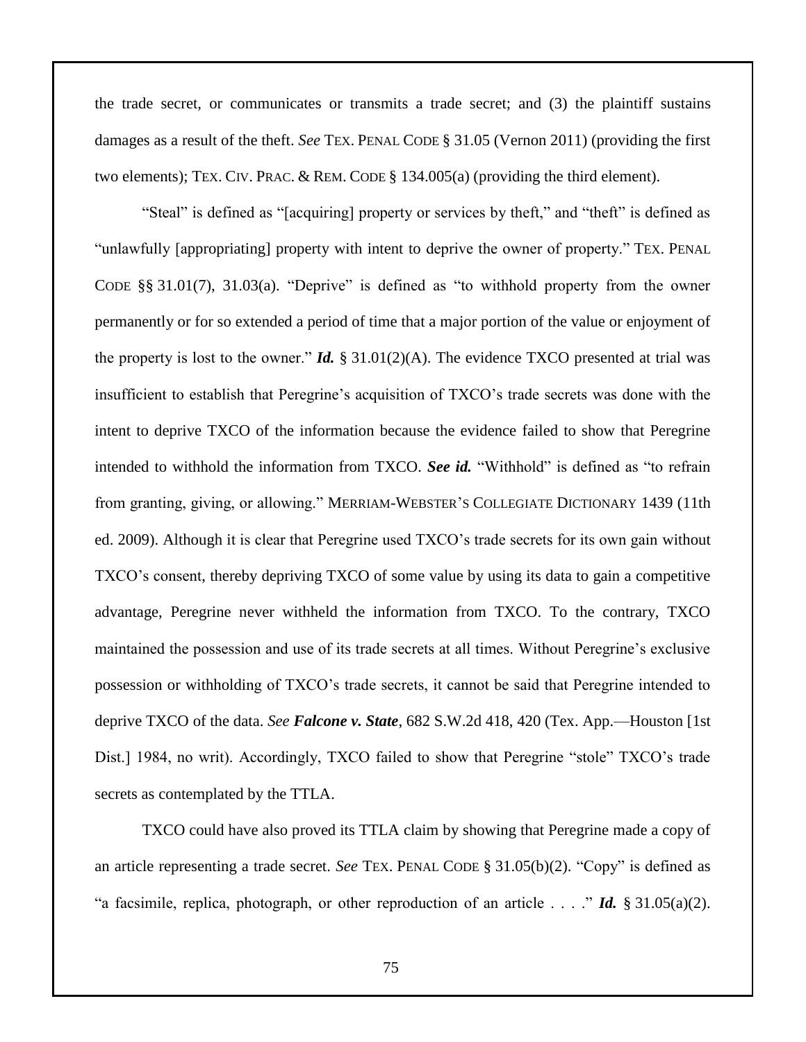the trade secret, or communicates or transmits a trade secret; and (3) the plaintiff sustains damages as a result of the theft. *See* TEX. PENAL CODE § 31.05 (Vernon 2011) (providing the first two elements); TEX. CIV. PRAC. & REM. CODE § 134.005(a) (providing the third element).

"Steal" is defined as "[acquiring] property or services by theft," and "theft" is defined as "unlawfully [appropriating] property with intent to deprive the owner of property." TEX. PENAL CODE §§ 31.01(7), 31.03(a). "Deprive" is defined as "to withhold property from the owner permanently or for so extended a period of time that a major portion of the value or enjoyment of the property is lost to the owner." *Id.* § 31.01(2)(A). The evidence TXCO presented at trial was insufficient to establish that Peregrine's acquisition of TXCO's trade secrets was done with the intent to deprive TXCO of the information because the evidence failed to show that Peregrine intended to withhold the information from TXCO. *See id.* "Withhold" is defined as "to refrain from granting, giving, or allowing." MERRIAM-WEBSTER'S COLLEGIATE DICTIONARY 1439 (11th ed. 2009). Although it is clear that Peregrine used TXCO's trade secrets for its own gain without TXCO's consent, thereby depriving TXCO of some value by using its data to gain a competitive advantage, Peregrine never withheld the information from TXCO. To the contrary, TXCO maintained the possession and use of its trade secrets at all times. Without Peregrine's exclusive possession or withholding of TXCO's trade secrets, it cannot be said that Peregrine intended to deprive TXCO of the data. *See Falcone v. State*, 682 S.W.2d 418, 420 (Tex. App.—Houston [1st Dist.] 1984, no writ). Accordingly, TXCO failed to show that Peregrine "stole" TXCO's trade secrets as contemplated by the TTLA.

TXCO could have also proved its TTLA claim by showing that Peregrine made a copy of an article representing a trade secret. *See* TEX. PENAL CODE § 31.05(b)(2). "Copy" is defined as "a facsimile, replica, photograph, or other reproduction of an article . . . ." *Id.* § 31.05(a)(2).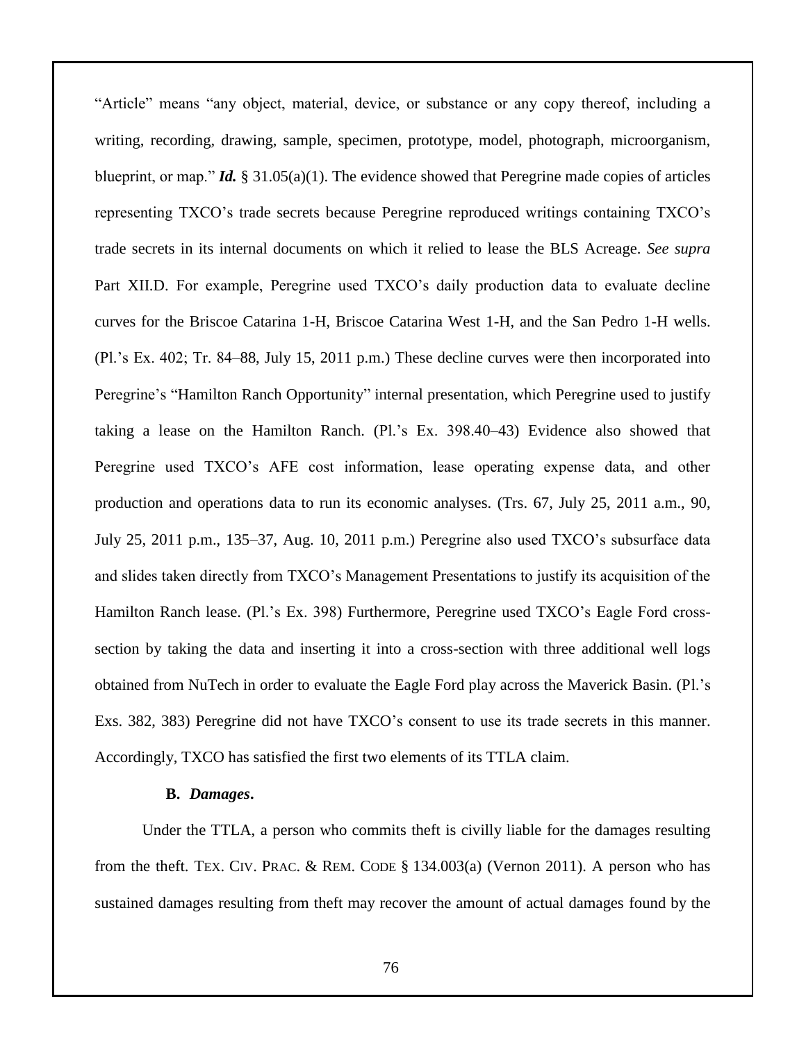"Article" means "any object, material, device, or substance or any copy thereof, including a writing, recording, drawing, sample, specimen, prototype, model, photograph, microorganism, blueprint, or map." *Id.*  $\S 31.05(a)(1)$ . The evidence showed that Peregrine made copies of articles representing TXCO's trade secrets because Peregrine reproduced writings containing TXCO's trade secrets in its internal documents on which it relied to lease the BLS Acreage. *See supra*  Part XII.D. For example, Peregrine used TXCO's daily production data to evaluate decline curves for the Briscoe Catarina 1-H, Briscoe Catarina West 1-H, and the San Pedro 1-H wells. (Pl.'s Ex. 402; Tr. 84–88, July 15, 2011 p.m.) These decline curves were then incorporated into Peregrine's "Hamilton Ranch Opportunity" internal presentation, which Peregrine used to justify taking a lease on the Hamilton Ranch. (Pl.'s Ex. 398.40–43) Evidence also showed that Peregrine used TXCO's AFE cost information, lease operating expense data, and other production and operations data to run its economic analyses. (Trs. 67, July 25, 2011 a.m., 90, July 25, 2011 p.m., 135–37, Aug. 10, 2011 p.m.) Peregrine also used TXCO's subsurface data and slides taken directly from TXCO's Management Presentations to justify its acquisition of the Hamilton Ranch lease. (Pl.'s Ex. 398) Furthermore, Peregrine used TXCO's Eagle Ford crosssection by taking the data and inserting it into a cross-section with three additional well logs obtained from NuTech in order to evaluate the Eagle Ford play across the Maverick Basin. (Pl.'s Exs. 382, 383) Peregrine did not have TXCO's consent to use its trade secrets in this manner. Accordingly, TXCO has satisfied the first two elements of its TTLA claim.

## **B.** *Damages***.**

Under the TTLA, a person who commits theft is civilly liable for the damages resulting from the theft. TEX. CIV. PRAC.  $\&$  REM. CODE  $\S$  134.003(a) (Vernon 2011). A person who has sustained damages resulting from theft may recover the amount of actual damages found by the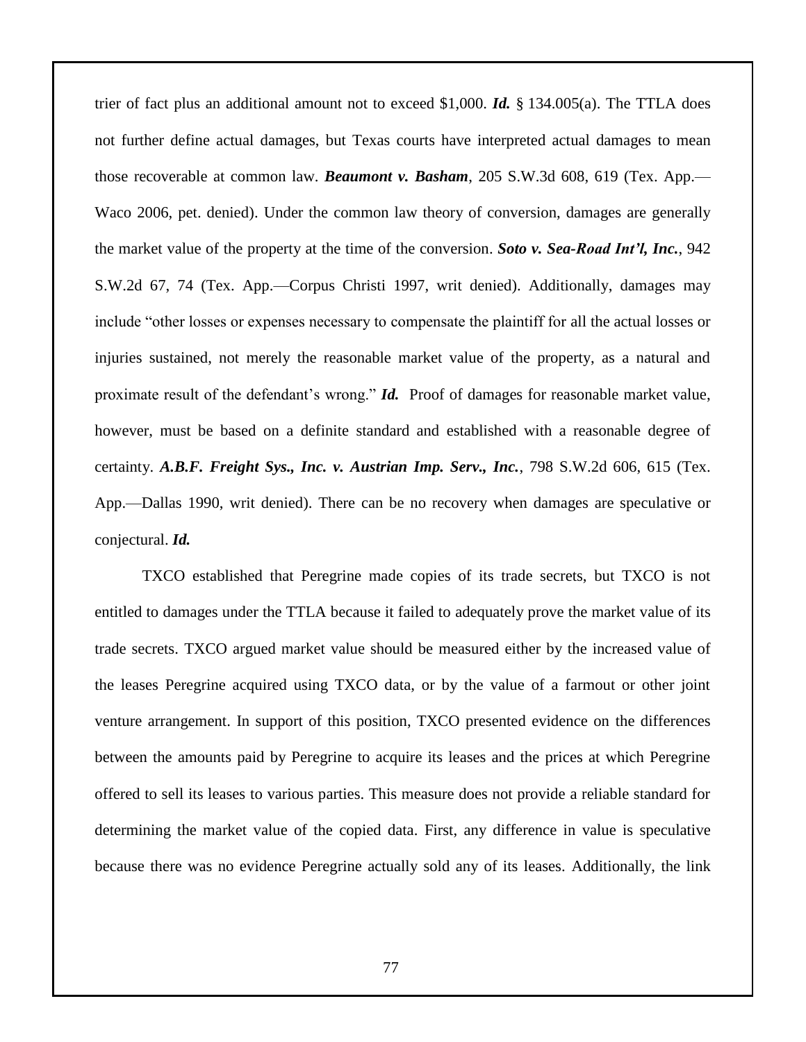trier of fact plus an additional amount not to exceed \$1,000. *Id.* § 134.005(a). The TTLA does not further define actual damages, but Texas courts have interpreted actual damages to mean those recoverable at common law. *Beaumont v. Basham*, 205 S.W.3d 608, 619 (Tex. App.— Waco 2006, pet. denied). Under the common law theory of conversion, damages are generally the market value of the property at the time of the conversion. *Soto v. Sea-Road Int'l, Inc.*, 942 S.W.2d 67, 74 (Tex. App.—Corpus Christi 1997, writ denied). Additionally, damages may include "other losses or expenses necessary to compensate the plaintiff for all the actual losses or injuries sustained, not merely the reasonable market value of the property, as a natural and proximate result of the defendant's wrong." *Id.* Proof of damages for reasonable market value, however, must be based on a definite standard and established with a reasonable degree of certainty. *A.B.F. Freight Sys., Inc. v. Austrian Imp. Serv., Inc.*, 798 S.W.2d 606, 615 (Tex. App.—Dallas 1990, writ denied). There can be no recovery when damages are speculative or conjectural. *Id.*

TXCO established that Peregrine made copies of its trade secrets, but TXCO is not entitled to damages under the TTLA because it failed to adequately prove the market value of its trade secrets. TXCO argued market value should be measured either by the increased value of the leases Peregrine acquired using TXCO data, or by the value of a farmout or other joint venture arrangement. In support of this position, TXCO presented evidence on the differences between the amounts paid by Peregrine to acquire its leases and the prices at which Peregrine offered to sell its leases to various parties. This measure does not provide a reliable standard for determining the market value of the copied data. First, any difference in value is speculative because there was no evidence Peregrine actually sold any of its leases. Additionally, the link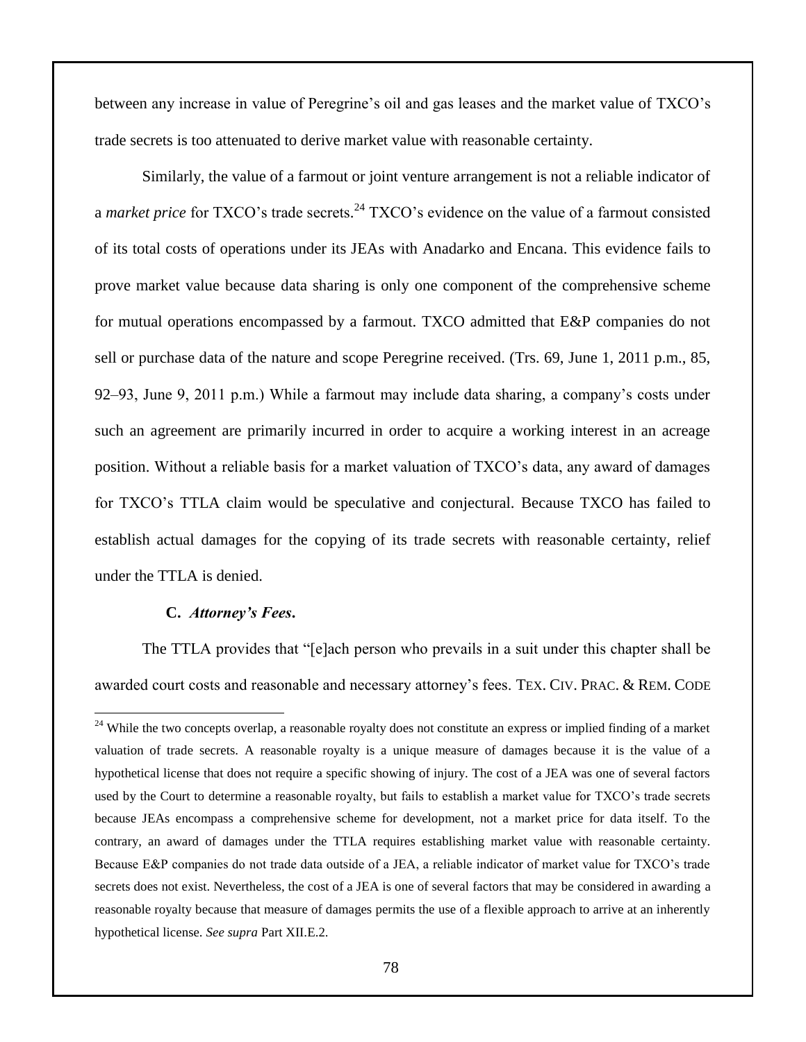between any increase in value of Peregrine's oil and gas leases and the market value of TXCO's trade secrets is too attenuated to derive market value with reasonable certainty.

Similarly, the value of a farmout or joint venture arrangement is not a reliable indicator of a *market price* for TXCO's trade secrets. <sup>24</sup> TXCO's evidence on the value of a farmout consisted of its total costs of operations under its JEAs with Anadarko and Encana. This evidence fails to prove market value because data sharing is only one component of the comprehensive scheme for mutual operations encompassed by a farmout. TXCO admitted that E&P companies do not sell or purchase data of the nature and scope Peregrine received. (Trs. 69, June 1, 2011 p.m., 85, 92–93, June 9, 2011 p.m.) While a farmout may include data sharing, a company's costs under such an agreement are primarily incurred in order to acquire a working interest in an acreage position. Without a reliable basis for a market valuation of TXCO's data, any award of damages for TXCO's TTLA claim would be speculative and conjectural. Because TXCO has failed to establish actual damages for the copying of its trade secrets with reasonable certainty, relief under the TTLA is denied.

## **C.** *Attorney's Fees***.**

 $\overline{a}$ 

The TTLA provides that "[e]ach person who prevails in a suit under this chapter shall be awarded court costs and reasonable and necessary attorney's fees. TEX. CIV. PRAC. & REM. CODE

<sup>&</sup>lt;sup>24</sup> While the two concepts overlap, a reasonable royalty does not constitute an express or implied finding of a market valuation of trade secrets. A reasonable royalty is a unique measure of damages because it is the value of a hypothetical license that does not require a specific showing of injury. The cost of a JEA was one of several factors used by the Court to determine a reasonable royalty, but fails to establish a market value for TXCO's trade secrets because JEAs encompass a comprehensive scheme for development, not a market price for data itself. To the contrary, an award of damages under the TTLA requires establishing market value with reasonable certainty. Because E&P companies do not trade data outside of a JEA, a reliable indicator of market value for TXCO's trade secrets does not exist. Nevertheless, the cost of a JEA is one of several factors that may be considered in awarding a reasonable royalty because that measure of damages permits the use of a flexible approach to arrive at an inherently hypothetical license. *See supra* Part XII.E.2.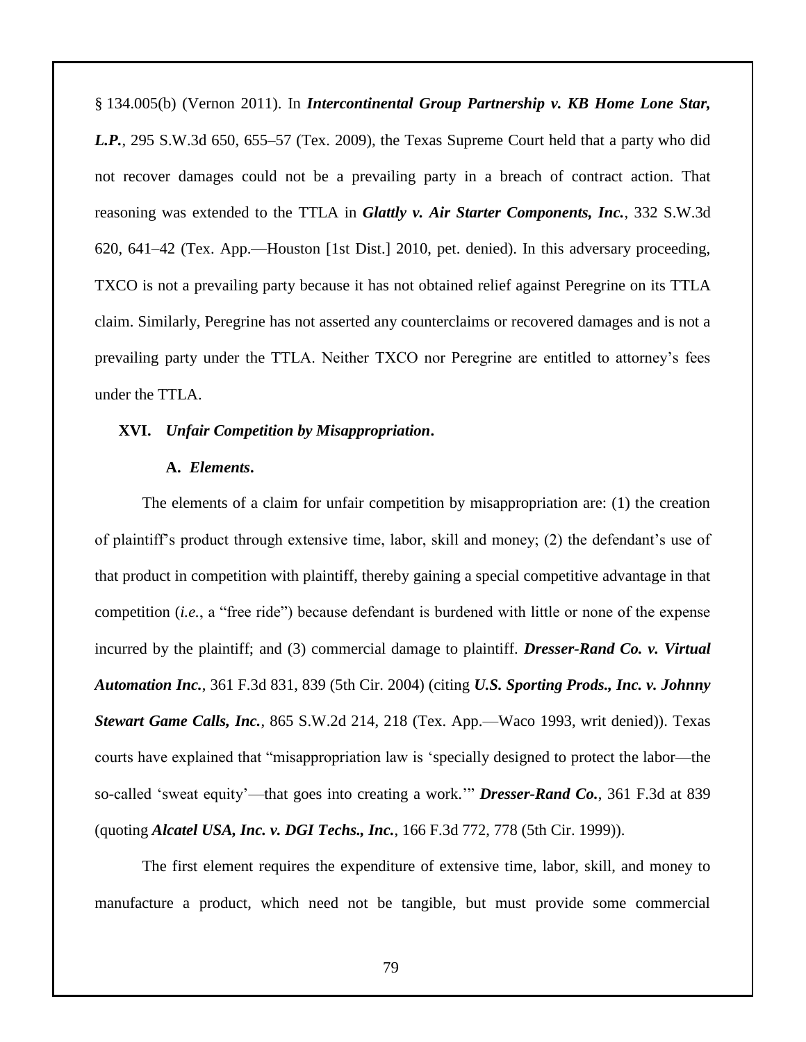§ 134.005(b) (Vernon 2011). In *Intercontinental Group Partnership v. KB Home Lone Star, L.P.*, 295 S.W.3d 650, 655–57 (Tex. 2009), the Texas Supreme Court held that a party who did not recover damages could not be a prevailing party in a breach of contract action. That reasoning was extended to the TTLA in *Glattly v. Air Starter Components, Inc.*, 332 S.W.3d 620, 641–42 (Tex. App.—Houston [1st Dist.] 2010, pet. denied). In this adversary proceeding, TXCO is not a prevailing party because it has not obtained relief against Peregrine on its TTLA claim. Similarly, Peregrine has not asserted any counterclaims or recovered damages and is not a prevailing party under the TTLA. Neither TXCO nor Peregrine are entitled to attorney's fees under the TTLA.

# **XVI.** *Unfair Competition by Misappropriation***.**

# **A.** *Elements***.**

The elements of a claim for unfair competition by misappropriation are: (1) the creation of plaintiff's product through extensive time, labor, skill and money; (2) the defendant's use of that product in competition with plaintiff, thereby gaining a special competitive advantage in that competition (*i.e.*, a "free ride") because defendant is burdened with little or none of the expense incurred by the plaintiff; and (3) commercial damage to plaintiff. *Dresser-Rand Co. v. Virtual Automation Inc.*, 361 F.3d 831, 839 (5th Cir. 2004) (citing *U.S. Sporting Prods., Inc. v. Johnny Stewart Game Calls, Inc.*, 865 S.W.2d 214, 218 (Tex. App.—Waco 1993, writ denied)). Texas courts have explained that "misappropriation law is 'specially designed to protect the labor—the so-called 'sweat equity'—that goes into creating a work.'" *Dresser-Rand Co.*, 361 F.3d at 839 (quoting *Alcatel USA, Inc. v. DGI Techs., Inc.*, 166 F.3d 772, 778 (5th Cir. 1999)).

The first element requires the expenditure of extensive time, labor, skill, and money to manufacture a product, which need not be tangible, but must provide some commercial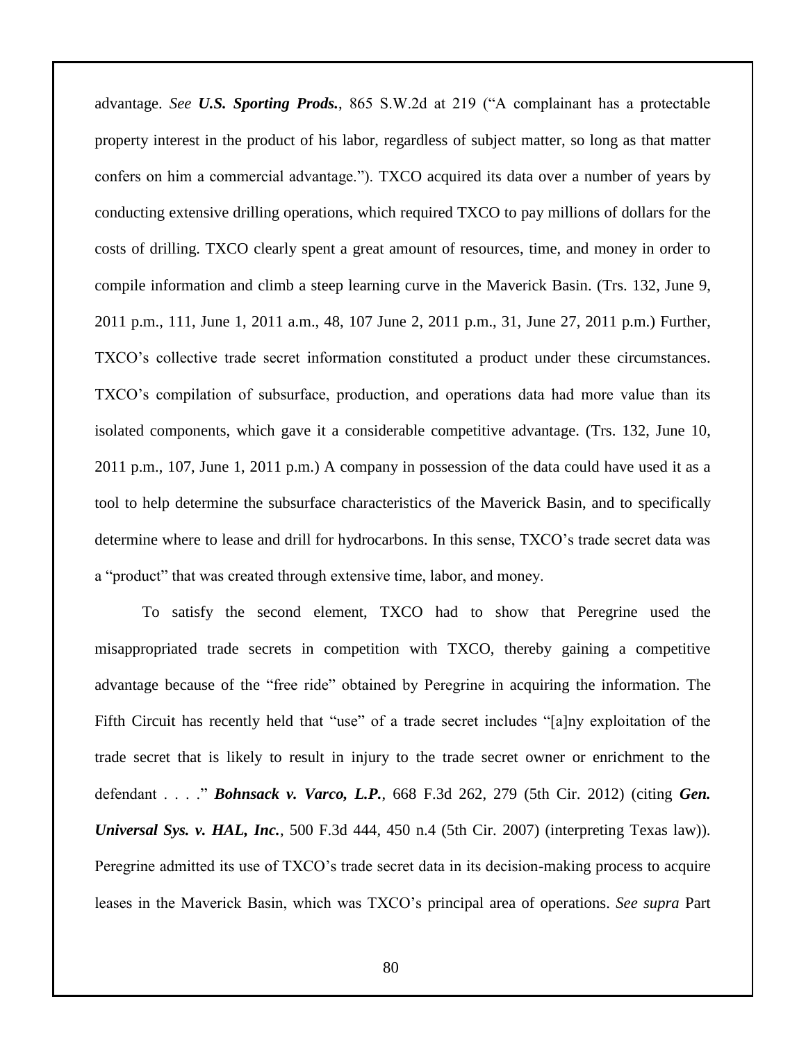advantage. *See U.S. Sporting Prods.*, 865 S.W.2d at 219 ("A complainant has a protectable property interest in the product of his labor, regardless of subject matter, so long as that matter confers on him a commercial advantage."). TXCO acquired its data over a number of years by conducting extensive drilling operations, which required TXCO to pay millions of dollars for the costs of drilling. TXCO clearly spent a great amount of resources, time, and money in order to compile information and climb a steep learning curve in the Maverick Basin. (Trs. 132, June 9, 2011 p.m., 111, June 1, 2011 a.m., 48, 107 June 2, 2011 p.m., 31, June 27, 2011 p.m.) Further, TXCO's collective trade secret information constituted a product under these circumstances. TXCO's compilation of subsurface, production, and operations data had more value than its isolated components, which gave it a considerable competitive advantage. (Trs. 132, June 10, 2011 p.m., 107, June 1, 2011 p.m.) A company in possession of the data could have used it as a tool to help determine the subsurface characteristics of the Maverick Basin, and to specifically determine where to lease and drill for hydrocarbons. In this sense, TXCO's trade secret data was a "product" that was created through extensive time, labor, and money.

To satisfy the second element, TXCO had to show that Peregrine used the misappropriated trade secrets in competition with TXCO, thereby gaining a competitive advantage because of the "free ride" obtained by Peregrine in acquiring the information. The Fifth Circuit has recently held that "use" of a trade secret includes "[a]ny exploitation of the trade secret that is likely to result in injury to the trade secret owner or enrichment to the defendant . . . ." *Bohnsack v. Varco, L.P.*, 668 F.3d 262, 279 (5th Cir. 2012) (citing *Gen. Universal Sys. v. HAL, Inc.*, 500 F.3d 444, 450 n.4 (5th Cir. 2007) (interpreting Texas law)). Peregrine admitted its use of TXCO's trade secret data in its decision-making process to acquire leases in the Maverick Basin, which was TXCO's principal area of operations. *See supra* Part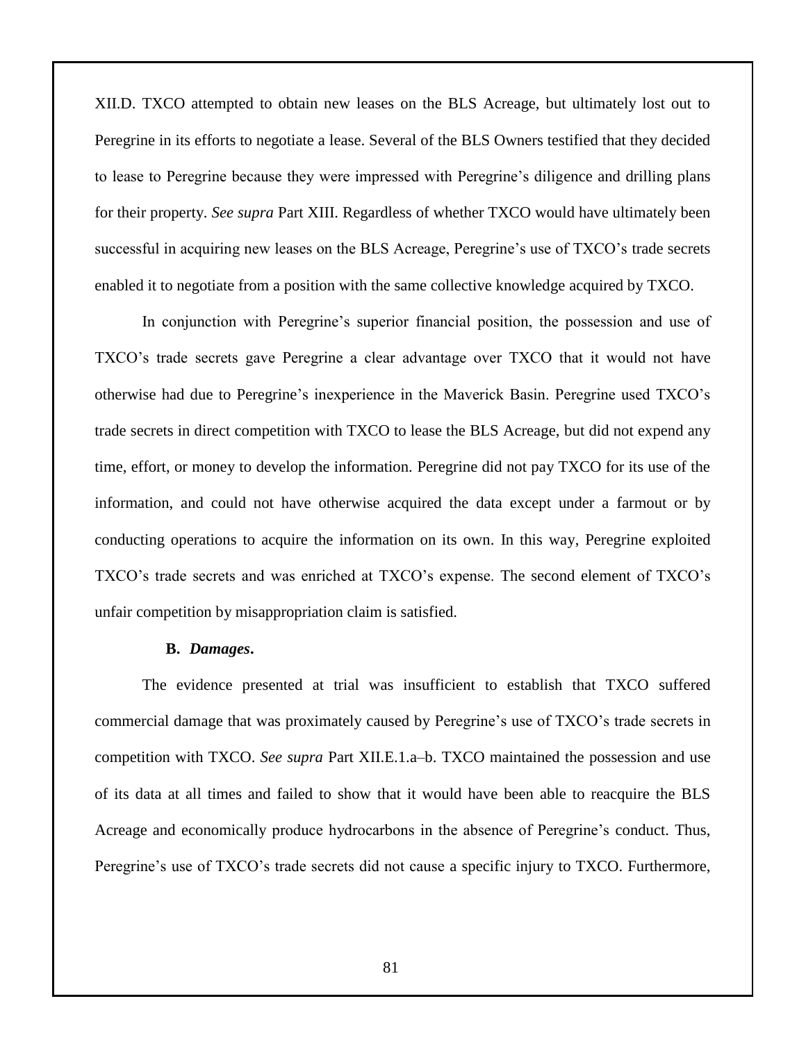XII.D. TXCO attempted to obtain new leases on the BLS Acreage, but ultimately lost out to Peregrine in its efforts to negotiate a lease. Several of the BLS Owners testified that they decided to lease to Peregrine because they were impressed with Peregrine's diligence and drilling plans for their property. *See supra* Part XIII. Regardless of whether TXCO would have ultimately been successful in acquiring new leases on the BLS Acreage, Peregrine's use of TXCO's trade secrets enabled it to negotiate from a position with the same collective knowledge acquired by TXCO.

In conjunction with Peregrine's superior financial position, the possession and use of TXCO's trade secrets gave Peregrine a clear advantage over TXCO that it would not have otherwise had due to Peregrine's inexperience in the Maverick Basin. Peregrine used TXCO's trade secrets in direct competition with TXCO to lease the BLS Acreage, but did not expend any time, effort, or money to develop the information. Peregrine did not pay TXCO for its use of the information, and could not have otherwise acquired the data except under a farmout or by conducting operations to acquire the information on its own. In this way, Peregrine exploited TXCO's trade secrets and was enriched at TXCO's expense. The second element of TXCO's unfair competition by misappropriation claim is satisfied.

#### **B.** *Damages***.**

The evidence presented at trial was insufficient to establish that TXCO suffered commercial damage that was proximately caused by Peregrine's use of TXCO's trade secrets in competition with TXCO. *See supra* Part XII.E.1.a–b. TXCO maintained the possession and use of its data at all times and failed to show that it would have been able to reacquire the BLS Acreage and economically produce hydrocarbons in the absence of Peregrine's conduct. Thus, Peregrine's use of TXCO's trade secrets did not cause a specific injury to TXCO. Furthermore,